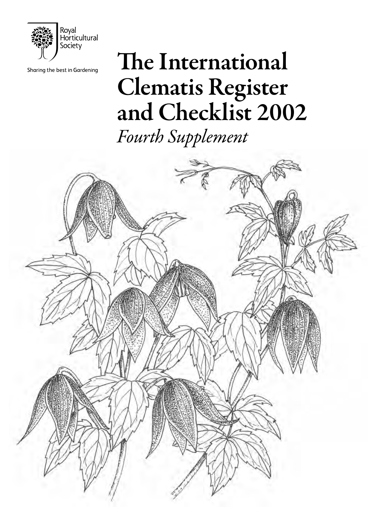

Sharing the best in Gardening

# The International Clematis Register and Checklist 2002

*Fourth Supplement*

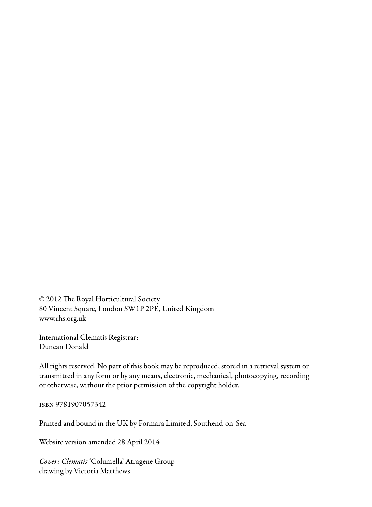© 2012 The Royal Horticultural Society 80 Vincent Square, London SW1P 2PE, United Kingdom www.rhs.org.uk

International Clematis Registrar: Duncan Donald

All rights reserved. No part of this book may be reproduced, stored in a retrieval system or transmitted in any form or by any means, electronic, mechanical, photocopying, recording or otherwise, without the prior permission of the copyright holder.

isbn 9781907057342

Printed and bound in the UK by Formara Limited, Southend-on-Sea

Website version amended 28 April 2014

*Cover: Clematis* 'Columella' Atragene Group drawing by Victoria Matthews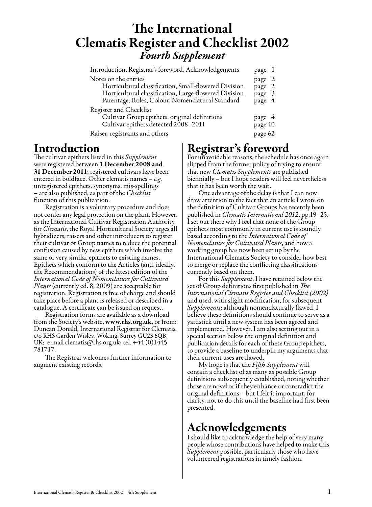### The International Clematis Register and Checklist 2002 *Fourth Supplement*

| Introduction, Registrar's foreword, Acknowledgements                                                                                                                                       | page 1                               |
|--------------------------------------------------------------------------------------------------------------------------------------------------------------------------------------------|--------------------------------------|
| Notes on the entries<br>Horticultural classification, Small-flowered Division<br>Horticultural classification, Large-flowered Division<br>Parentage, Roles, Colour, Nomenclatural Standard | page 2<br>page 2<br>page 3<br>page 4 |
| Register and Checklist<br>Cultivar Group epithets: original definitions<br>Cultivar epithets detected 2008-2011<br>Raiser, registrants and others                                          | page 4<br>page 10<br>page 62         |

### Introduction

The cultivar epithets listed in this *Supplement* were registered between 1 December 2008 and 31 December 2011; registered cultivars have been entered in boldface. Other clematis names – *e.g.* unregistered epithets, synonyms, mis-spellings – are also published, as part of the *Checklist* function of this publication.

Registration is a voluntary procedure and does not confer any legal protection on the plant. However, as the International Cultivar Registration Authority for *Clematis*, the Royal Horticultural Society urges all hybridizers, raisers and other introducers to register their cultivar or Group names to reduce the potential confusion caused by new epithets which involve the same or very similar epithets to existing names. Epithets which conform to the Articles (and, ideally, the Recommendations) of the latest edition of the *International Code of Nomenclature for Cultivated Plants* (currently ed. 8, 2009) are acceptable for registration. Registration is free of charge and should take place before a plant is released or described in a catalogue. A certificate can be issued on request.

Registration forms are available as a download from the Society's website, www.rhs.org.uk, or from: Duncan Donald, International Registrar for Clematis, c/o RHS Garden Wisley, Woking, Surrey GU23 6QB, UK; e-mail clematis@rhs.org.uk; tel. +44 (0)1445 781717.

The Registrar welcomes further information to augment existing records.

### Registrar's foreword

For unavoidable reasons, the schedule has once again slipped from the former policy of trying to ensure that new *Clematis Supplements* are published biennially – but I hope readers will feel nevertheless that it has been worth the wait.

One advantage of the delay is that I can now draw attention to the fact that an article I wrote on the definition of Cultivar Groups has recently been published in *Clematis International 2012*, pp.19–25. I set out there why I feel that none of the Group epithets most commonly in current use is soundly based according to the *International Code of Nomenclature for Cultivated Plants*, and how a working group has now been set up by the International Clematis Society to consider how best to merge or replace the conflicting classifications currently based on them.

For this *Supplement*, I have retained below the set of Group definitions first published in *The International Clematis Register and Checklist (2002)* and used, with slight modification, for subsequent *Supplements*: although nomenclaturally flawed, I believe these definitions should continue to serve as a yardstick until a new system has been agreed and implemented. However, I am also setting out in a special section below the original definition and publication details for each of these Group epithets, to provide a baseline to underpin my arguments that their current uses are flawed.

My hope is that the *Fifth Supplement* will contain a checklist of as many as possible Group definitions subsequently established, noting whether those are novel or if they enhance or contradict the original definitions – but I felt it important, for clarity, not to do this until the baseline had first been presented.

### Acknowledgements

I should like to acknowledge the help of very many people whose contributions have helped to make this *Supplement* possible, particularly those who have volunteered registrations in timely fashion.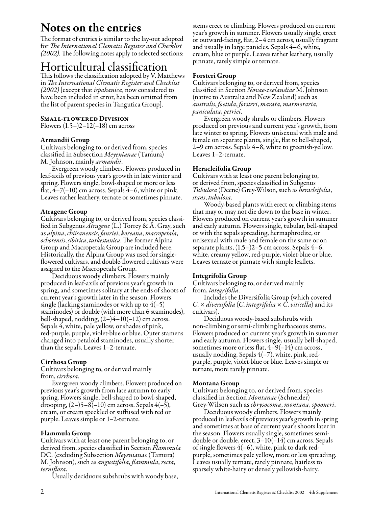### Notes on the entries

The format of entries is similar to the lay-out adopted<br>for *The International Clematis Register and Checklist (2002)*. The following notes apply to selected sections:

### Horticultural classification

This follows the classification adopted by V. Matthews in *The International Clematis Register and Checklist (2002)* [except that *ispahanica*, now considered to have been included in error, has been omitted from the list of parent species in Tangutica Group].

#### Small-flowered Division

Flowers  $(1.5 - 2 - 12(-18))$  cm across

#### Armandii Group

Cultivars belonging to, or derived from, species classified in Subsection *Meyenianae* (Tamura) M. Johnson, mainly *armandii*.

Evergreen woody climbers. Flowers produced in leaf-axils of previous year's growth in late winter and spring. Flowers single, bowl-shaped or more or less flat,  $4-7(-10)$  cm across. Sepals  $4-6$ , white or pink. Leaves rather leathery, ternate or sometimes pinnate.

#### Atragene Group

Cultivars belonging to, or derived from, species classified in Subgenus *Atragene* (L.) Torrey & A. Gray, such as *alpina*, *chiisanensis*, *fauriei*, *koreana*, *macropetala*, *ochotensis*, *sibirica*, *turkestanica*. The former Alpina Group and Macropetala Group are included here. Historically, the Alpina Group was used for singleflowered cultivars, and double-flowered cultivars were assigned to the Macropetala Group.

Deciduous woody climbers. Flowers mainly produced in leaf-axils of previous year's growth in spring, and sometimes solitary at the ends of shoots of current year's growth later in the season. Flowers single (lacking staminodes or with up to  $4(-5)$ ) staminodes) or double (with more than 6 staminodes), bell-shaped, nodding,  $(2-)4-10(-12)$  cm across. Sepals 4, white, pale yellow, or shades of pink, red-purple, purple, violet-blue or blue. Outer stamens changed into petaloid staminodes, usually shorter than the sepals. Leaves 1–2-ternate.

#### Cirrhosa Group

Cultivars belonging to, or derived mainly from, *cirrhosa*.

Evergreen woody climbers. Flowers produced on previous year's growth from late autumn to early spring. Flowers single, bell-shaped to bowl-shaped, drooping,  $(2-)5-8(-10)$  cm across. Sepals  $4(-5)$ , cream, or cream speckled or suffused with red or purple. Leaves simple or 1–2-ternate.

#### Flammula Group

Cultivars with at least one parent belonging to, or derived from, species classified in Section *Flammula* DC. (excluding Subsection *Meyenianae* (Tamura) M. Johnson), such as *angustifolia*, *flammula*, *recta*, *terniflora*.

Usually deciduous subshrubs with woody base,

stems erect or climbing. Flowers produced on current year's growth in summer. Flowers usually single, erect or outward-facing, flat, 2–4 cm across, usually fragrant and usually in large panicles. Sepals 4–6, white, cream, blue or purple. Leaves rather leathery, usually pinnate, rarely simple or ternate.

#### Forsteri Group

Cultivars belonging to, or derived from, species classified in Section *Novae*-*zeelandiae* M. Johnson (native to Australia and New Zealand) such as *australis*, *foetida*, *forsteri*, *marata*, *marmoraria*, *paniculata*, *petriei*.

Evergreen woody shrubs or climbers. Flowers produced on previous and current year's growth, from late winter to spring. Flowers unisexual with male and female on separate plants, single, flat to bell-shaped, 2–9 cm across. Sepals 4–8, white to greenish-yellow. Leaves 1–2-ternate.

#### Heracleifolia Group

Cultivars with at least one parent belonging to, or derived from, species classified in Subgenus *Tubulosa* (Decne) Grey-Wilson, such as *heracleifolia*, *stans*, *tubulosa*.

Woody-based plants with erect or climbing stems that may or may not die down to the base in winter. Flowers produced on current year's growth in summer and early autumn. Flowers single, tubular, bell-shaped or with the sepals spreading, hermaphrodite, or unisexual with male and female on the same or on separate plants, (1.5–)2–5 cm across. Sepals 4–6, white, creamy yellow, red-purple, violet-blue or blue. Leaves ternate or pinnate with simple leaflets.

#### Integrifolia Group

Cultivars belonging to, or derived mainly from, *integrifolia*.

Includes the Diversifolia Group (which covered  $C \times$  *diversifolia* (*C. integrifolia*  $\times$  *C. viticella*) and its cultivars).

Deciduous woody-based subshrubs with non-climbing or semi-climbing herbaceous stems. Flowers produced on current year's growth in summer and early autumn. Flowers single, usually bell-shaped, sometimes more or less flat,  $4-9(-14)$  cm across, usually nodding. Sepals 4(–7), white, pink, redpurple, purple, violet-blue or blue. Leaves simple or ternate, more rarely pinnate.

#### Montana Group

Cultivars belonging to, or derived from, species classified in Section *Montanae* (Schneider) Grey-Wilson such as *chrysocoma*, *montana*, *spooneri*.

Deciduous woody climbers. Flowers mainly produced in leaf-axils of previous year's growth in spring and sometimes at base of current year's shoots later in the season. Flowers usually single, sometimes semidouble or double, erect, 3–10(–14) cm across. Sepals of single flowers  $4(-6)$ , white, pink to dark redpurple, sometimes pale yellow, more or less spreading. Leaves usually ternate, rarely pinnate, hairless to sparsely white-hairy or densely yellowish-hairy.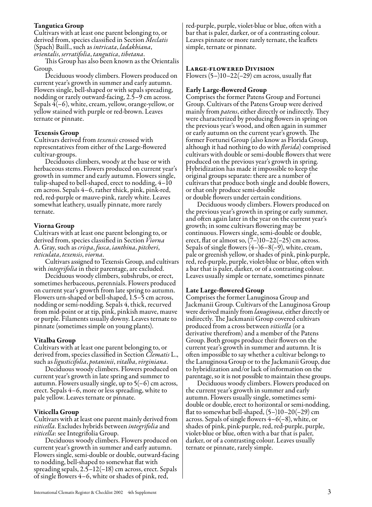#### Tangutica Group

Cultivars with at least one parent belonging to, or derived from, species classified in Section *Meclatis* (Spach) Baill., such as *intricata*, *ladakhiana*, *orientalis*, *serratifolia*, *tangutica*, *tibetana*. This Group has also been known as the Orientalis

Group.

Deciduous woody climbers. Flowers produced on current year's growth in summer and early autumn. Flowers single, bell-shaped or with sepals spreading, nodding or rarely outward-facing, 2.5–9 cm across. Sepals 4(–6), white, cream, yellow, orange-yellow, or yellow stained with purple or red-brown. Leaves ternate or pinnate.

#### Texensis Group

Cultivars derived from *texensis* crossed with representatives from either of the Large-flowered cultivar-groups.

Deciduous climbers, woody at the base or with herbaceous stems. Flowers produced on current year's growth in summer and early autumn. Flowers single, tulip-shaped to bell-shaped, erect to nodding, 4–10 cm across. Sepals 4–6, rather thick, pink, pink-red, red, red-purple or mauve-pink, rarely white. Leaves somewhat leathery, usually pinnate, more rarely ternate.

#### Viorna Group

Cultivars with at least one parent belonging to, or derived from, species classified in Section *Viorna* A. Gray, such as *crispa*, *fusca*, *ianthina*, *pitcheri*, *reticulata*, *texensis*, *viorna*. Cultivars assigned to Texensis Group, and cultivars

with *integrifolia* in their parentage, are excluded.

Deciduous woody climbers, subshrubs, or erect, sometimes herbaceous, perennials. Flowers produced on current year's growth from late spring to autumn. Flowers urn-shaped or bell-shaped, 1.5–5 cm across, nodding or semi-nodding. Sepals 4, thick, recurved from mid-point or at tip, pink, pinkish mauve, mauve or purple. Filaments usually downy. Leaves ternate to pinnate (sometimes simple on young plants).

#### Vitalba Group

Cultivars with at least one parent belonging to, or derived from, species classified in Section *Clematis* L., such as *ligusticifolia*, *potaninii*, *vitalba*, *virginiana*.

Deciduous woody climbers. Flowers produced on current year's growth in late spring and summer to autumn. Flowers usually single, up to  $5(-6)$  cm across, erect. Sepals 4–6, more or less spreading, white to pale yellow. Leaves ternate or pinnate.

#### Viticella Group

Cultivars with at least one parent mainly derived from *viticella*. Excludes hybrids between *integrifolia* and *viticella*: see Integrifolia Group.

Deciduous woody climbers. Flowers produced on current year's growth in summer and early autumn. Flowers single, semi-double or double, outward-facing to nodding, bell-shaped to somewhat flat with spreading sepals, 2.5–12(–18) cm across, erect. Sepals of single flowers 4–6, white or shades of pink, red,

red-purple, purple, violet-blue or blue, often with a bar that is paler, darker, or of a contrasting colour. Leaves pinnate or more rarely ternate, the leaflets simple, ternate or pinnate.

#### Large-flowered Division

Flowers  $(5-)10-22(-29)$  cm across, usually flat

#### Early Large-flowered Group

Comprises the former Patens Group and Fortunei Group. Cultivars of the Patens Group were derived mainly from *patens*, either directly or indirectly. They were characterized by producing flowers in spring on the previous year's wood, and often again in summer or early autumn on the current year's growth. The former Fortunei Group (also know as Florida Group, although it had nothing to do with *florida*) comprised cultivars with double or semi-double flowers that were produced on the previous year's growth in spring. Hybridization has made it impossible to keep the original groups separate: there are a number of cultivars that produce both single and double flowers, or that only produce semi-double or double flowers under certain conditions.

Deciduous woody climbers. Flowers produced on the previous year's growth in spring or early summer, and often again later in the year on the current year's growth; in some cultivars flowering may be continuous. Flowers single, semi-double or double, erect, flat or almost so,  $(7-)10-22(-25)$  cm across. Sepals of single flowers  $(4-)6-8(-9)$ , white, cream, pale or greenish yellow, or shades of pink, pink-purple, red, red-purple, purple, violet-blue or blue, often with a bar that is paler, darker, or of a contrasting colour. Leaves usually simple or ternate, sometimes pinnate

#### Late Large-flowered Group

Comprises the former Lanuginosa Group and Jackmanii Group. Cultivars of the Lanuginosa Group were derived mainly from *lanuginosa*, either directly or indirectly. The Jackmanii Group covered cultivars produced from a cross between *viticella* (or a derivative therefrom) and a member of the Patens Group. Both groups produce their flowers on the current year's growth in summer and autumn. It is often impossible to say whether a cultivar belongs to the Lanuginosa Group or to the Jackmanii Group, due to hybridization and/or lack of information on the parentage, so it is not possible to maintain these groups.

Deciduous woody climbers. Flowers produced on the current year's growth in summer and early autumn. Flowers usually single, sometimes semidouble or double, erect to horizontal or semi-nodding, flat to somewhat bell-shaped, (5–)10–20(–29) cm across. Sepals of single flowers  $4-6(-8)$ , white, or shades of pink, pink-purple, red, red-purple, purple, violet-blue or blue, often with a bar that is paler, darker, or of a contrasting colour. Leaves usually ternate or pinnate, rarely simple.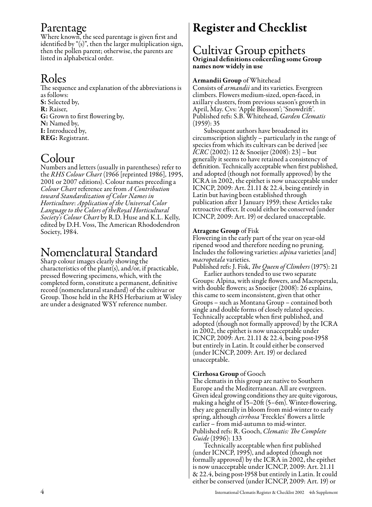### Parentage

Where known, the seed parentage is given first and identified by "(s)", then the larger multiplication sign, then the pollen parent; otherwise, the parents are listed in alphabetical order.

### Roles

The sequence and explanation of the abbreviations is as follows: S: Selected by, R: Raiser, G: Grown to first flowering by, N: Named by, I: Introduced by, REG: Registrant.

### Colour

Numbers and letters (usually in parentheses) refer to the *RHS Colour Chart* (1966 [reprinted 1986], 1995, 2001 or 2007 editions). Colour names preceding a *Colour Chart* reference are from *A Contribution toward Standardization of Color Names in Horticulture*: *Application of the Universal Color Language to the Colors of theRoyal Horticultural Society*'*s Colour Chart* by R.D. Huse and K.L. Kelly, edited by D.H. Voss, The American Rhododendron Society, 1984.

### Nomenclatural Standard

Sharp colour images clearly showing the characteristics of the plant(s), and/or, if practicable, pressed flowering specimens, which, with the completed form, constitute a permanent, definitive record (nomenclatural standard) of the cultivar or Group. Those held in the RHS Herbarium at Wisley are under a designated WSY reference number.

## Register and Checklist

#### Cultivar Group epithets Original definitions concerning some Group names now widely in use

#### Armandii Group of Whitehead

Consists of *armandii* and its varieties. Evergreen climbers. Flowers medium-sized, open-faced, in axillary clusters, from previous season's growth in April, May. Cvs: 'Apple Blossom'; 'Snowdrift'. Published refs: S.B. Whitehead, *Garden Clematis*  $(1959): 35$ 

Subsequent authors have broadened its circumscription slightly – particularly in the range of species from which its cultivars can be derived [see *ICRC* (2002): 12 & Snoeijer (2008): 23] – but generally it seems to have retained a consistency of definition. Technically acceptable when first published, and adopted (though not formally approved) by the ICRA in 2002, the epithet is now unacceptable under ICNCP, 2009: Art. 21.11 & 22.4, being entirely in Latin but having been established through publication after 1 January 1959; these Articles take retroactive effect. It could either be conserved (under ICNCP, 2009: Art. 19) or declared unacceptable.

#### Atragene Group of Fisk

Flowering in the early part of the year on year-old ripened wood and therefore needing no pruning. Includes the following varieties: *alpina* varieties [and] *macropetala* varieties.

Published refs: J. Fisk, *The Queen of Climbers* (1975): 21 Earlier authors tended to use two separate Groups: Alpina, with single flowers, and Macropetala, with double flowers; as Snoeijer (2008): 26 explains, this came to seem inconsistent, given that other Groups – such as Montana Group – contained both single and double forms of closely related species. Technically acceptable when first published, and adopted (though not formally approved) by the ICRA in 2002, the epithet is now unacceptable under ICNCP, 2009: Art. 21.11 & 22.4, being post-1958 but entirely in Latin. It could either be conserved (under ICNCP, 2009: Art. 19) or declared unacceptable.

#### Cirrhosa Group of Gooch

The clematis in this group are native to Southern Europe and the Mediterranean. All are evergreen. Given ideal growing conditions they are quite vigorous, making a height of 15–20ft (5–6m). Winter-flowering, they are generally in bloom from mid-winter to early spring, although *cirrhosa* 'Freckles' flowers a little earlier – from mid-autumn to mid-winter. Published refs: R. Gooch, *Clematis: The Complete* 

*Guide* (1996): 133<br>Technically acceptable when first published (under ICNCP, 1995), and adopted (though not formally approved) by the ICRA in 2002, the epithet is now unacceptable under ICNCP, 2009: Art. 21.11 & 22.4, being post-1958 but entirely in Latin. It could either be conserved (under ICNCP, 2009: Art. 19) or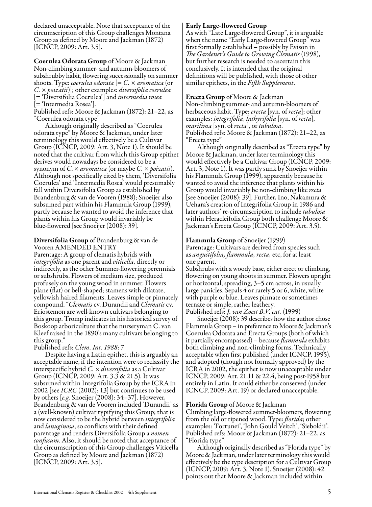declared unacceptable. Note that acceptance of the circumscription of this Group challenges Montana Group as defined by Moore and Jackman (1872) [ICNCP, 2009: Art. 3.5].

Coerulea Odorata Group of Moore & Jackman Non-climbing summer- and autumn-bloomers of subshrubby habit, flowering successionally on summer shoots. Type: *coerulea odorata* [= *C.* × *aromatica* (or *C.* × *poizatii*)]; other examples: *diversifolia coerulea* [= 'Diversifolia Coerulea'] and *intermedia rosea* [= 'Intermedia Rosea'].

Published refs: Moore & Jackman (1872): 21–22, as "Coerulea odorata type"

Although originally described as "Coerulea odorata type" by Moore & Jackman, under later terminology this would effectively be a Cultivar Group (ICNCP, 2009: Art. 3, Note 1). It should be noted that the cultivar from which this Group epithet derives would nowadays be considered to be a synonym of *C*. × *aromatica* (or maybe *C.* × *poizatii*). Although not specifically cited by them, 'Diversifolia Coerulea' and 'Intermedia Rosea' would presumably fall within Diversifolia Group as established by Brandenburg & van de Vooren (1988); Snoeijer also subsumed part within his Flammula Group (1999), partly because he wanted to avoid the inference that plants within his Group would invariably be blue-flowered [see Snoeijer (2008): 39].

#### Diversifolia Group of Brandenburg & van de Vooren AMENDED ENTRY

Parentage: A group of clematis hybrids with *integrifolia* as one parent and *viticella*, directly or indirectly, as the other Summer-flowering perennials or subshrubs. Flowers of medium size, produced profusely on the young wood in summer. Flowers plane (flat) or bell-shaped; stamens with dilatate, yellowish haired filaments. Leaves simple or pinnately compound. "*Clematis* cv. Durandii and *Clematis* cv. Eriostemon are well-known cultivars belonging to this group. Tromp indicates in his historical survey of Boskoop arboriculture that the nurseryman C. van Kleef raised in the 1890's many cultivars belonging to this group."

Published refs: *Clem. Int. 1988*: 7

Despite having a Latin epithet, this is arguably an acceptable name, if the intention were to reclassify the interspecific hybrid *C.* × *diversifolia* as a Cultivar Group (ICNCP, 2009: Art. 3.3 & 21.5). It was subsumed within Integrifolia Group by the ICRA in 2002 [see *ICRC* (2002): 13] but continues to be used by others [*e.g.* Snoeijer (2008): 34–37]. However, Brandenburg & van de Vooren included 'Durandii' as a (well-known) cultivar typifying this Group; that is now considered to be the hybrid between *integrifolia* and *lanuginosa*, so conflicts with their defined parentage and renders Diversifolia Group a *nomen confusum*. Also, it should be noted that acceptance of the circumscription of this Group challenges Viticella Group as defined by Moore and Jackman (1872) [ICNCP, 2009: Art. 3.5].

#### Early Large-flowered Group

As with "Late Large-flowered Group", it is arguable when the name "Early Large-flowered Group" was first formally established – possibly by Evison in *The Gardener's Guide to Growing Clematis* (1998), but further research is needed to ascertain this conclusively. It is intended that the original definitions will be published, with those of other similar epithets, in the *Fifth Supplement*.

Erecta Group of Moore & Jackman Non-climbing summer- and autumn-bloomers of herbaceous habit. Type: *erecta* [syn. of *recta*]; other examples: *integrifolia, lathyrifolia* [syn. of *recta*], *Published refs: Moore & Jackman (1872): 21–22, as* "Erecta type"

Although originally described as "Erecta type" by Moore & Jackman, under later terminology this would effectively be a Cultivar Group (ICNCP, 2009: Art. 3, Note 1). It was partly sunk by Snoeijer within his Flammula Group (1999), apparently because he wanted to avoid the inference that plants within his Group would invariably be non-climbing like *recta* [see Snoeijer (2008): 39]. Further, Ino, Nakamura & Uehara's creation of Integrifolia Group in 1986 and later authors' re-circumscription to include *tubulosa* within Heracleifolia Group both challenge Moore & Jackman's Erecta Group (ICNCP, 2009: Art. 3.5).

#### Flammula Group of Snoeijer (1999)

Parentage: Cultivars are derived from species such as *angustifolia, flammula, recta,* etc, for at least one parent.

Subshrubs with a woody base, either erect or climbing, flowering on young shoots in summer. Flowers upright or horizontal, spreading, 3–5 cm across, in usually large panicles. Sepals 4 or rarely 5 or 6, white, white with purple or blue. Leaves pinnate or sometimes ternate or simple, rather leathery.

Published refs: *J. van Zoest B.V. cat.* (1999)

Snoeijer (2008): 39 describes how the author chose Flammula Group – in preference to Moore & Jackman's Coerulea Odorata and Erecta Groups (both of which it partially encompassed) – because *flammula* exhibits both climbing and non-climbing forms. Technically acceptable when first published (under ICNCP, 1995), and adopted (though not formally approved) by the ICRA in 2002, the epithet is now unacceptable under ICNCP, 2009: Art. 21.11 & 22.4, being post-1958 but entirely in Latin. It could either be conserved (under ICNCP, 2009: Art. 19) or declared unacceptable.

#### Florida Group of Moore & Jackman

Climbing large-flowered summer-bloomers, flowering from the old or ripened wood. Type: *florida*; other examples: 'Fortunei', 'John Gould Veitch', 'Sieboldii'. Published refs: Moore & Jackman (1872): 21–22, as "Florida type"

Although originally described as "Florida type" by Moore & Jackman, under later terminology this would effectively be the type description for a Cultivar Group (ICNCP, 2009: Art. 3, Note 1). Snoeijer (2008): 42 points out that Moore & Jackman included within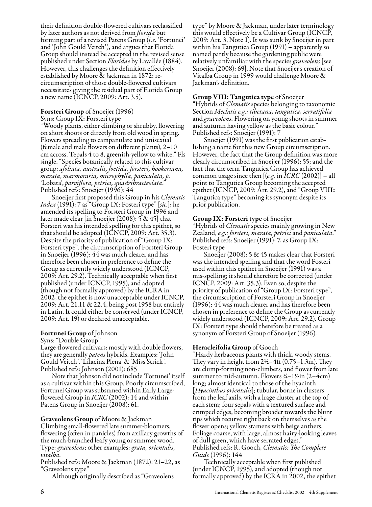their definition double-flowered cultivars reclassified by later authors as not derived from *florida* but forming part of a revised Patens Group (*i.e.* 'Fortunei' and 'John Gould Veitch'), and argues that Florida Group should instead be accepted in the revised sense published under Section *Floridae* by Lavallée (1884). However, this challenges the definition effectively established by Moore & Jackman in 1872: recircumscription of those double-flowered cultivars necessitates giving the residual part of Florida Group a new name (ICNCP, 2009: Art. 3.5).

#### Forsteri Group of Snoeijer (1996)

Syns: Group IX: Forsteri type

"Woody plants, either climbing or shrubby, flowering on short shoots or directly from old wood in spring. Flowers spreading to campanulate and unisexual (female and male flowers on different plants), 2–10 cm across. Tepals 4 to 8, greenish-yellow to white." Fls single. "Species botanically related to this cultivargroup: *afoliata, australis, foetida, forsteri, hookeriana, marata, marmoraria, microphylla, paniculata, p.* 'Lobata', *parviflora, petriei, quadribracteolata*." Published refs: Snoeijer (1996): 44

Snoeijer first proposed this Group in his *Clematis Index* (1991): 7 as "Group IX: Fosteri type" [*sic.*]; he amended its spelling to Forsteri Group in 1996 and later made clear [in Snoeijer (2008): 5 & 45] that Forsteri was his intended spelling for this epithet, so that should be adopted (ICNCP, 2009: Art. 35.3). Despite the priority of publication of "Group IX: Forsteri type", the circumscription of Forsteri Group in Snoeijer (1996): 44 was much clearer and has therefore been chosen in preference to define the Group as currently widely understood (ICNCP, 2009: Art. 29.2). Technically acceptable when first published (under ICNCP, 1995), and adopted (though not formally approved) by the ICRA in 2002, the epithet is now unacceptable under ICNCP, 2009: Art. 21.11 & 22.4, being post-1958 but entirely in Latin. It could either be conserved (under ICNCP, 2009: Art. 19) or declared unacceptable.

#### Fortunei Group of Johnson

Syns: "Double Group"

Large-flowered cultivars: mostly with double flowers, they are generally *patens* hybrids. Examples: 'John Gould Veitch', 'Lilacina Plena' & 'Miss Strick'. Published refs: Johnson (2001): 685

Note that Johnson did not include 'Fortunei' itself as a cultivar within this Group. Poorly circumscribed, Fortunei Group was subsumed within Early Largeflowered Group in *ICRC* (2002): 14 and within Patens Group in Snoeijer (2008): 61.

Graveolens Group of Moore & Jackman Climbing small-flowered late summer-bloomers, flowering (often in panicles) from axillary growths of the much-branched leafy young or summer wood. Type: *graveolens*; other examples: *grata, orientalis, vitalba*.

Published refs: Moore & Jackman (1872): 21–22, as "Graveolens type"

Although originally described as "Graveolens

type" by Moore & Jackman, under later terminology this would effectively be a Cultivar Group (ICNCP, 2009: Art. 3, Note 1). It was sunk by Snoeijer in part within his Tangutica Group (1991) – apparently so named partly because the gardening public were relatively unfamiliar with the species *graveolens* [see Snoeijer (2008): 69]. Note that Snoeijer's creation of Vitalba Group in 1999 would challenge Moore & Jackman's definition.

#### Group VIII: Tangutica type of Snoeijer

"Hybrids of *Clematis* species belonging to taxonomic Section *Meclatis e.g.: tibetana, tangutica, serratifolia* and *graveolens*. Flowering on young shoots in summer and autumn having yellow as the basic colour."

Snoeijer (1991) was the first publication establishing a name for this new Group circumscription. However, the fact that the Group definition was more clearly circumscribed in Snoeijer (1996): 55; and the fact that the term Tangutica Group has achieved common usage since then [(*e.g.* in *ICRC* (2002)] – all point to Tangutica Group becoming the accepted epithet (ICNCP, 2009: Art. 29.2), and "Group VIII: Tangutica type" becoming its synonym despite its prior publication.

#### Group IX: Forsteri type of Snoeijer

"Hybrids of *Clematis* species mainly growing in New Zealand, *e.g.: forsteri, marata, petriei* and *paniculata*." Published refs: Snoeijer (1991): 7, as Group IX:

Fosteri type<br>Snoeijer (2008): 5 & 45 makes clear that Forsteri was the intended spelling and that the word Fosteri used within this epithet in Snoeijer (1991) was a mis-spelling; it should therefore be corrected (under ICNCP, 2009: Art. 35.3). Even so, despite the priority of publication of "Group IX: Forsteri type", the circumscription of Forsteri Group in Snoeijer (1996): 44 was much clearer and has therefore been chosen in preference to define the Group as currently widely understood (ICNCP, 2009: Art. 29.2). Group IX: Forsteri type should therefore be treated as a synonym of Forsteri Group of Snoeijer (1996).

#### Heracleifolia Group of Gooch

"Hardy herbaceous plants with thick, woody stems. They vary in height from 2½–4ft (0.75–1.3m). They are clump-forming non-climbers, and flower from late summer to mid-autumn. Flowers  $\frac{3}{4} - 1\frac{1}{2}$ in (2–4cm) long; almost identical to those of the hyacinth [*Hyacinthus orientalis*]; tubular, borne in clusters from the leaf axils, with a lrage cluster at the top of each stem; four sepals with a textured surface and crimped edges, becoming broader towards the blunt tips which recurve right back on themselves as the flower opens; yellow stamens with beige anthers. Foliage coarse, with large, almost hairy-looking leaves of dull green, which have serrated edges." Published refs: R. Gooch, *Clematis: The Complete Guide* (1996): 144

Technically acceptable when first published (under ICNCP, 1995), and adopted (though not formally approved) by the ICRA in 2002, the epithet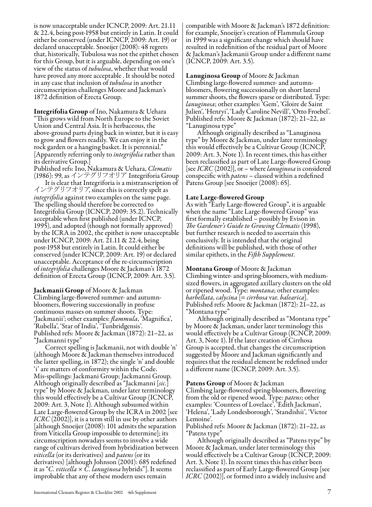is now unacceptable under ICNCP, 2009: Art. 21.11 & 22.4, being post-1958 but entirely in Latin. It could either be conserved (under ICNCP, 2009: Art. 19) or declared unacceptable. Snoeijer (2008): 48 regrets that, historically, Tubulosa was not the epithet chosen for this Group, but it is arguable, depending on one's view of the status of *tubulosa*, whether that would have proved any more acceptable . It should be noted in any case that inclusion of *tubulosa* in another circumscription challenges Moore and Jackman's 1872 definition of Erecta Group.

Integrifolia Group of Ino, Nakamura & Uehara "This grows wild from North Europe to the Soviet Union and Central Asia. It is herbaceous, the above-ground parts dying back in winter, but it is easy to grow and flowers readily. We can enjoy it in the rock garden or a hanging basket. It is perennial." [Apparently referring only to *integrifolia* rather than its derivative Group.]

Published refs: Ino, Nakamura & Uehara, *Clematis* (1986): 99, as インテグリフオリア Integriforia Group<br>It is clear that Integriforia is a mistranscription of

インテグリフオリア, since this is correctly spelt as *integrifolia* against two examples on the same page. The spelling should therefore be corrected to Integrifolia Group (ICNCP, 2009: 35.2). Technically acceptable when first published (under ICNCP, 1995), and adopted (though not formally approved) by the ICRA in 2002, the epithet is now unacceptable under ICNCP, 2009: Art. 21.11 & 22.4, being post-1958 but entirely in Latin. It could either be conserved (under ICNCP, 2009: Art. 19) or declared unacceptable. Acceptance of the re-circumscription<br>of *integrifolia* challenges Moore & Jackman's 1872 definition of Erecta Group (ICNCP, 2009: Art. 3.5).

Jackmanii Group of Moore & Jackman

Climbing large-flowered summer- and autumnbloomers, flowering successionally in profuse continuous masses on summer shoots. Type: 'Jackmanii'; other examples: *flammula*, 'Magnifica', 'Rubella', 'Star of India', 'Tunbridgensis'. Published refs: Moore & Jackman (1872): 21–22, as "Jackmanni type"

Correct spelling is Jackmanii, not with double 'n' (although Moore & Jackman themselves introduced the latter spelling, in 1872); the single 'n' and double 'i' are matters of conformity within the Code. Mis-spellings: Jackmani Group; Jackmanni Group. Although originally described as "Jackmanni [*sic.*] type" by Moore & Jackman, under later terminology this would effectively be a Cultivar Group (ICNCP, 2009: Art. 3, Note 1). Although subsumed within Late Large-flowered Group by the ICRA in 2002 [see *ICRC* (2002)], it is a term still in use by other authors [although Snoeijer (2008): 101 admits the separation from Viticella Group impossible to determine]; its circumscription nowadays seems to involve a wide range of cultivars derived from hybridization between *viticella* (or its derivatives) and *patens* (or its derivatives) [although Johnson (2001): 685 redefined it as "*C. viticella* × *C. lanuginosa* hybrids"]. It seems improbable that any of these modern uses remain

compatible with Moore & Jackman's 1872 definition: for example, Snoeijer's creation of Flammula Group in 1999 was a significant change which should have resulted in redefinition of the residual part of Moore & Jackman's Jackmanii Group under a different name (ICNCP, 2009: Art. 3.5).

Lanuginosa Group of Moore & Jackman Climbing large-flowered summer- and autumnbloomers, flowering successionally on short lateral summer shoots, the flowers sparse or distributed. Type: *lanuginosa*; other examples: 'Gem', 'Gloire de Saint Julien', 'Henryi', 'Lady Caroline Nevill', 'Otto Froebel'. Published refs: Moore & Jackman (1872): 21–22, as "Lanuginosa type"

Although originally described as "Lanuginosa type" by Moore & Jackman, under later terminology this would effectively be a Cultivar Group (ICNCP, 2009: Art. 3, Note 1). In recent times, this has either been reclassified as part of Late Large-flowered Group [see *ICRC* (2002)], or – where *lanuginosa* is considered conspecific with *patens* – classed within a redefined Patens Group [see Snoeijer (2008): 65].

#### Late Large-flowered Group

As with "Early Large-flowered Group", it is arguable when the name "Late Large-flowered Group" was first formally established – possibly by Evison in *The Gardener's Guide to Growing Clematis* (1998), but further research is needed to ascertain this conclusively. It is intended that the original definitions will be published, with those of other similar epithets, in the *Fifth Supplement*.

Montana Group of Moore & Jackman Climbing winter- and spring-bloomers, with mediumsized flowers, in aggregated axillary clusters on the old or ripened wood. Type: *montana*; other examples: *barbellata, calycina* [= *cirrhosa* var. *balearica*]. Published refs: Moore & Jackman (1872): 21–22, as "Montana type"

Although originally described as "Montana type" by Moore & Jackman, under later terminology this would effectively be a Cultivar Group (ICNCP, 2009: Art. 3, Note 1). If the later creation of Cirrhosa Group is accepted, that changes the circumscription suggested by Moore and Jackman significantly and requires that the residual element be redefined under a different name (ICNCP, 2009: Art. 3.5).

Patens Group of Moore & Jackman Climbing large-flowered spring-bloomers, flowering from the old or ripened wood. Type: *patens*; other examples: 'Countess of Lovelace', 'Edith Jackman', 'Helena', 'Lady Londesborough', 'Standishii', 'Victor

Lemoine'. Published refs: Moore & Jackman (1872): 21–22, as

"Patens type" Although originally described as "Patens type" by Moore & Jackman, under later terminology this would effectively be a Cultivar Group (ICNCP, 2009: Art. 3, Note 1). In recent times this has either been reclassified as part of Early Large-flowered Group [see *ICRC* (2002)], or formed into a widely inclusive and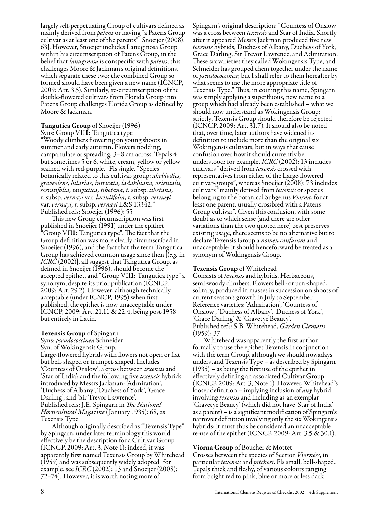largely self-perpetuating Group of cultivars defined as mainly derived from *patens* or having "a Patens Group cultivar as at least one of the parents" [Snoeijer (2008): 63]. However, Snoeijer includes Lanuginosa Group within his circumscription of Patens Group, in the belief that *lanuginosa* is conspecific with *patens*; this challenges Moore & Jackman's original definitions, which separate these two; the combined Group so formed should have been given a new name (ICNCP, 2009: Art. 3.5). Similarly, re-circumscription of the double-flowered cultivars from Florida Group into Patens Group challenges Florida Group as defined by Moore & Jackman.

### Tangutica Group of Snoeijer (1996)

Syns: Group VIII: Tangutica type "Woody climbers flowering on young shoots in summer and early autumn. Flowers nodding, campanulate or spreading, 3–8 cm across. Tepals 4 but sometimes 5 or 6, white, cream, yellow or yellow stained with red-purple." Fls single. "Species botanically related to this cultivar-group: *akebiodies, graveolens, hilariae, intricata, ladakhiana, orientalis, serratifolia, tangutica, tibetana, t.* subsp. *tibetana, t.* subsp. *vernayi* var. *laciniifolia, t.* subsp. *vernayi* var. *vernayi, t.* subsp. *vernayi* L&S 13342."

Published refs: Snoeijer (1996): 55<br>This new Group circumscription was first This new Group circumscription was first published in Snoeijer (1991) under the epithet "Group VIII: Tangutica type". The fact that the Group definition was more clearly circumscribed in Snoeijer (1996), and the fact that the term Tangutica Group has achieved common usage since then [(*e.g.* in *ICRC* (2002)], all suggest that Tangutica Group, as defined in Snoeijer (1996), should become the accepted epithet, and "Group VIII: Tangutica type" a synonym, despite its prior publication (ICNCP, 2009: Art. 29.2). However, although technically acceptable (under ICNCP, 1995) when first published, the epithet is now unacceptable under ICNCP, 2009: Art. 21.11 & 22.4, being post-1958 but entirely in Latin.

#### Texensis Group of Spingarn

Syns: *pseudococcinea* Schneider Syn. of Wokingensis Group. Large-flowered hybrids with flowers not open or flat but bell-shaped or trumpet-shaped. Includes 'Countess of Onslow', a cross between *texensis* and 'Star of India'; and the following five *texensis* hybrids introduced by Messrs Jackman: 'Admiration', 'Duchess of Albany', 'Duchess of York', 'Grace Darling', and 'Sir Trevor Lawrence'. Published refs: J.E. Spingarn in *The National Horticultural Magazine* (January 1935): 68, as Texensis Type

Although originally described as "Texensis Type" by Spingarn, under later terminology this would effectively be the description for a Cultivar Group (ICNCP, 2009: Art. 3, Note 1); indeed, it was apparently first named Texensis Group by Whitehead (1959) and was subsequently widely adopted [for example, see *ICRC* (2002): 13 and Snoeijer (2008): 72–74]. However, it is worth noting more of

Spingarn's original description: "Countess of Onslow was a cross between *texensis* and Star of India. Shortly after it appeared Messrs Jackman produced five new *texensis* hybrids, Duchess of Albany, Duchess of York, Grace Darling, Sir Trevor Lawrence, and Admiration. These six varieties they called Wokingensis Type, and Schneider has grouped them together under the name of *pseudococcinea*; but I shall refer to them hereafter by what seems to me the more appropriate title of Texensis Type." Thus, in coining this name, Spingarn was simply applying a superfluous, new name to a group which had already been established – what we should now understand as Wokingensis Group; strictly, Texensis Group should therefore be rejected (ICNCP, 2009: Art. 31.7). It should also be noted that, over time, later authors have widened its definition to include more than the original six Wokingensis cultivars, but in ways that cause confusion over how it should currently be understood: for example, *ICRC* (2002): 13 includes cultivars "derived from *texensis* crossed with representatives from either of the Large-flowered cultivar-groups", whereas Snoeijer (2008): 73 includes cultivars "mainly derived from *texensis* or species belonging to the botanical Subgenus *Viorna*, for at least one parent, usually crossbred with a Patens Group cultivar". Given this confusion, with some doubt as to which sense (and there are other variations than the two quoted here) best preserves existing usage, there seems to be no alternative but to declare Texensis Group a *nomen confusum* and unacceptable; it should henceforward be treated as a synonym of Wokingensis Group.

#### Texensis Group of Whitehead

Consists of *texensis* and hybrids. Herbaceous, semi-woody climbers. Flowers bell- or urn-shaped, solitary, produced in masses in succession on shoots of current season's growth in July to September. Reference varieties: 'Admiration', 'Countess of Onslow', 'Duchess of Albany', 'Duchess of York', 'Grace Darling' & 'Gravetye Beauty'. Published refs: S.B. Whitehead, *Garden Clematis* (1959): 37

Whitehead was apparently the first author formally to use the epithet Texensis in conjunction with the term Group, although we should nowadays understand Texensis Type – as described by Spingarn (1935) – as being the first use of the epithet in effectively defining an associated Cultivar Group (ICNCP, 2009: Art. 3, Note 1). However, Whitehead's looser definition – implying inclusion of *any* hybrid involving *texensis* and including as an exemplar 'Gravetye Beauty' (which did not have 'Star of India' as a parent) – is a significant modification of Spingarn's narrower definition involving only the six Wokingensis hybrids; it must thus be considered an unacceptable re-use of the epithet (ICNCP, 2009: Art. 3.5 & 30.1).

Viorna Group of Boucher & Mottet Crosses between the species of Section *Viornées*, in particular *texensis* and *pitcheri*. Fls small, bell-shaped. Tepals thick and fleshy, of various colours ranging from bright red to pink, blue or more or less dark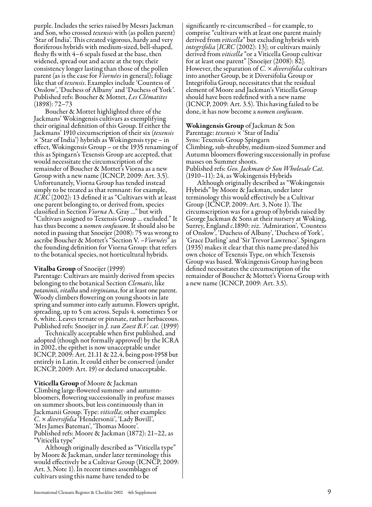purple. Includes the series raised by Messrs Jackman and Son, who crossed *texensis* with (as pollen parent) 'Star of India'. This created vigorous, hardy and very floriferous hybrids with medium-sized, bell-shaped, fleshy fls with 4–6 sepals fused at the base, then widened, spread out and acute at the top; their consistency longer lasting than those of the pollen parent (as is the case for *Viornées* in general); foliage like that of *texensis*. Examples include 'Countess of Onslow', 'Duchess of Albany' and 'Duchess of York'. Published refs: Boucher & Mottet, *Les Clématites* (1898): 72–73

Boucher & Mottet highlighted three of the Jackmans' Wokingensis cultivars as exemplifying their original definition of this Group. If either the Jackmans' 1910 circumscription of their six (*texensis* × 'Star of India') hybrids as Wokingensis type – in effect, Wokingensis Group – or the 1935 renaming of this as Spingarn's Texensis Group are accepted, that would necessitate the circumscription of the remainder of Boucher & Mottet's Viorna as a new Group with a new name (ICNCP, 2009: Art. 3.5). Unfortunately, Viorna Group has tended instead simply to be treated as that remnant: for example, *ICRC* (2002): 13 defined it as "Cultivars with at least one parent belonging to, or derived from, species classified in Section *Viorna* A. Gray ..." but with "Cultivars assigned to Texensis Group ... excluded." It has thus become a *nomen confusum*. It should also be noted in passing that Snoeijer (2008): 75 was wrong to ascribe Boucher & Mottet's "Section V. –*Viornées*" as the founding definition for Viorna Group: that refers to the botanical species, not horticultural hybrids.

#### Vitalba Group of Snoeijer (1999)

Parentage: Cultivars are mainly derived from species belonging to the botanical Section *Clematis*, like *potaninii, vitalba* and *virginiana*, for at least one parent. Woody climbers flowering on young shoots in late spring and summer into early autumn. Flowers upright, spreading, up to 5 cm across. Sepals 4, sometimes 5 or 6, white. Leaves ternate or pinnate, rather herbaceous. Published refs: Snoeijer in *J. van Zoest B.V. cat.* (1999)

Technically acceptable when first published, and adopted (though not formally approved) by the ICRA in 2002, the epithet is now unacceptable under ICNCP, 2009: Art. 21.11 & 22.4, being post-1958 but entirely in Latin. It could either be conserved (under ICNCP, 2009: Art. 19) or declared unacceptable.

Viticella Group of Moore & Jackman Climbing large-flowered summer- and autumnbloomers, flowering successionally in profuse masses on summer shoots, but less continuously than in Jackmanii Group. Type: *viticella*; other examples: *C.* × *diversifolia* 'Hendersonii', 'Lady Bovill', 'Mrs James Bateman', 'Thomas Moore'. Published refs: Moore & Jackman (1872): 21–22, as "Viticella type"

Although originally described as "Viticella type" by Moore & Jackman, under later terminology this would effectively be a Cultivar Group (ICNCP, 2009: Art. 3, Note 1). In recent times assemblages of cultivars using this name have tended to be

significantly re-circumscribed – for example, to comprise "cultivars with at least one parent mainly derived from *viticella*" but excluding hybrids with *integrifolia* [*ICRC* (2002): 13]; or cultivars mainly derived from *viticella* "or a Viticella Group cultivar for at least one parent" [Snoeijer (2008): 82]. However, the separation of *C.* × *diversifolia* cultivars into another Group, be it Diversifolia Group or Integrifolia Group, necessitates that the residual element of Moore and Jackman's Viticella Group should have been redefined with a new name (ICNCP, 2009: Art. 3.5). This having failed to be done, it has now become a *nomen confusum*.

Wokingensis Group of Jackman & Son Parentage: *texensis* × 'Star of India' Syns: Texensis Group Spingarn Climbing, sub-shrubby, medium-sized Summer and Autumn bloomers flowering successionally in profuse masses on Summer shoots. Published refs: *Geo. Jackman & Son Wholesale Cat.* (1910–11): 24, as Wokingensis Hybrids

Although originally described as "Wokingensis Hybrids" by Moore & Jackman, under later terminology this would effectively be a Cultivar Group (ICNCP, 2009: Art. 3, Note 1). The circumscription was for a group of hybrids raised by George Jackman & Sons at their nursery at Woking, Surrey, England *c.*1890: *viz.* 'Admiration', 'Countess of Onslow', 'Duchess of Albany', 'Duchess of York', 'Grace Darling' and 'Sir Trevor Lawrence'. Spingarn (1935) makes it clear that this name pre-dated his own choice of Texensis Type, on which Texensis Group was based. Wokingensis Group having been defined necessitates the circumscription of the remainder of Boucher & Mottet's Viorna Group with a new name (ICNCP, 2009: Art. 3.5).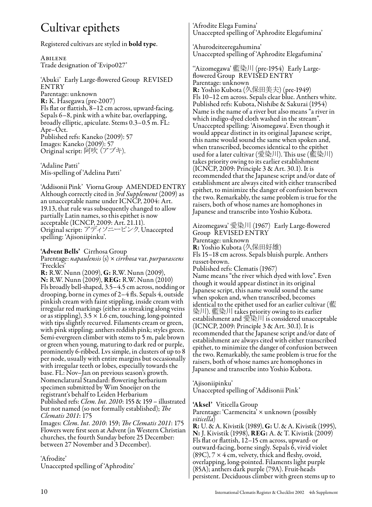### Cultivar epithets

Registered cultivars are styled in bold type.

Abilene Trade designation of 'Evipo027'

'Abuki' Early Large-flowered Group REVISED ENTRY Parentage: unknown R: K. Hasegawa (pre-2007) Fls flat or flattish, 8–12 cm across, upward-facing. Sepals 6–8, pink with a white bar, overlapping, broadly elliptic, apiculate. Stems 0.3–0.5 m. FL: Apr–Oct. Published refs: Kaneko (2009): 57 Images: Kaneko (2009): 57 Original script: 阿吹(アブキ).

'Adaline Patti' Mis-spelling of 'Adelina Patti'

'Addisonii Pink' Viorna Group AMENDED ENTRY Although correctly cited in *3rd Supplement* (2009) as an unacceptable name under ICNCP, 2004: Art. 19.13, that rule was subsequently changed to allow partially Latin names, so this epithet is now acceptable (ICNCP, 2009: Art. 21.11). Original script: アディソニーピンク. Unaccepted spelling: 'Ajisoniipinku'.

#### 'Advent Bells' Cirrhosa Group

Parentage: *napaulensis* (s) × *cirrhosa* var. *purpurascens* 'Freckles'

R: R.W. Nunn (2009), G: R.W. Nunn (2009), N: R.W. Nunn (2009), REG: R.W. Nunn (2010) Fls broadly bell-shaped, 3.5–4.5 cm across, nodding or drooping, borne in cymes of 2–4 fls. Sepals 4, outside pinkish cream with faint stippling, inside cream with irregular red markings (either as streaking along veins or as stippling),  $3.5 \times 1.6$  cm, touching, long-pointed with tips slightly recurved. Filaments cream or green, with pink stippling; anthers reddish pink; styles green. Semi-evergreen climber with stems to 5 m, pale brown or green when young, maturing to dark red or purple, prominently 6-ribbed. Lvs simple, in clusters of up to 8 per node, usually with entire margins but occasionally with irregular teeth or lobes, especially towards the base. FL: Nov–Jan on previous season's growth. Nomenclatural Standard: flowering herbarium specimen submitted by Wim Snoeijer on the registrant's behalf to Leiden Herbarium Published refs: *Clem. Int. 2010*: 155 & 159 – illustrated but not named (so not formally established); *The Clematis 2011*: 175

Images: *Clem. Int. 2010*: 159; *The Clematis 2011*: 175 Flowers were first seen at Advent (in Western Christian churches, the fourth Sunday before 25 December: between 27 November and 3 December).

'Afrodite'

Unaccepted spelling of 'Aphrodite'

'Afrodite Elega Fumina' Unaccepted spelling of 'Aphrodite Elegafumina'

'Ahurodeiteeregahumina' Unaccepted spelling of 'Aphrodite Elegafumina'

''Aizomegawa' 藍染川 (pre-1954) Early Largeflowered Group REVISED ENTRY Parentage: unknown R: Yoshio Kubota (久保田美夫) (pre-1949) Fls 10–12 cm across. Sepals clear blue. Anthers white. Published refs: Kubota, Nishibe & Sakurai (1954) Name is the name of a river but also means "a river in which indigo-dyed cloth washed in the stream". Unaccepted spelling: 'Aisomegawa'. Even though it would appear distinct in its original Japanese script, this name would sound the same when spoken and, when transcribed, becomes identical to the epithet used for a later cultivar (愛染川). This use (藍染川) takes priority owing to its earlier establishment (ICNCP, 2009: Principle 3 & Art. 30.1). It is recommended that the Japanese script and/or date of establishment are always cited with either transcribed epithet, to minimize the danger of confusion between the two. Remarkably, the same problem is true for the raisers, both of whose names are homophones in Japanese and transcribe into Yoshio Kubota.

Aizomegawa' 愛染川 (1967) Early Large-flowered Group REVISED ENTRY Parentage: unknown R: Yoshio Kubota (久保田好雄) Fls 15–18 cm across. Sepals bluish purple. Anthers russet-brown. Published refs: Clematis (1967) Name means "the river which dyed with love". Even though it would appear distinct in its original Japanese script, this name would sound the same when spoken and, when transcribed, becomes identical to the epithet used for an earlier cultivar (藍 染川). 藍染川 takes priority owing to its earlier establishment and 愛染川 is considered unacceptable (ICNCP, 2009: Principle 3 & Art. 30.1). It is recommended that the Japanese script and/or date of establishment are always cited with either transcribed epithet, to minimize the danger of confusion between the two. Remarkably, the same problem is true for the raisers, both of whose names are homophones in Japanese and transcribe into Yoshio Kubota.

'Ajisoniipinku' Unaccepted spelling of 'Addisonii Pink'

'Aksel' Viticella Group

Parentage: 'Carmencita' × unknown (possibly *viticella*)

R: U. & A. Kivistik (1989), G: U. & A. Kivistik (1995), N: J. Kivistik (1998), REG: A. & T. Kivistik (2009) Fls flat or flattish, 12–15 cm across, upward- or outward-facing, borne singly. Sepals 6, vivid violet  $(89C)$ ,  $7 \times 4$  cm, velvety, thick and fleshy, ovoid, overlapping, long-pointed. Filaments light purple (85A); anthers dark purple (79A). Fruit-heads persistent. Deciduous climber with green stems up to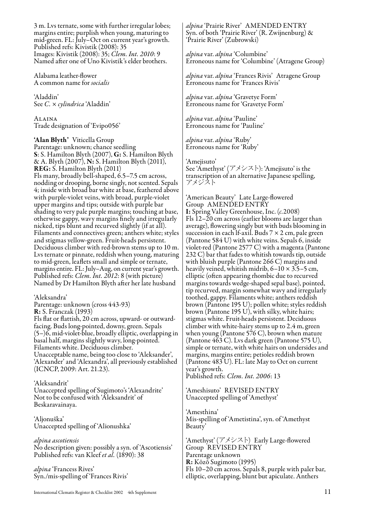3 m. Lvs ternate, some with further irregular lobes; margins entire; purplish when young, maturing to mid-green. FL: July–Oct on current year's growth. Published refs: Kivistik (2008): 35 Images: Kivistik (2008): 35; *Clem. Int. 2010*: 9 Named after one of Uno Kivistik's elder brothers.

Alabama leather-flower A common name for *socialis*

'Aladdin' See *C.* × *cylindrica* 'Aladdin'

Alaina Trade designation of 'Evipo056'

'Alan Blyth' Viticella Group Parentage: unknown; chance seedling S: S. Hamilton Blyth (2007), G: S. Hamilton Blyth & A. Blyth (2007), N: S. Hamilton Blyth (2011), REG: S. Hamilton Blyth (2011) Fls many, broadly bell-shaped, 6.5–7.5 cm across, nodding or drooping, borne singly, not scented. Sepals 4; inside with broad bar white at base, feathered above with purple-violet veins, with broad, purple-violet upper margins and tips; outside with purple bar shading to very pale purple margins; touching at base, otherwise gappy, wavy margins finely and irregularly nicked, tips blunt and recurved slightly (if at all). Filaments and connectives green; anthers white; styles and stigmas yellow-green. Fruit-heads persistent. Deciduous climber with red-brown stems up to 10 m. Lvs ternate or pinnate, reddish when young, maturing to mid-green, leaflets small and simple or ternate, margins entire. FL: July–Aug, on current year's growth. Published refs: *Clem. Int. 2012*: 8 (with picture) Named by Dr Hamilton Blyth after her late husband

'Aleksandra' Parentage: unknown (cross 443-93) R: S. Franczak (1993) Fls flat or flattish, 20 cm across, upward- or outwardfacing. Buds long-pointed, downy, green. Sepals (5–)6, mid-violet-blue, broadly elliptic, overlapping in basal half, margins slightly wavy, long-pointed. Filaments white. Deciduous climber. Unacceptable name, being too close to 'Aleksander', 'Alexander' and 'Alexandra', all previously established (ICNCP, 2009: Art. 21.23).

#### 'Aleksandrit'

Unaccepted spelling of Sugimoto's 'Alexandrite' Not to be confused with 'Aleksandrit' of Beskaravainaya.

'Aljonuška' Unaccepted spelling of 'Alionushka'

*alpina ascotiensis* No description given: possibly a syn. of 'Ascotiensis' Published refs: van Kleef *et al.* (1890): 38

*alpina* 'Francess Rives' Syn./mis-spelling of 'Frances Rivis' *alpina* 'Prairie River' AMENDED ENTRY Syn. of both 'Prairie River' (R. Zwijnenburg) & 'Prairie River' (Zubrowski)

*alpina* var. *alpina* 'Columbine' Erroneous name for 'Columbine' (Atragene Group)

*alpina* var. *alpina* 'Frances Rivis' Atragene Group Erroneous name for 'Frances Rivis'

*alpina* var. *alpina* 'Gravetye Form' Erroneous name for 'Gravetye Form'

*alpina* var. *alpina* 'Pauline' Erroneous name for 'Pauline'

*alpina* var. *alpina* 'Ruby' Erroneous name for 'Ruby'

'Amejisuto'

See 'Amethyst' (アメシスト): 'Amejisuto' is the transcription of an alternative Japanese spelling, アメジスト

'American Beauty' Late Large-flowered Group AMENDED ENTRY I: Spring Valley Greenhouse, Inc. (*c.*2008) Fls 12–20 cm across (earlier blooms are larger than average), flowering singly but with buds blooming in succession in each If-axil. Buds  $7 \times 2$  cm, pale green (Pantone 584 U) with white veins. Sepals 6, inside violet-red (Pantone 2577 C) with a magenta (Pantone 232 C) bar that fades to whitish towards tip, outside with bluish purple (Pantone 266 C) margins and heavily veined, whitish midrib, 6–10 × 3.5–5 cm, elliptic (often appearing rhombic due to recurved margins towards wedge-shaped sepal base), pointed, tip recurved, margin somewhat wavy and irregularly toothed, gappy. Filaments white; anthers reddish brown (Pantone 195 U); pollen white; styles reddish brown (Pantone 195 U), with silky, white hairs; stigmas white. Fruit-heads persistent. Deciduous climber with white-hairy stems up to 2.4 m, green when young (Pantone 576 C), brown when mature (Pantone 463 C). Lvs dark green (Pantone 575 U), simple or ternate, with white hairs on undersides and margins, margins entire; petioles reddish brown (Pantone 483 U). FL: late May to Oct on current year's growth.

Published refs: *Clem. Int. 2006*: 13

'Ameshisuto' REVISED ENTRY Unaccepted spelling of 'Amethyst'

'Amesthina' Mis-spelling of 'Ametistina', syn. of 'Amethyst Beauty'

'Amethyst' (アメシスト) Early Large-flowered Group REVISED ENTRY Parentage unknown R: Kōzō Sugimoto (1995) Fls 10–20 cm across. Sepals 8, purple with paler bar, elliptic, overlapping, blunt but apiculate. Anthers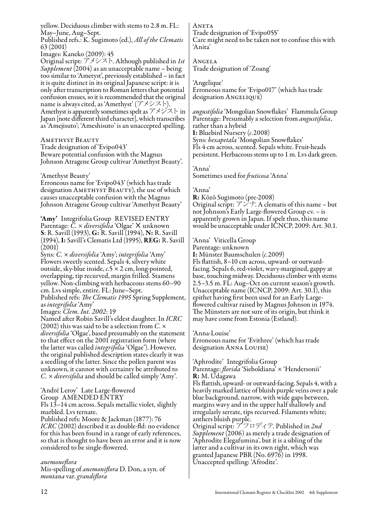yellow. Deciduous climber with stems to 2.8 m. FL: May–June, Aug–Sept.

Published refs.: K. Sugimoto (ed.), *All of the Clematis* 63 (2001)

Images: Kaneko (2009): 45

Original script: アメシスト. Although published in *1st Supplement* (2004) as an unacceptable name – being too similar to 'Ametyst', previously established – in fact it is quite distinct in its original Japanese script: it is only after transcription to Roman letters that potential confusion ensues, so it is recommended that the original name is always cited, as 'Amethyst' (アメシスト). Amethyst is apparently sometimes spelt as  $\mathcal{TXK} \vdash \mathbf{in}$ Japan [note different third character], which transcribes as 'Amejisuto'; 'Ameshisuto' is an unaccepted spelling.

Amethyst Beauty

Trade designation of 'Evipo043' Beware potential confusion with the Magnus Johnson Atragene Group cultivar 'Amethyst Beauty'.

'Amethyst Beauty'

Erroneous name for 'Evipo043' (which has trade designation AMETHYST BEAUTY), the use of which causes unacceptable confusion with the Magnus Johnson Atragene Group cultivar 'Amethyst Beauty'

'Amy' Integrifolia Group REVISED ENTRY Parentage:  $\bar{C} \times \textit{diversifolia}$  'Olgae' X unknown S: R. Savill (1993), G: R. Savill (1994), N: R. Savill (1994), I: Savill's Clematis Ltd (1995), REG: R. Savill (2001)

Syns: *C.* × *diversifolia* 'Amy'; *integrifolia* 'Amy' Flowers sweetly scented. Sepals 4, silvery white outside, sky-blue inside, *c.*5 × 2 cm, long-pointed, overlapping, tip recurved, margin frilled. Stamens yellow. Non-climbing with herbaceous stems 60–90 cm. Lvs simple, entire. FL: June–Sept.

Published refs: *The Clematis 1995* Spring Supplement, as *integrifolia* 'Amy'

Images: *Clem. Int. 2002*: 19

Named after Robin Savill's eldest daughter. In *ICRC*  diversifolia 'Olgae', based presumably on the statement<br>to that effect on the 2001 registration form (where the latter was called *integrifolia* 'Olgae'). However, the original published description states clearly it was a seedling of the latter. Since the pollen parent was unknown, it cannot with certainty be attributed to *C.* × *diversifolia* and should be called simply 'Amy'.

'André Leroy' Late Large-flowered Group AMENDED ENTRY Fls 13–14 cm across. Sepals metallic violet, slightly

marbled. Lvs ternate.

Published refs: Moore & Jackman (1877): 76 *ICRC* (2002) described it as double-fld: no evidence for this has been found in a range of early references, so that is thought to have been an error and it is now considered to be single-flowered.

*anemoneflora*

Mis-spelling of *anemoniflora* D. Don, a syn. of *montana* var. *grandiflora*

**ANETA** Trade designation of 'Evipo055' Care might need to be taken not to confuse this with 'Anita'

Angela Trade designation of 'Zoang'

'Angelique' Erroneous name for 'Evipo017' (which has trade designation ANGELIQUE)

*angustifolia* 'Mongolian Snowflakes' Flammula Group Parentage: Presumably a selection from *angustifolia*, rather than a hybrid I: Bluebird Nursery (*c.*2008) Syns: *hexapetala* 'Mongolian Snowflakes' Fls 4 cm across, scented. Sepals white. Fruit-heads persistent. Herbaceous stems up to 1 m. Lvs dark green.

'Anna'

Sometimes used for *fruticosa* 'Anna'

#### 'Anna'

R: Kōzō Sugimoto (pre-2008) Original script:  $7\ddot{>}$ . A clematis of this name – but not Johnson's Early Large-flowered Group cv. – is apparently grown in Japan. If spelt thus, this name would be unacceptable under ICNCP, 2009: Art. 30.1.

'Anna' Viticella Group

Parentage: unknown I: Münster Baumschulen (*c.*2009) Fls flattish, 8–10 cm across, upward- or outwardfacing. Sepals 6, red-violet, wavy-margined, gappy at base, touching midway. Deciduous climber with stems 2.5–3.5 m. FL: Aug–Oct on current season's growth. Unacceptable name (ICNCP, 2009: Art. 30.1), this epithet having first been used for an Early Largeflowered cultivar raised by Magnus Johnson in 1974. The Münsters are not sure of its origin, but think it may have come from Estonia (Estland).

'Anna-Louise' Erroneous name for 'Evithree' (which has trade designation Anna Louise)

'Aphrodite' Integrifolia Group Parentage: *florida* 'Sieboldiana' × 'Hendersonii'

R: M. Udagawa

Fls flattish, upward- or outward-facing. Sepals 4, with a heavily marked lattice of bluish purple veins over a pale blue background, narrow, with wide gaps between, margins wavy and in the upper half shallowly and irregularly serrate, tips recurved. Filaments white; anthers bluish purple.

Original script: アフロディテ. Published in *2nd Supplement* (2006) as merely a trade designation of 'Aphrodite Elegafumina', but it is a sibling of the latter and a cultivar in its own right, which was granted Japanese PBR (No. 6976) in 1998. Unaccepted spelling: 'Afrodite'.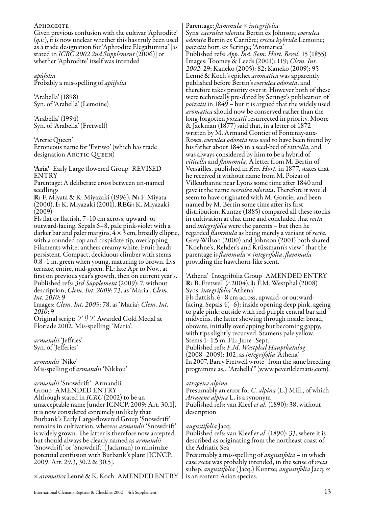#### **APHRODITE**

Given previous confusion with the cultivar 'Aphrodite' (*q.v.*), it is now unclear whether this has truly been used as a trade designation for 'Aphrodite Elegafumina' [as stated in *ICRC 2002 2nd Supplement* (2006)] or whether 'Aphrodite' itself was intended

*apûfolia* Probably a mis-spelling of *apiifolia*

'Arabella' (1898) Syn. of 'Arabella' (Lemoine)

'Arabella' (1994) Syn. of 'Arabella' (Fretwell)

'Arctic Queen' Erroneous name for 'Evitwo' (which has trade designation ARCTIC QUEEN)

'Aria' Early Large-flowered Group REVISED ENTRY

Parentage: A deliberate cross between un-named seedlings

R: F. Miyata & K. Miyazaki (1996), N: F. Miyata (2000), I: K. Miyazaki (2001), REG: K. Miyazaki  $(2009)$ 

Fls flat or flattish, 7–10 cm across, upward- or outward-facing. Sepals 6–8, pale pink-violet with a darker bar and paler margins,  $4 \times 3$  cm, broadly elliptic, with a rounded top and cuspidate tip, overlapping. Filaments white; anthers creamy white. Fruit-heads persistent. Compact, deciduous climber with stems 0.8–1 m, green when young, maturing to brown. Lvs ternate, entire, mid-green. FL: late Apr to Nov., at first on previous year's growth, then on current year's. Published refs: *3rd Supplement* (2009): 7, without description; *Clem. Int. 2009*: 73, as 'Maria'; *Clem. Int. 2010*: 9

Images: *Clem. Int. 2009*: 78, as 'Maria'; *Clem. Int. 2010*: 9

Original script: アリア. Awarded Gold Medal at Floriade 2002. Mis-spelling: 'Maria'.

*armandii* 'Jeffries' Syn. of 'Jefferies'

*armandii* 'Nike' Mis-spelling of *armandii* 'Nikkou'

*armandii* 'Snowdrift' Armandii Group AMENDED ENTRY Although stated in *ICRC* (2002) to be an unacceptable name [under ICNCP, 2009: Art. 30.1], it is now considered extremely unlikely that Burbank's Early Large-flowered Group 'Snowdrift' remains in cultivation, whereas *armandii* 'Snowdrift' is widely grown. The latter is therefore now accepted, but should always be clearly named as *armandii* 'Snowdrift' or 'Snowdrift' (Jackman) to minimize potential confusion with Burbank's plant [ICNCP, 2009: Art. 29.3, 30.2 & 30.5].

× *aromatica* Lenné & K. Koch AMENDED ENTRY

Parentage: *flammula* × *integrifolia* Syns: *caerulea odorata* Bertin ex Johnson; *coerulea odorata* Bertin ex Carrière; *erecta hybrida* Lemoine; *poizatii* hort. ex Seringe; 'Aromatica' Published refs: *App. Ind. Sem. Hort. Berol.* 15 (1855) Images: Toomey & Leeds (2001): 119; *Clem. Int. 2002*: 29; Kaneko (2005): 82; Kaneko (2009): 95 Lenné & Koch's epithet *aromatica* was apparently published before Bertin's *coerulea odorata*, and therefore takes priority over it. However both of these were technically pre-dated by Seringe's publication of *poizatii* in 1849 – but it is argued that the widely used *aromatica* should now be conserved rather than the long-forgotten *poizatii* resurrected in priority. Moore & Jackman (1877) said that, in a letter of 1872 written by M. Armand Gontier of Fontenay-aux-Roses, *coerulea odorata* was said to have been found by his father about 1845 in a seed-bed of *viticella*, and was always considered by him to be a hybrid of *viticella* and *flammula*. A letter from M. Bertin of Versailles, published in *Rev. Hort.* in 1877, states that he received it without name from M. Poizat of Villeurbanne near Lyons some time after 1840 and gave it the name *coerulea odorata*. Therefore it would seem to have originated with M. Gontier and been named by M. Bertin some time after its first distribution. Kuntze (1885) compared all these stocks in cultivation at that time and concluded that *recta* and *integrifolia* were the parents – but then he Grey-Wilson (2000) and Johnson (2001) both shared "Koehne's, Rehder's and Krüssmann's view" that the parentage is *flammula* × *integrifolia*, *flammula* providing the hawthorn-like scent.

'Athena' Integrifolia Group AMENDED ENTRY R: B. Fretwell (*c.*2004), I: F.M. Westphal (2008) Syns: *integrifolia* 'Athena'

Fls flattish, 6–8 cm across, upward- or outwardfacing. Sepals 4(–6); inside opening deep pink, ageing to pale pink; outside with red-purple central bar and midveins, the latter showing through inside; broad, obovate, initially overlapping but becoming gappy, with tips slightly recurved. Stamens pale yellow. Stems 1–1.5 m. FL: June–Sept. Published refs: *F.M. Westphal Hauptkatalog* (2008–2009): 102, as *integrifolia* 'Athena' In 2007, Barry Fretwell wrote "from the same breeding programme as… 'Arabella'" (www.peverilclematis.com).

#### *atragena alpina*

Presumably an error for *C. alpina* (L.) Mill., of which *Atragene alpina* L. is a synonym Published refs: van Kleef *et al.* (1890): 38, without description

#### *augustifolia* Jacq.

Published refs: van Kleef *et al*. (1890): 33, where it is described as originating from the northeast coast of the Adriatic Sea

Presumably a mis-spelling of *angustifolia* – in which case *recta* was probably intended, in the sense of *recta* subsp. *angustifolia* (Jacq.) Kuntze; *angustifolia* Jacq. *ss* l is an eastern Asian species.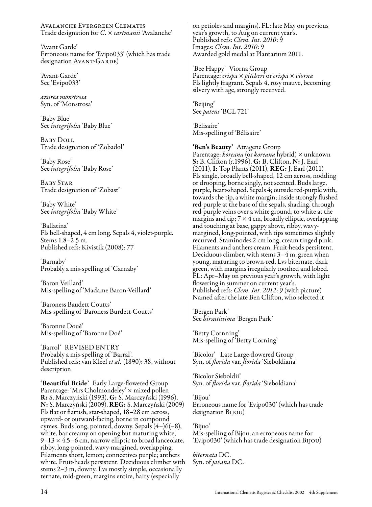Avalanche Evergreen Clematis Trade designation for *C.* × *cartmanii* 'Avalanche'

'Avant Garde' Erroneous name for 'Evipo033' (which has trade designation AVANT-GARDE)

'Avant-Garde' See 'Evipo033'

*azurea monstrosa* Syn. of 'Monstrosa'

'Baby Blue' See *integrifolia* 'Baby Blue'

Baby Doll Trade designation of 'Zobadol'

'Baby Rose' See *integrifolia* 'Baby Rose'

Baby Star Trade designation of 'Zobast'

'Baby White' See *integrifolia* 'Baby White'

'Ballatina' Fls bell-shaped, 4 cm long. Sepals 4, violet-purple. Stems 1.8–2.5 m. Published refs: Kivistik (2008): 77

'Barnaby' Probably a mis-spelling of 'Carnaby'

'Baron Veillard' Mis-spelling of 'Madame Baron-Veillard'

'Baroness Baudett Coutts' Mis-spelling of 'Baroness Burdett-Coutts'

'Baronne Doué' Mis-spelling of 'Baronne Doé'

'Barrol' REVISED ENTRY Probably a mis-spelling of 'Barral'. Published refs: van Kleef *et al.* (1890): 38, without description

'Beautiful Bride' Early Large-flowered Group Parentage: 'Mrs Cholmondeley' × mixed pollen R: S. Marczyński (1993), G: S. Marczyński (1996), N: S. Marczyński (2009), REG: S. Marczyński (2009) Fls flat or flattish, star-shaped, 18–28 cm across, upward- or outward-facing, borne in compound cymes. Buds long, pointed, downy. Sepals  $(4-)6(-8)$ , white, bar creamy on opening but maturing white, 9–13 × 4.5–6 cm, narrow elliptic to broad lanceolate, ribby, long-pointed, wavy-margined, overlapping. Filaments short, lemon; connectives purple; anthers white. Fruit-heads persistent. Deciduous climber with stems 2–3 m, downy. Lvs mostly simple, occasionally ternate, mid-green, margins entire, hairy (especially

on petioles and margins). FL: late May on previous year's growth, to Aug on current year's. Published refs: *Clem. Int. 2010*: 9 Images: *Clem. Int. 2010*: 9 Awarded gold medal at Plantarium 2011.

'Bee Happy' Viorna Group Parentage: *crispa* × *pitcheri* or *crispa* × *viorna* Fls lightly fragrant. Sepals 4, rosy mauve, becoming silvery with age, strongly recurved.

'Beijing' See *patens* 'BCL 721'

'Belisaire' Mis-spelling of 'Bélisaire'

'Ben's Beauty' Atragene Group Parentage: *koreana* (or *koreana* hybrid) × unknown S: B. Clifton (*c.*1996), G: B. Clifton, N: J. Earl (2011), I: Top Plants (2011), REG: J. Earl (2011) Fls single, broadly bell-shaped, 12 cm across, nodding or drooping, borne singly, not scented. Buds large, purple, heart-shaped. Sepals 4; outside red-purple with, towards the tip, a white margin; inside strongly flushed red-purple at the base of the sepals, shading, through red-purple veins over a white ground, to white at the margins and tip;  $7 \times 4$  cm, broadly elliptic, overlapping and touching at base, gappy above, ribby, wavymargined, long-pointed, with tips sometimes slightly recurved. Staminodes 2 cm long, cream tinged pink. Filaments and anthers cream. Fruit-heads persistent. Deciduous climber, with stems 3–4 m, green when young, maturing to brown-red. Lvs biternate, dark green, with margins irregularly toothed and lobed. FL: Apr–May on previous year's growth, with light flowering in summer on current year's. Published refs: *Clem. Int. 2012*: 9 (with picture) Named after the late Ben Clifton, who selected it

'Bergen Park' See *hirsutissima* 'Bergen Park'

'Betty Cornning' Mis-spelling of 'Betty Corning'

'Bicolor' Late Large-flowered Group Syn. of *florida* var. *florida* 'Sieboldiana'

'Bicolor Sieboldii' Syn. of *florida* var. *florida* 'Sieboldiana'

'Bijou' Erroneous name for 'Evipo030' (which has trade designation Bijou)

'Bijuo' Mis-spelling of Bijou, an erroneous name for 'Evipo030' (which has trade designation Bijou)

*biternata* DC. Syn. of *javana* DC.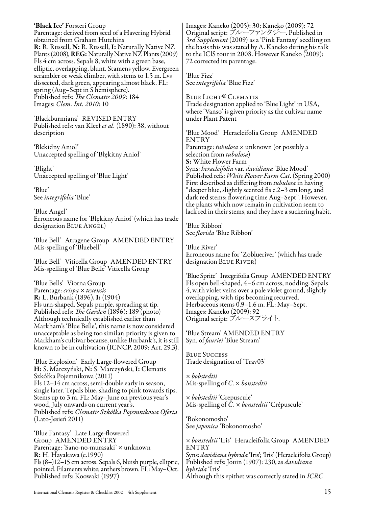'Black Ice' Forsteri Group Parentage: derived from seed of a Havering Hybrid obtained from Graham Hutchins R: R. Russell, N: R. Russell, I: Naturally Native NZ Plants (2008), REG: Naturally Native NZ Plants (2009) Fls 4 cm across. Sepals 8, white with a green base, elliptic, overlapping, blunt. Stamens yellow. Evergreen scrambler or weak climber, with stems to 1.5 m. Lvs dissected, dark green, appearing almost black. FL: spring (Aug–Sept in S hemisphere). Published refs: *The Clematis 2009*: 184 Images: *Clem. Int. 2010*: 10

'Blackburmiana' REVISED ENTRY Published refs: van Kleef *et al.* (1890): 38, without description

'Blekidny Aniol' Unaccepted spelling of 'Błękitny Anioł'

'Blight' Unaccepted spelling of 'Blue Light'

'Blue' See *integrifolia* 'Blue'

'Blue Angel' Erroneous name for 'Błękitny Anioł' (which has trade designation Blue Angel)

'Blue Bell' Atragene Group AMENDED ENTRY Mis-spelling of 'Bluebell'

'Blue Bell' Viticella Group AMENDED ENTRY Mis-spelling of 'Blue Belle' Viticella Group

'Blue Bells' Viorna Group Parentage: *crispa* × *texensis* R: L. Burbank (1896), I: (1904) Fls urn-shaped. Sepals purple, spreading at tip. Published refs: *The Garden* (1896): 189 (photo) Although technically established earlier than Markham's 'Blue Belle', this name is now considered unacceptable as being too similar; priority is given to Markham's cultivar because, unlike Burbank's, it is still known to be in cultivation (ICNCP, 2009: Art. 29.3).

'Blue Explosion' Early Large-flowered Group H: S. Marczyński, N: S. Marczyński, I: Clematis Szkółka Pojemnikowa (2011) Fls 12–14 cm across, semi-double early in season, single later. Tepals blue, shading to pink towards tips. Stems up to 3 m. FL: May–June on previous year's wood, July onwards on current year's. Published refs: *Clematis Szkółka Pojemnikowa Oferta* (Lato-Jesień 2011)

'Blue Fantasy' Late Large-flowered Group AMENDED ENTRY Parentage: 'Sano-no-murasaki' × unknown R: H. Hayakawa (c.1990) Fls (8–)12–15 cm across. Sepals 6, bluish purple, elliptic, pointed. Filaments white; anthers brown. FL: May–Oct. Published refs: Koowaki (1997)

Images: Kaneko (2005): 30; Kaneko (2009): 72 Original script: ブルーファンタジー. Published in *3rd Supplement* (2009) as a 'Pink Fantasy' seedling on the basis this was stated by A. Kaneko during his talk to the IClS tour in 2008. However Kaneko (2009): 72 corrected its parentage.

'Blue Fizz' See *integrifolia* 'Blue Fizz'

Blue Light ® Trade designation applied to 'Blue Light' in USA, **BLUE LIGHT<sup>®</sup>** CLEMATIS where 'Vanso' is given priority as the cultivar name under Plant Patent

'Blue Mood' Heracleifolia Group AMENDED ENTRY Parentage: *tubulosa* × unknown (or possibly a selection from *tubulosa*) S: White Flower Farm Syns: *heracleifolia* var. *davidiana* 'Blue Mood' Published refs: *White Flower Farm Cat*. (Spring 2000) First described as differing from *tubulosa* in having "deeper blue, slightly scented fls c.2–3 cm long, and dark red stems; flowering time Aug–Sept". However, the plants which now remain in cultivation seem to lack red in their stems, and they have a suckering habit.

'Blue Ribbon' See *florida* 'Blue Ribbon'

'Blue River' Erroneous name for 'Zoblueriver' (which has trade designation BLUE RIVER)

'Blue Sprite' Integrifolia Group AMENDED ENTRY Fls open bell-shaped, 4–6 cm across, nodding. Sepals 4, with violet veins over a pale violet ground, slightly overlapping, with tips becoming recurved. Herbaceous stems 0.9–1.6 m. FL: May–Sept. Images: Kaneko (2009): 92 Original script: ブルースプライト.

'Blue Stream' AMENDED ENTRY Syn. of *fauriei* 'Blue Stream'

Blue Success Trade designation of 'Trav03'

× *bobstedtii* Mis-spelling of *C*. × *bonstedtii*

× *bobstedtii* 'Crepuscule' Mis-spelling of *C.* × *bonstedtii* 'Crépuscule'

'Bokonomosho' See *japonica* 'Bokonomosho'

× *bonstedtii* 'Iris' Heracleifolia Group AMENDED ENTRY Syns: *davidiana hybrida* 'Iris'; 'Iris' (Heracleifolia Group) Published refs: Jouin (1907): 230, as *davidiana hybrida* 'Iris' Although this epithet was correctly stated in *ICRC*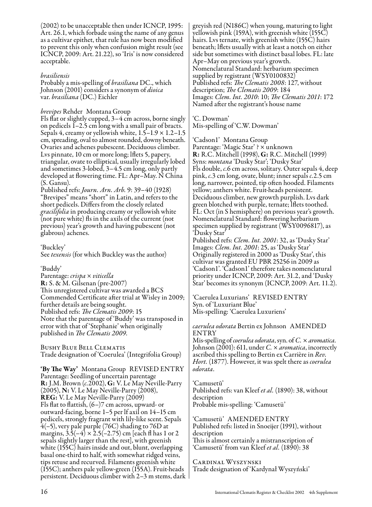(2002) to be unacceptable then under ICNCP, 1995: Art. 26.1, which forbade using the name of any genus as a cultivar epithet, that rule has now been modified to prevent this only when confusion might result (see ICNCP, 2009: Art. 21.22), so 'Iris' is now considered acceptable.

#### *brasiliensis*

Probably a mis-spelling of *brasiliana* DC., which Johnson (2001) considers a synonym of *dioica* var. *brasiliana* (DC.) Eichler

*brevipes* Rehder Montana Group

Fls flat or slightly cupped, 3–4 cm across, borne singly on pedicels 1–2.5 cm long with a small pair of bracts. Sepals 4, creamy or yellowish white,  $1.5-1.9 \times 1.2-1.5$ cm, spreading, oval to almost rounded, downy beneath. Ovaries and achenes pubescent. Deciduous climber. Lvs pinnate, 10 cm or more long; lflets 5, papery, triangular, ovate to elliptical, usually irregularly lobed and sometimes 3-lobed, 3–4.5 cm long, only partly developed at flowering time. FL: Apr–May. N China (S. Gansu).

Published refs: *Journ. Arn. Arb.* 9: 39–40 (1928) "Brevipes" means "short" in Latin, and refers to the short pedicels. Differs from the closely related *gracilifolia* in producing creamy or yellowish white (not pure white) fls in the axils of the current (not previous) year's growth and having pubescent (not glabrous) achenes.

'Buckley' See *texensis* (for which Buckley was the author)

#### 'Buddy'

Parentage: *crispa* × *viticella* R: S. & M. Gilsenan (pre-2007) This unregistered cultivar was awarded a BCS Commended Certificate after trial at Wisley in 2009; further details are being sought. Published refs: *The Clematis 2009*: 15 Note that the parentage of 'Buddy' was transposed in error with that of 'Stephanie' when originally published in *The Clematis 2009*.

Bushy Blue Bell Clematis Trade designation of 'Coerulea' (Integrifolia Group)

'By The Way' Montana Group REVISED ENTRY Parentage: Seedling of uncertain parentage R: J.M. Brown (*c.*2002), G: V. Le May Neville-Parry (2005), N: V. Le May Neville-Parry (2008), REG: V. Le May Neville-Parry (2009) Fls flat to flattish,  $(6-)7$  cm across, upward- or outward-facing, borne 1–5 per lf axil on 14–15 cm pedicels, strongly fragrant with lily-like scent. Sepals 4(–5), very pale purple (76C) shading to 76D at margins,  $3.\overline{5}(-4) \times 2.5(-2.75)$  cm [each fl has 1 or 2 sepals slightly larger than the rest], with greenish white (155C) hairs inside and out, blunt, overlapping basal one-third to half, with somewhat ridged veins, tips retuse and recurved. Filaments greenish white (155C); anthers pale yellow-green (155A). Fruit-heads persistent. Deciduous climber with 2–3 m stems, dark greyish red (N186C) when young, maturing to light yellowish pink (159A), with greenish white (155C) hairs. Lvs ternate, with greenish white (155C) hairs beneath; lflets usually with at least a notch on either side but sometimes with distinct basal lobes. FL: late Apr–May on previous year's growth. Nomenclatural Standard: herbarium specimen supplied by registrant (WSY0100832) Published refs: *The Clematis 2008*: 127, without description; *The Clematis 2009*: 184 Images: *Clem. Int. 2010*: 10; *The Clematis 2011*: 172 Named after the registrant's house name

'C. Dowman' Mis-spelling of 'C.W. Dowman'

#### 'Cadson1' Montana Group

Parentage: 'Magic Star' ? × unknown R: R.C. Mitchell (1998), G: R.C. Mitchell (1999) Syns: *montana* 'Dusky Star'; 'Dusky Star' Fls double, *c.*6 cm across, solitary. Outer sepals 4, deep pink, *c.*3 cm long, ovate, blunt; inner sepals *c.*2.5 cm long, narrower, pointed, tip often hooded. Filaments yellow; anthers white. Fruit-heads persistent. Deciduous climber, new growth purplish. Lvs dark green blotched with purple, ternate; lflets toothed. FL: Oct (in S hemisphere) on previous year's growth. Nomenclatural Standard: flowering herbarium specimen supplied by registrant (WSY0096817), as 'Dusky Star'

Published refs: *Clem. Int. 2001*: 32, as 'Dusky Star' Images: *Clem. Int. 2001*: 25, as 'Dusky Star' Originally registered in 2000 as 'Dusky Star', this cultivar was granted EU PBR 25256 in 2009 as 'Cadson1'. 'Cadson1' therefore takes nomenclatural priority under ICNCP, 2009: Art. 31.2, and 'Dusky Star' becomes its synonym (ICNCP, 2009: Art. 11.2).

'Caerulea Luxurians' REVISED ENTRY Syn. of 'Luxuriant Blue' Mis-spelling: 'Caerulea Luxuriens'

#### *caerulea odorata* Bertin ex Johnson AMENDED ENTRY

Mis-spelling of *coerulea odorata*, syn. of *C.* × *aromatica.* Johnson (2001): 611, under *C.* × *aromatica*, incorrectly ascribed this spelling to Bertin ex Carrière in *Rev. Hort.* (1877). However, it was spelt there as *coerulea odorata*.

'Camusetū' Published refs: van Kleef *et al.* (1890): 38, without description Probable mis-spelling: 'Camusetü'

'Camusetü' AMENDED ENTRY Published refs: listed in Snoeijer (1991), without description This is almost certainly a mistranscription of 'Camusetū' from van Kleef *et al.* (1890): 38

Cardinal Wyszynski Trade designation of 'Kardynał Wyszyński'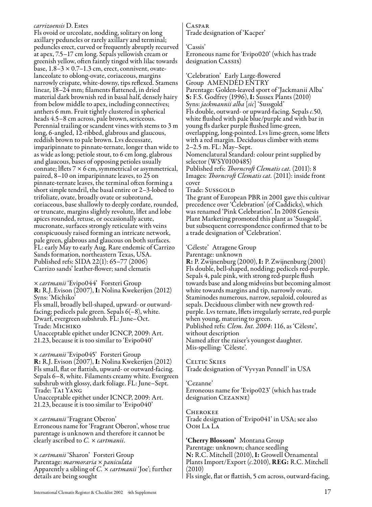#### *carrizoensis* D. Estes

Fls ovoid or urceolate, nodding, solitary on long axillary peduncles or rarely axillary and terminal; peduncles erect, curved or frequently abruptly recurved at apex, 7.5–17 cm long. Sepals yellowish cream or greenish yellow, often faintly tinged with lilac towards base,  $1.8-3 \times 0.7-1.3$  cm, erect, connivent, ovatelanceolate to oblong-ovate, coriaceous, margins narrowly crispate, white-downy, tips reflexed. Stamens linear, 18–24 mm; filaments flattened, in dried material dark brownish red in basal half, densely hairy from below middle to apex, including connectives; anthers 6 mm. Fruit tightly clustered in spherical heads 4.5–8 cm across, pale brown, sericeous. Perennial trailing or scandent vines with stems to 3 m long, 6-angled, 12-ribbed, glabrous and glaucous, reddish brown to pale brown. Lvs decussate, imparipinnate to pinnate-ternate, longer than wide to as wide as long; petiole stout, to 6 cm long, glabrous and glaucous, bases of opposing petioles usually connate; lflets  $7 \times 6$  cm, symmetrical or asymmetrical, paired, 8–10 on imparipinnate leaves, to 25 on pinnate-ternate leaves, the terminal often forming a short simple tendril, the basal entire or 2–3-lobed to trifoliate, ovate, broadly ovate or subrotund, coriaceous, base shallowly to deeply cordate, rounded, or truncate, margins slightly revolute, lflet and lobe apices rounded, retuse, or occasionally acute, mucronate, surfaces strongly reticulate with veins conspicuously raised forming an intricate network, pale green, glabrous and glaucous on both surfaces. FL: early May to early Aug. Rare endemic of Carrizo Sands formation, northeastern Texas, USA. Published refs: SIDA 22(1): 65–77 (2006) Carrizo sands' leather-flower; sand clematis

× *cartmanii* 'Evipo044' Forsteri Group R: R.J. Evison (2007), I: Nolina Kwekerijen (2012) Syns: 'Michiko' Fls small, broadly bell-shaped, upward- or outwardfacing; pedicels pale green. Sepals  $6(-8)$ , white. Dwarf, evergreen subshrub. FL: June–Oct. Trade: Michiko Unacceptable epithet under ICNCP, 2009: Art.

21.23, because it is too similar to 'Evipo040'

× *cartmanii* 'Evipo045' Forsteri Group R: R.J. Evison (2007), I: Nolina Kwekerijen (2012) Fls small, flat or flattish, upward- or outward-facing. Sepals 6–8, white. Filaments creamy white. Evergreen subshrub with glossy, dark foliage. FL: June–Sept. Trade: Tai Yang Unacceptable epithet under ICNCP, 2009: Art. 21.23, because it is too similar to 'Evipo040'

× *cartmanii* 'Fragrant Oberon' Erroneous name for 'Fragrant Oberon', whose true parentage is unknown and therefore it cannot be clearly ascribed to *C.* × *cartmanii*.

× *cartmanii* 'Sharon' Forsteri Group Parentage: *marmoraria* × *paniculata* Apparently a sibling of *C.* × *cartmanii* 'Joe'; further details are being sought

### Caspar

Trade designation of 'Kacper'

'Cassis'

Erroneous name for 'Evipo020' (which has trade designation CASSIS)

'Celebration' Early Large-flowered Group AMENDED ENTRY Parentage: Golden-leaved sport of 'Jackmanii Alba' S: F.S. Godfrey (1996), I: Sussex Plants (2010) Syns: *jackmannii alba* [*sic*] 'Sussgold' Fls double, outward- or upward-facing. Sepals *c.*50, white flushed with pale blue/purple and with bar in young fls darker purple flushed lime-green, overlapping, long-pointed. Lvs lime-green, some lflets with a red margin. Deciduous climber with stems 2–2.5 m. FL: May–Sept.

Nomenclatural Standard: colour print supplied by selector (WSY0100485)

Published refs: *Thorncroft Clematis cat.* (2011): 8 Images: *Thorncroft Clematis cat.* (2011): inside front cover

Trade: Sussgold

The grant of European PBR in 2001 gave this cultivar precedence over 'Celebration' (of Caddicks), which was renamed 'Pink Celebration'. In 2008 Genesis Plant Marketing promoted this plant as 'Sussgold', but subsequent correspondence confirmed that to be a trade designation of 'Celebration'.

'Céleste' Atragene Group

Parentage: unknown

R: P. Zwijnenburg (2000), I: P. Zwijnenburg (2001) Fls double, bell-shaped, nodding; pedicels red-purple. Sepals 4, pale pink, with strong red-purple flush towards base and along midveins but becoming almost white towards margins and tip, narrowly ovate. Staminodes numerous, narrow, sepaloid, coloured as sepals. Deciduous climber with new growth redpurple. Lvs ternate, lflets irregularly serrate, red-purple when young, maturing to green. Published refs: *Clem. Int. 2004*: 116, as 'Cèleste', without description

Named after the raiser's youngest daughter. Mis-spelling: 'Cèleste'.

Celtic Skies Trade designation of 'Vyvyan Pennell' in USA

'Cezanne'

Erroneous name for 'Evipo023' (which has trade designation Cezanne)

**CHEROKEE** Trade designation of 'Evipo041' in USA; see also Ooh La La

'Cherry Blossom' Montana Group Parentage: unknown; chance seedling N: R.C. Mitchell (2010), I: Growell Ornamental Plants Import/Export (*c.*2010), REG: R.C. Mitchell (2010) Fls single, flat or flattish, 5 cm across, outward-facing,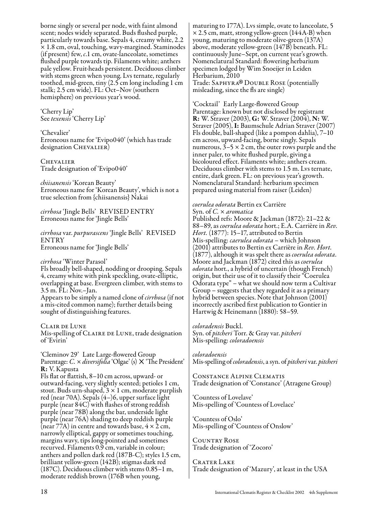borne singly or several per node, with faint almond scent; nodes widely separated. Buds flushed purple, particularly towards base. Sepals 4, creamy white, 2.2 × 1.8 cm, oval, touching, wavy-margined. Staminodes (if present) few, *c*.1 cm, ovate-lanceolate, sometimes flushed purple towards tip. Filaments white; anthers pale yellow. Fruit-heads persistent. Deciduous climber with stems green when young. Lvs ternate, regularly toothed, mid-green, tiny (2.5 cm long including 1 cm stalk; 2.5 cm wide). FL: Oct–Nov (southern hemisphere) on previous year's wood.

'Cherry Lip' See *texensis* 'Cherry Lip'

'Chevalier' Erroneous name for 'Evipo040' (which has trade designation CHEVALIER)

**CHEVALIER** Trade designation of 'Evipo040'

*chiisanensis* 'Korean Beauty' Erroneous name for 'Korean Beauty', which is not a true selection from {chiisanensis} Nakai

*cirrhosa* 'Jingle Bells' REVISED ENTRY Erroneous name for 'Jingle Bells'

*cirrhosa* var. *purpurascens* 'Jingle Bells' REVISED ENTRY Erroneous name for 'Jingle Bells'

*cirrhosa* 'Winter Parasol'

Fls broadly bell-shaped, nodding or drooping. Sepals 4, creamy white with pink speckling, ovate-elliptic, overlapping at base. Evergreen climber, with stems to 3.5 m. FL: Nov.–Jan. Appears to be simply a named clone of *cirrhosa* (if not a mis-cited common name); further details being sought of distinguishing features.

Clair de Lune Mis-spelling of CLAIRE DE LUNE, trade designation of 'Evirin'

'Cleminov 29' Late Large-flowered Group Parentage: *C. × diversifolia* 'Olgae' (s) × 'The President' R: V. Kapusta

Fls flat or flattish, 8–10 cm across, upward- or outward-facing, very slightly scented; petioles 1 cm, stout. Buds urn-shaped,  $3 \times 1$  cm, moderate purplish red (near 70A). Sepals (4–)6, upper surface light purple (near 84C) with flashes of strong reddish purple (near 78B) along the bar, underside light purple (near 76A) shading to deep reddish purple (near 77A) in centre and towards base,  $4 \times 2$  cm, narrowly elliptical, gappy or sometimes touching, margins wavy, tips long-pointed and sometimes recurved. Filaments 0.9 cm, variable in colour; anthers and pollen dark red (187B-C); styles 1.5 cm, brilliant yellow-green (142B); stigmas dark red (187C). Deciduous climber with stems 0.85–1 m, moderate reddish brown (176B when young,

maturing to 177A). Lvs simple, ovate to lanceolate, 5  $\times$  2.5 cm, matt, strong yellow-green (144A-B) when young, maturing to moderate olive-green (137A) above, moderate yellow-green (147B) beneath. FL: continuously June–Sept, on current year's growth. Nomenclatural Standard: flowering herbarium specimen lodged by Wim Snoeijer in Leiden Herbarium, 2010 Trade: Saphyra ® misleading, since the fls are single) Trade: SAPHYRA® DOUBLE ROSE (potentially

'Cocktail' Early Large-flowered Group Parentage: known but not disclosed by registrant R: W. Straver (2003), G: W. Straver (2004), N: W. Straver (2005), I: Baumschule Adrian Straver (2007) Fls double, ball-shaped (like a pompon dahlia), 7–10 cm across, upward-facing, borne singly. Sepals numerous,  $3-5 \times 2$  cm, the outer rows purple and the inner paler, to white flushed purple, giving a bicoloured effect. Filaments white; anthers cream. Deciduous climber with stems to 1.5 m. Lvs ternate, entire, dark green. FL: on previous year's growth. Nomenclatural Standard: herbarium specimen prepared using material from raiser (Leiden)

#### *coerulea odorata* Bertin ex Carrière

Syn. of *C.* × *aromatica* Published refs: Moore & Jackman (1872): 21–22 & 88–89, as *coerulea odorata* hort.; E.A. Carrière in *Rev. Hort.* (1877): 15–17, attributed to Bertin Mis-spelling: *caerulea odorata* – which Johnson (2001) attributes to Bertin ex Carrière in *Rev. Hort.* (1877), although it was spelt there as *coerulea odorata*. Moore and Jackman (1872) cited this as *coerulea odorata* hort., a hybrid of uncertain (though French) origin, but their use of it to classify their "Coerulea Odorata type" – what we should now term a Cultivar Group – suggests that they regarded it as a primary hybrid between species. Note that Johnson (2001) incorrectly ascribed first publication to Gontier in Hartwig & Heinemann (1880): 58–59.

*coloradensis* Buckl. Syn. of *pitcheri* Torr. & Gray var. *pitcheri* Mis-spelling: *coloradoensis*

*coloradoensis* Mis-spelling of *coloradensis*, a syn. of *pitcheri* var. *pitcheri*

Constance Alpine Clematis Trade designation of 'Constance' (Atragene Group)

'Countess of Lovelave' Mis-spelling of 'Countess of Lovelace'

'Countess of Oslo' Mis-spelling of 'Countess of Onslow'

Country Rose Trade designation of 'Zocoro'

CRATER LAKE Trade designation of 'Mazury', at least in the USA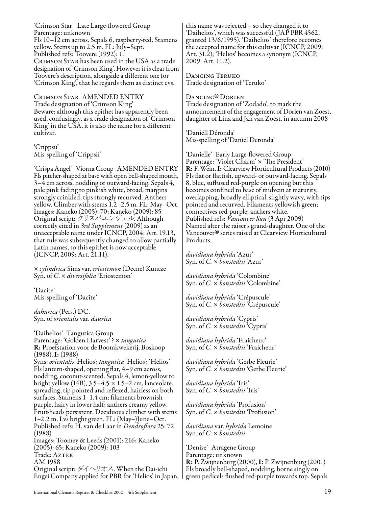'Crimson Star' Late Large-flowered Group Parentage: unknown Fls 10–12 cm across. Sepals 6, raspberry-red. Stamens yellow. Stems up to 2.5 m. FL: July–Sept. Published refs: Toovere (1992): 11 Crimson Star has been used in the USA as a trade designation of 'Crimson King'. However it is clear from Toovere's description, alongside a different one for 'Crimson King', that he regards them as distinct cvs.

Crimson Star AMENDED ENTRY Trade designation of 'Crimson King' Beware: although this epithet has apparently been used, confusingly, as a trade designation of 'Crimson King' in the USA, it is also the name for a different cultivar.

'Crippsū' Mis-spelling of 'Crippsii'

'Crispa Angel' Viorna Group AMENDED ENTRY Fls pitcher-shaped at base with open bell-shaped mouth, 3–4 cm across, nodding or outward-facing. Sepals 4, pale pink fading to pinkish white, broad, margins strongly crinkled, tips strongly recurved. Anthers yellow. Climber with stems 1.2–2.5 m. FL: May–Oct. Images: Kaneko (2005): 70; Kaneko (2009): 85 Original script: クリスパエンジェル. Although correctly cited in *3rd Supplement* (2009) as an unacceptable name under ICNCP, 2004: Art. 19.13, that rule was subsequently changed to allow partially Latin names, so this epithet is now acceptable (ICNCP, 2009: Art. 21.11).

× *cylindrica* Sims var. *eriostemon* (Decne) Kuntze Syn. of *C*. × *diversifolia* 'Eriostemon'

'Dacite' Mis-spelling of 'Dacīte'

*dahurica* (Pers.) DC. Syn. of *orientalis* var. *daurica*

'Daihelios' Tangutica Group Parentage: 'Golden Harvest' ? × *tangutica* R: Proefstation voor de Boomkwekerij, Boskoop (1988), I: (1988) Syns: *orientalis* 'Helios'; *tangutica* 'Helios'; 'Helios' Fls lantern-shaped, opening flat, 4–9 cm across, nodding, coconut-scented. Sepals 4, lemon-yellow to bright yellow (14B), 3.5–4.5  $\times$  1.5–2 cm, lanceolate, spreading, tip pointed and reflexed, hairless on both surfaces. Stamens 1–1.4 cm; filaments brownish purple, hairy in lower half; anthers creamy yellow. Fruit-heads persistent. Deciduous climber with stems 1–2.2 m. Lvs bright green. FL: (May–)June–Oct. Published refs: H. van de Laar in *Dendroflora* 25: 72 (1988) Images: Toomey & Leeds (2001): 216; Kaneko (2005): 65; Kaneko (2009): 103 Trade: AzTEK AM 1988 Original script: ダイヘリオス. When the Dai-ichi

this name was rejected – so they changed it to 'Daihelios', which was successful (JAP PBR 4562, granted 13/6/1995). 'Daihelios' therefore becomes the accepted name for this cultivar (ICNCP, 2009: Art. 31.2); 'Helios' becomes a synonym (ICNCP, 2009: Art. 11.2).

Dancing Teruko Trade designation of 'Teruko'

Dancing ® Trade designation of 'Zodado', to mark the DANCING<sup>®</sup> DORIEN announcement of the engagement of Dorien van Zoest, daughter of Lina and Jan van Zoest, in autumn 2008

'Daniéll Déronda' Mis-spelling of 'Daniel Deronda'

'Danielle' Early Large-flowered Group Parentage: 'Violet Charm' × 'The President' R: F. Wein, I: Clearview Horticultural Products (2010) Fls flat or flattish, upward- or outward-facing. Sepals 8, blue, suffused red-purple on opening but this becomes confined to base of midvein at maturity, overlapping, broadly elliptical, slightly wavy, with tips pointed and recurved. Filaments yellowish green; connectives red-purple; anthers white. Published refs: *Vancouver Sun* (3 Apr 2009) Named after the raiser's grand-daughter. One of the Vancouver ® series raised at Clearview Horticultural Products.

*davidiana hybrida* 'Azur' Syn. of *C.* × *bonstedtii* 'Azur'

*davidiana hybrida* 'Colombine' Syn. of *C.* × *bonstedtii* 'Colombine'

*davidiana hybrida* 'Crépuscule' Syn. of *C.* × *bonstedtii* 'Crépuscule'

*davidiana hybrida* 'Cypris' Syn. of *C.* × *bonstedtii* 'Cypris'

*davidiana hybrida* 'Fraicheur' Syn. of *C.* × *bonstedtii* 'Fraicheur'

*davidiana hybrida* 'Gerbe Fleurie' Syn. of *C.* × *bonstedtii* 'Gerbe Fleurie'

*davidiana hybrida* 'Iris' Syn. of *C.* × *bonstedtii* 'Iris'

*davidiana hybrida* 'Profusion' Syn. of *C.* × *bonstedtii* 'Profusion'

*davidiana* var. *hybrida* Lemoine Syn. of *C.* × *bonstedtii*

'Denise' Atragene Group Parentage: unknown R: P. Zwijnenburg (2000), I: P. Zwijnenburg (2001) Fls broadly bell-shaped, nodding, borne singly on green pedicels flushed red-purple towards top. Sepals

Engei Company applied for PBR for 'Helios' in Japan,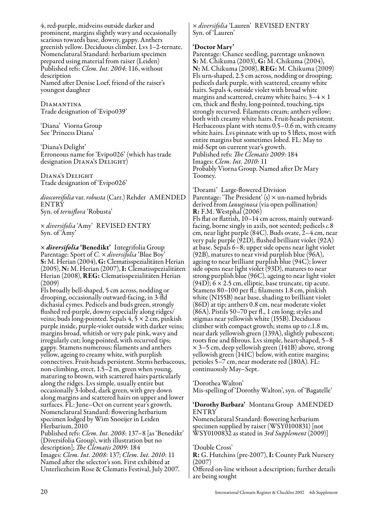4, red-purple, midveins outside darker and prominent, margins slightly wavy and occasionally scarious towards base, downy, gappy. Anthers greenish yellow. Deciduous climber. Lvs 1–2-ternate. Nomenclatural Standard: herbarium specimen prepared using material from raiser (Leiden) Published refs: *Clem. Int. 2004*: 116, without description Named after Denise Loef, friend of the raiser's youngest daughter

Diamantina Trade designation of 'Evipo039'

'Diana' Viorna Group See 'Princess Diana'

'Diana's Delight' Erroneous name for 'Evipo026' (which has trade designation Diana's Delight)

Diana's Delight Trade designation of 'Evipo026'

*dioscoreifolia* var. *robusta* (Carr.) Rehder AMENDED **ENTRY** Syn. of *terniflora* 'Robusta'

× *diversifolia* 'Amy' REVISED ENTRY Syn. of 'Amy'

× *diversifolia* 'Benedikt' Integrifolia Group Parentage: Sport of *C.* × *diversifolia* 'Blue Boy' (2005), **N:** M. Herian (2007), **I:** Clematisspezialitäten<br>Herian (2008), **REG:** Clematisspezialitäten Herian (2009)

Fls broadly bell-shaped, 5 cm across, nodding or drooping, occasionally outward-facing, in 3-fld dichasial cymes. Pedicels and buds green, strongly flushed red-purple, downy especially along ridges/ veins; buds long-pointed. Sepals  $4, 5 \times 2$  cm, pinkish purple inside, purple-violet outside with darker veins; margins broad, whitish or very pale pink, wavy and irregularly cut; long-pointed, with recurved tips; gappy. Stamens numerous; filaments and anthers yellow, ageing to creamy white, with purplish connectives. Fruit-heads persistent. Stems herbaceous, non-climbing, erect, 1.5–2 m, green when young, maturing to brown, with scattered hairs particularly along the ridges. Lvs simple, usually entire but occasionally 3-lobed, dark green, with grey down along margins and scattered hairs on upper and lower surfaces. FL: June–Oct on current year's growth. Nomenclatural Standard: flowering herbarium specimen lodged by Wim Snoeijer in Leiden Herbarium, 2010

Published refs: *Clem. Int. 2008*: 137–8 [as 'Benedikt' (Diversifolia Group), with illustration but no description]; *The Clematis 2009*: 184 Images: *Clem. Int. 2008*: 137; *Clem. Int. 2010*: 11 Named after the selector's son. First exhibited at Unterliezheim Rose & Clematis Festival, July 2007.

#### × *diversifolia* 'Lauren' REVISED ENTRY Syn. of 'Lauren'

#### 'Doctor Mary'

Parentage: Chance seedling, parentage unknown S: M. Chikuma (2003), G: M. Chikuma (2004), N: M. Chikuma (2008), REG: M. Chikuma (2009) Fls urn-shaped, 2.5 cm across, nodding or drooping; pedicels dark purple, with scattered, creamy white hairs. Sepals 4, outside violet with broad white margins and scattered, creamy white hairs;  $3-4 \times 1$ cm, thick and fleshy, long-pointed, touching, tips strongly recurved. Filaments cream; anthers yellow; both with creamy white hairs. Fruit-heads persistent. Herbaceous plant with stems 0.5–0.6 m, with creamy white hairs. Lvs pinnate with up to 5 lflets, most with entire margins but sometimes lobed. FL: May to mid-Sept on current year's growth. Published refs: *The Clematis 2009*: 184 Images: *Clem. Int. 2010*: 11 Probably Viorna Group. Named after Dr Mary Toomey.

'Dorami' Large-flowered Division<br>Parentage: 'The President' (s)  $\times$  un-named hybrids derived from *lanuginosa* (via open pollination) R: F.M. Westphal (2006)

Fls flat or flattish, 10–14 cm across, mainly outwardfacing, borne singly in axils, not scented; pedicels *c*.8 cm, near light purple (84C). Buds ovate, 2–4 cm, near very pale purple (92D), flushed brilliant violet (92A) at base. Sepals 6–8; upper side opens near light violet (92B), matures to near vivid purplish blue (96A), ageing to near brilliant purplish blue (94C); lower side opens near light violet (93D), matures to near strong purplish blue (96C), ageing to near light violet  $(94D)$ ; 6 × 2.5 cm, elliptic, base truncate, tip acute. Stamens 80–100 per fl.; filaments 1.8 cm, pinkish white (N155B) near base, shading to brilliant violet (86D) at tip; anthers 0.8 cm, near moderate violet (86A). Pistils 50–70 per fl., 1 cm long; styles and stigmas near yellowish white (155B). Deciduous climber with compact growth; stems up to *c*.1.8 m, near dark yellowish green (139A), slightly pubescent; roots fine and fibrous. Lvs simple, heart-shaped, 5–8 × 3–5 cm, deep yellowish green (141B) above, strong yellowish green (141C) below, with entire margins; petioles 5–7 cm, near moderate red (180A). FL: continuously May–Sept.

'Dorothea Walton' Mis-spelling of 'Dorothy Walton', syn. of 'Bagatelle'

'Dorothy Barbara' Montana Group AMENDED ENTRY

Nomenclatural Standard: flowering herbarium specimen supplied by raiser (WSY0100831) [not WSY0100832 as stated in *3rd Supplement* (2009)]

#### 'Double Cross'

R: G. Hutchins (pre-2007), I: County Park Nursery (2007)

Offered on-line without a description; further details are being sought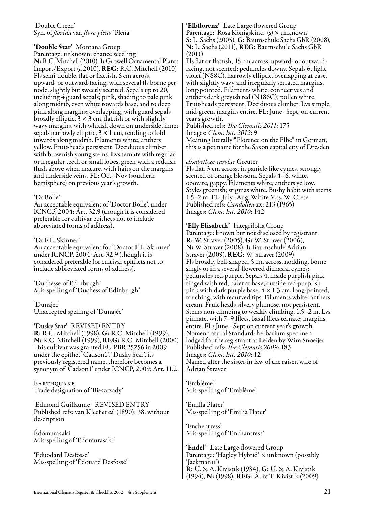#### 'Double Green' Syn. of *florida* var. *flore-pleno* 'Plena'

#### 'Double Star' Montana Group

Parentage: unknown; chance seedling N: R.C. Mitchell (2010), I: Growell Ornamental Plants Import/Export (*c.*2010), REG: R.C. Mitchell (2010) Fls semi-double, flat or flattish, 6 cm across, upward- or outward-facing, with several fls borne per node, slightly but sweetly scented. Sepals up to 20, including 4 guard sepals; pink, shading to pale pink along midrib, even white towards base, and to deep pink along margins; overlapping, with guard sepals broadly elliptic,  $3 \times 3$  cm, flattish or with slightly wavy margins, with whitish down on underside, inner sepals narrowly elliptic,  $3 \times 1$  cm, tending to fold inwards along midrib. Filaments white; anthers yellow. Fruit-heads persistent. Deciduous climber with brownish young stems. Lvs ternate with regular or irregular teeth or small lobes, green with a reddish flush above when mature, with hairs on the margins and underside veins. FL: Oct–Nov (southern hemisphere) on previous year's growth.

#### 'Dr Bolle'

An acceptable equivalent of 'Doctor Bolle', under ICNCP, 2004: Art. 32.9 (though it is considered preferable for cultivar epithets not to include abbreviated forms of address).

#### 'Dr F.L. Skinner'

An acceptable equivalent for 'Doctor F.L. Skinner' under ICNCP, 2004: Art. 32.9 (though it is considered preferable for cultivar epithets not to include abbreviated forms of address).

'Duchesse of Edinburgh' Mis-spelling of 'Duchess of Edinburgh'

'Dunajec' Unaccepted spelling of 'Dunajéc'

'Dusky Star' REVISED ENTRY R: R.C. Mitchell (1998), G: R.C. Mitchell (1999), N: R.C. Mitchell (1999), REG: R.C. Mitchell (2000) This cultivar was granted EU PBR 25256 in 2009 under the epithet 'Cadson1'. 'Dusky Star', its previously registered name, therefore becomes a synonym of 'Cadson1' under ICNCP, 2009: Art. 11.2.

Earthquake Trade designation of 'Bieszczady'

'Edmond Guillaume' REVISED ENTRY Published refs: van Kleef *et al.* (1890): 38, without description

Édomurasaki Mis-spelling of 'Edomurasaki'

'Eduodard Desfosse' Mis-spelling of 'Édouard Desfossé'

#### 'Elbflorenz' Late Large-flowered Group Parentage: 'Rosa Königskind' (s) × unknown S: L. Sachs (2005), G: Baumschule Sachs GbR (2008), N: L. Sachs (2011), REG: Baumschule Sachs GbR (2011)

Fls flat or flattish, 15 cm across, upward- or outwardfacing, not scented; peduncles downy. Sepals 6, light violet (N88C), narrowly elliptic, overlapping at base, with slightly wavy and irregularly serrated margins, long-pointed. Filaments white; connectives and anthers dark greyish red (N186C); pollen white. Fruit-heads persistent. Deciduous climber. Lvs simple, mid-green, margins entire. FL: June–Sept, on current year's growth.

Published refs: *The Clematis 2011*: 175 Images: *Clem. Int. 2012*: 9 Meaning literally "Florence on the Elbe" in German, this is a pet name for the Saxon capital city of Dresden

#### *elisabethae-carolae* Greuter

Fls flat, 3 cm across, in panicle-like cymes, strongly scented of orange blossom. Sepals 4–6, white, obovate, gappy. Filaments white; anthers yellow. Styles greenish; stigmas white. Bushy habit with stems 1.5–2 m. FL: July–Aug. White Mts, W. Crete. Published refs: *Candollea* xx: 213 (1965) Images: *Clem. Int. 2010*: 142

#### 'Elly Elisabeth' Integrifolia Group

Parentage: known but not disclosed by registrant R: W. Straver (2005), G: W. Straver (2006), N: W. Straver (2008), I: Baumschule Adrian Straver (2009), **REG**: W. Straver (2009) Fls broadly bell-shaped, 5 cm across, nodding, borne singly or in a several-flowered dichasial cymes; peduncles red-purple. Sepals 4, inside purplish pink tinged with red, paler at base, outside red-purplish pink with dark purple base,  $4 \times 1.3$  cm, long-pointed, touching, with recurved tips. Filaments white; anthers cream. Fruit-heads silvery plumose, not persistent. Stems non-climbing to weakly climbing, 1.5–2 m. Lvs pinnate, with 7–9 lflets, basal lflets ternate; margins entire. FL: June –Sept on current year's growth. Nomenclatural Standard: herbarium specimen lodged for the registrant at Leiden by Wim Snoeijer Published refs: *The Clematis 2009*: 183 Images: *Clem. Int. 2010*: 12 Named after the sister-in-law of the raiser, wife of Adrian Straver

'Emblême' Mis-spelling of 'Emblème'

'Emilla Plater' Mis-spelling of 'Emilia Plater'

'Enchentress' Mis-spelling of 'Enchantress'

'Endel' Late Large-flowered Group Parentage: 'Hagley Hybrid' × unknown (possibly 'Jackmanii') R: U. & A. Kivistik (1984), G: U. & A. Kivistik (1994), N: (1998), REG: A. & T. Kivistik (2009)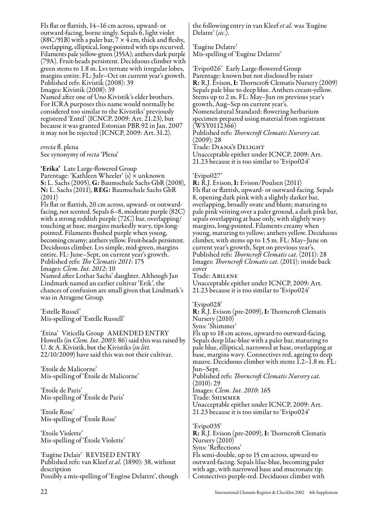Fls flat or flattish, 14–16 cm across, upward- or outward-facing, borne singly. Sepals 6, light violet (88C/91B) with a paler bar,  $7 \times 4$  cm, thick and fleshy, overlapping, elliptical, long-pointed with tips recurved. Filaments pale yellow-green (155A); anthers dark purple (79A). Fruit-heads persistent. Deciduous climber with green stems to 1.8 m. Lvs ternate with irregular lobes, margins entire. FL: July–Oct on current year's growth. Published refs: Kivistik (2008): 39 Images: Kivistik (2008): 39 Named after one of Uno Kivistik's elder brothers. For ICRA purposes this name would normally be considered too similar to the Kivistiks' previously

registered 'Entel' (ICNCP, 2009: Art. 21.23), but because it was granted Estonian PBR 92 in Jan. 2007 it may not be rejected (ICNCP, 2009: Art. 31.2).

*erecta* fl. plena See synonymy of *recta* 'Plena'

'Erika' Late Large-flowered Group Parentage: 'Kathleen Wheeler' (s) × unknown S: L. Sachs (2005), G: Baumschule Sachs GbR (2008), N: L. Sachs (2011), REG: Baumschule Sachs GbR (2011)

Fls flat or flattish, 20 cm across, upward- or outwardfacing, not scented. Sepals 6–8, moderate purple (82C) with a strong reddish purple (72C) bar, overlapping/ touching at base, margins markedly wavy, tips longpointed. Filaments flushed purple when young, becoming creamy; anthers yellow. Fruit-heads persistent. Deciduous climber. Lvs simple, mid-green, margins entire. FL: June–Sept, on current year's growth. Published refs: *The Clematis 2011*: 175 Images: *Clem. Int. 2012*: 10 Named after Lothar Sachs' daughter. Although Jan Lindmark named an earlier cultivar 'Erik', the chances of confusion are small given that Lindmark's was in Atragene Group.

'Estelle Russel' Mis-spelling of 'Estelle Russell'

'Etina' Viticella Group AMENDED ENTRY Howells (in *Clem. Int. 2003*: 86) said this was raised by U. & A. Kivistik, but the Kivistiks (*in litt.* 22/10/2009) have said this was not their cultivar.

'Etoile de Malicorne' Mis-spelling of 'Étoile de Malicorne'

'Etoile de Paris' Mis-spelling of 'Étoile de Paris'

'Etoile Rose' Mis-spelling of 'Étoile Rose'

'Etoile Violette' Mis-spelling of 'Étoile Violette'

'Eugène Delair' REVISED ENTRY Published refs: van Kleef *et al.* (1890): 38, without description Possibly a mis-spelling of 'Eugène Delattre', though the following entry in van Kleef *et al.* was 'Eugène Delatre' (*sic.*).

'Eugène Delatre' Mis-spelling of 'Eugène Delattre'

'Evipo026' Early Large-flowered Group Parentage: known but not disclosed by raiser R: R.J. Evison, I: Thorncroft Clematis Nursery (2009) Sepals pale blue to deep blue. Anthers cream-yellow. Stems up to 2 m. FL: May–Jun on previous year's growth, Aug–Sep on current year's. Nomenclatural Standard: flowering herbarium specimen prepared using material from registrant (WSY0112366) Published refs: *Thorncroft Clematis Nursery cat.* (2009): 28

Trade: Diana's Delight Unacceptable epithet under ICNCP, 2009: Art. 21.23 because it is too similar to 'Evipo024'

#### 'Evipo027'

R: R.J. Evison, I: Evison/Poulsen (2011) Fls flat or flattish, upward- or outward-facing. Sepals 8, opening dark pink with a slightly darker bar, overlapping, broadly ovate and blunt; maturing to pale pink veining over a paler ground, a dark pink bar, sepals overlapping at base only, with slightly wavy margins, long-pointed. Filaments creamy when young, maturing to yellow; anthers yellow. Deciduous climber, with stems up to 1.5 m. FL: May–June on current year's growth, Sept on previous year's. Published refs: *Thorncroft Clematis cat.* (2011): 28 Images: *Thorncroft Clematis cat.* (2011): inside back cover

Trade: Abilene

Unacceptable epithet under ICNCP, 2009: Art. 21.23 because it is too similar to 'Evipo024'

'Evipo028'

R: R.J. Evison (pre-2009), I: Thorncroft Clematis Nursery (2010) Syns: 'Shimmer' Fls up to 18 cm across, upward-to outward-facing. Sepals deep lilac-blue with a paler bar, maturing to pale blue, elliptical, narrowed at base, overlapping at base, margins wavy. Connectives red, ageing to deep mauve. Deciduous climber with stems  $\tilde{1}$ .2– $\tilde{1}$ .8 m.  $\tilde{F}L$ : Jun–Sept. Published refs: *Thorncroft Clematis Nursery cat.*  $(2010): 29$ Images: *Clem. Int. 2010*: 165 Trade: Shimmer Unacceptable epithet under ICNCP, 2009: Art. 21.23 because it is too similar to 'Evipo024'

'Evipo035' R: R.J. Evison (pre-2009), I: Thorncroft Clematis Nursery (2010) Syns: 'Reflections' Fls semi-double, up to 15 cm across, upward-to outward-facing. Sepals lilac-blue, becoming paler with age, with narrowed base and mucronate tip. Connectives purple-red. Deciduous climber with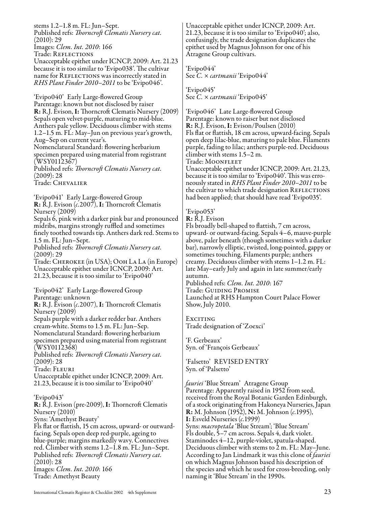stems 1.2–1.8 m. FL: Jun–Sept. Published refs: *Thorncroft Clematis Nursery cat.* (2010): 29 Images: *Clem. Int. 2010*: 166 Trade: Reflections Unacceptable epithet under ICNCP, 2009: Art. 21.23 because it is too similar to 'Evipo038'. The cultivar name for REFLECTIONS was incorrectly stated in *RHS Plant Finder 2010–2011* to be 'Evipo046'. 'Evipo040' Early Large-flowered Group Parentage: known but not disclosed by raiser R: R.J. Evison, I: Thorncroft Clematis Nursery (2009) Sepals open velvet-purple, maturing to mid-blue. Anthers pale yellow. Deciduous climber with stems 1.2–1.5 m. FL: May–Jun on previous year's growth, Aug–Sep on current year's. Nomenclatural Standard: flowering herbarium specimen prepared using material from registrant (WSY0112367) Published refs: *Thorncroft Clematis Nursery cat.* (2009): 28 Trade: Chevalier 'Evipo041' Early Large-flowered Group R: R.J. Evison (*c.*2007), I: Thorncroft Clematis Nursery (2009) Sepals 6, pink with a darker pink bar and pronounced midribs, margins strongly ruffled and sometimes finely toothed towards tip. Anthers dark red. Stems to 1.5 m. FL: Jun–Sept. Published refs: *Thorncroft Clematis Nursery cat.* (2009): 29 Trade: Cherokee (in USA); Ooh La La (in Europe) Unacceptable epithet under ICNCP, 2009: Art. 21.23, because it is too similar to 'Evipo040'

'Evipo042' Early Large-flowered Group Parentage: unknown

R: R.J. Evison (*c.*2007), I: Thorncroft Clematis Nursery (2009)

Sepals purple with a darker redder bar. Anthers cream-white. Stems to 1.5 m. FL: Jun–Sep. Nomenclatural Standard: flowering herbarium

specimen prepared using material from registrant (WSY0112368)

Published refs: *Thorncroft Clematis Nursery cat.*  (2009): 28

Trade: Fleuri

Unacceptable epithet under ICNCP, 2009: Art. 21.23, because it is too similar to 'Evipo040'

#### 'Evipo043'

R: R.J. Evison (pre-2009), I: Thorncroft Clematis Nursery (2010) Syns: 'Amethyst Beauty'

Fls flat or flattish, 15 cm across, upward- or outwardfacing. Sepals open deep red-purple, ageing to blue-purple; margins markedly wavy. Connectives red. Climber with stems 1.2–1.8 m. FL: Jun–Sept. Published refs: *Thorncroft Clematis Nursery cat.* (2010): 28

Images: *Clem. Int. 2010*: 166 Trade: Amethyst Beauty

Unacceptable epithet under ICNCP, 2009: Art. 21.23, because it is too similar to 'Evipo040'; also, confusingly, the trade designation duplicates the epithet used by Magnus Johnson for one of his Atragene Group cultivars.

'Evipo044' See *C.* × *cartmanii* 'Evipo044'

'Evipo045' See *C.* × *cartmanii* 'Evipo045'

'Evipo046' Late Large-flowered Group Parentage: known to raiser but not disclosed R: R.J. Evison, I: Evison/Poulsen (2010) Fls flat or flattish, 18 cm across, upward-facing. Sepals open deep lilac-blue, maturing to pale blue. Filaments purple, fading to lilac; anthers purple-red. Deciduous climber with stems 1.5–2 m.

Trade: Moonfleet

Unacceptable epithet under ICNCP, 2009: Art. 21.23, because it is too similar to 'Evipo040'. This was erroneously stated in *RHS Plant Finder 2010–2011* to be the cultivar to which trade designation REFLECTIONS had been applied; that should have read 'Evipo035'.

#### 'Evipo053'

R: R.J. Evison

Fls broadly bell-shaped to flattish, 7 cm across, upward- or outward-facing. Sepals 4–6, mauve-purple above, paler beneath (though sometimes with a darker bar), narrowly elliptic, twisted, long-pointed, gappy or sometimes touching. Filaments purple; anthers creamy. Deciduous climber with stems 1–1.2 m. FL: late May–early July and again in late summer/early autumn.

Published refs: *Clem. Int. 2010*: 167 Trade: Guiding Promise Launched at RHS Hampton Court Palace Flower Show, July 2010.

EXCITING Trade designation of 'Zoexci'

'F. Gerbeaux' Syn. of 'François Gerbeaux'

'Falsetto' REVISED ENTRY Syn. of 'Palsetto'

*fauriei* 'Blue Stream' Atragene Group Parentage: Apparently raised in 1952 from seed, received from the Royal Botanic Garden Edinburgh, of a stock originating from Hakoneya Nurseries, Japan R: M. Johnson (1952), N: M. Johnson (*c.*1995), I: Esveld Nurseries (*c.*1999) Syns: *macropetala* 'Blue Stream'; 'Blue Stream' Fls double, 5–7 cm across. Sepals 4, dark violet. Staminodes 4–12, purple-violet, spatula-shaped. Deciduous climber with stems to 2 m. FL: May–June. According to Jan Lindmark it was this clone of *fauriei* on which Magnus Johnson based his description of the species and which he used for cross-breeding, only naming it 'Blue Stream' in the 1990s.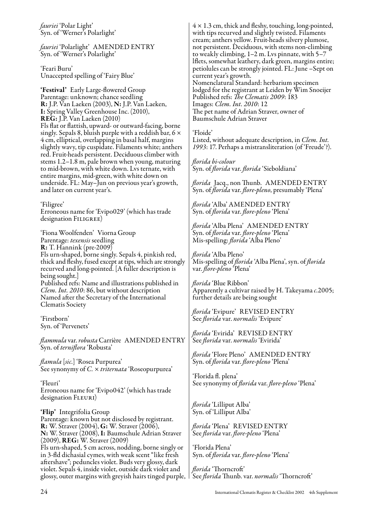*fauriei* 'Polar Light' Syn. of 'Werner's Polarlight'

*fauriei* 'Polarlight' AMENDED ENTRY Syn. of 'Werner's Polarlight'

'Feari Buru' Unaccepted spelling of 'Fairy Blue'

'Festival' Early Large-flowered Group Parentage: unknown; chance seedling R: J.P. Van Laeken (2003), N: J.P. Van Laeken, I: Spring Valley Greenhouse Inc. (2010), REG: J.P. Van Laeken (2010) Fls flat or flattish, upward- or outward-facing, borne singly. Sepals 8, bluish purple with a reddish bar,  $6 \times$ 4 cm, elliptical, overlapping in basal half, margins slightly wavy, tip cuspidate. Filaments white; anthers red. Fruit-heads persistent. Deciduous climber with stems 1.2–1.8 m, pale brown when young, maturing to mid-brown, with white down. Lvs ternate, with entire margins, mid-green, with white down on underside. FL: May–Jun on previous year's growth, and later on current year's.

'Filigree' Erroneous name for 'Evipo029' (which has trade designation FILIGREE)

'Fiona Woolfenden' Viorna Group Parentage: *texensis* seedling R: T. Hannink (pre-2009) Fls urn-shaped, borne singly. Sepals 4, pinkish red, thick and fleshy, fused except at tips, which are strongly recurved and long-pointed. [A fuller description is being sought.] Published refs: Name and illustrations published in *Clem. Int. 2010*: 86, but without description Named after the Secretary of the International Clematis Society

'Firstborn' Syn. of 'Pervenets'

*flammula* var. *robusta* Carrière AMENDED ENTRY Syn. of *terniflora* 'Robusta'

*flamula* [*sic.*] 'Rosea Purpurea' See synonymy of *C.* × *triternata* 'Roseopurpurea'

'Fleuri' Erroneous name for 'Evipo042' (which has trade designation FLEURI)

'Flip' Integrifolia Group Parentage: known but not disclosed by registrant. R: W. Straver (2004), G: W. Straver (2006), N: W. Straver (2008), I: Baumschule Adrian Straver (2009), REG: W. Straver (2009) Fls urn-shaped, 5 cm across, nodding, borne singly or in 3-fld dichasial cymes, with weak scent "like fresh aftershave"; peduncles violet. Buds very glossy, dark violet. Sepals 4, inside violet, outside dark violet and glossy, outer margins with greyish hairs tinged purple, See *florida* Thunb. var. *normalis* 'Thorncroft'

 $4 \times 1.3$  cm, thick and fleshy, touching, long-pointed, with tips recurved and slightly twisted. Filaments cream; anthers yellow. Fruit-heads silvery plumose, not persistent. Deciduous, with stems non-climbing to weakly climbing, 1–2 m. Lvs pinnate, with 5–7 lflets, somewhat leathery, dark green, margins entire; petiolules can be strongly jointed. FL: June –Sept on current year's growth. Nomenclatural Standard: herbarium specimen lodged for the registrant at Leiden by Wim Snoeijer Published refs: *The Clematis 2009*: 183 Images: *Clem. Int. 2010*: 12 The pet name of Adrian Straver, owner of Baumschule Adrian Straver

'Floide' Listed, without adequate description, in *Clem. Int. 1993*: 17. Perhaps a mistransliteration (of 'Freude'?).

*florida bi-colour* Syn. of *florida* var. *florida* 'Sieboldiana'

*florida* Jacq., non Thunb. AMENDED ENTRY Syn. of *florida* var. *flore-pleno*, presumably 'Plena'

*florida* 'Alba' AMENDED ENTRY Syn. of *florida* var. *flore-pleno* 'Plena'

*florida* 'Alba Plena' AMENDED ENTRY Syn. of *florida* var. *flore-pleno* 'Plena' Mis-spelling: *florida* 'Alba Pleno'

*florida* 'Alba Pleno' Mis-spelling of *florida* 'Alba Plena', syn. of *florida* var. *flore-pleno* 'Plena'

*florida* 'Blue Ribbon' Apparently a cultivar raised by H. Takeyama *c*.2005; further details are being sought

*florida* 'Evipure' REVISED ENTRY See *florida* var. *normalis* 'Evipure'

*florida* 'Evirida' REVISED ENTRY See *florida* var. *normalis* 'Evirida'

*florida* 'Flore Pleno' AMENDED ENTRY Syn. of *florida* var. *flore-pleno* 'Plena'

'Florida fl. plena' See synonymy of *florida* var. *flore-pleno* 'Plena'

*florida* 'Lilliput Alba' Syn. of 'Lilliput Alba'

*florida* 'Plena' REVISED ENTRY See *florida* var. *flore-pleno* 'Plena'

'Florida Plena' Syn. of *florida* var. *flore-pleno* 'Plena'

*florida* 'Thorncroft'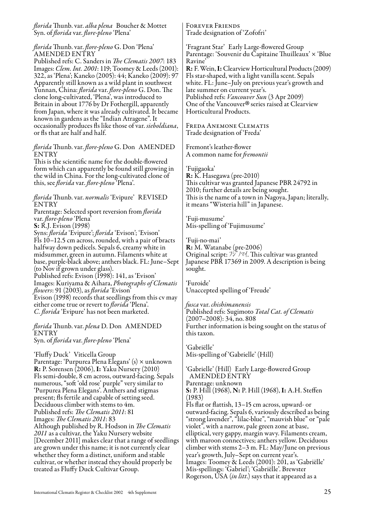*florida* Thunb. var. *alba plena* Boucher & Mottet Syn. of *florida* var. *flore-pleno* 'Plena'

*florida* Thunb. var. *flore-pleno* G. Don 'Plena' AMENDED ENTRY

Published refs: C. Sanders in *The Clematis 2007*: 183 Images: *Clem. Int. 2001*: 119; Toomey & Leeds (2001): 322, as 'Plena'; Kaneko (2005): 44; Kaneko (2009): 97 Apparently still known as a wild plant in southwest Yunnan, China: *florida* var. *flore-pleno* G. Don. The clone long-cultivated, 'Plena', was introduced to Britain in about 1776 by Dr Fothergill, apparently from Japan, where it was already cultivated. It became known in gardens as the "Indian Atragene". It occasionally produces fls like those of var. *sieboldiana*, or fls that are half and half.

*florida* Thunb. var. *flore-pleno* G. Don AMENDED ENTRY

This is the scientific name for the double-flowered form which can apparently be found still growing in the wild in China. For the long-cultivated clone of this, see *florida* var. *flore-pleno* 'Plena'.

*florida* Thunb. var. *normalis* 'Evipure' REVISED ENTRY

Parentage: Selected sport reversion from *florida* var. *flore-pleno* 'Plena'

S: R.J. Evison (1998)

Syns: *florida* 'Evipure'; *florida* 'Evison'; 'Evison' Fls 10–12.5 cm across, rounded, with a pair of bracts halfway down pedicels. Sepals 6, creamy white in midsummer, green in autumn. Filaments white at base, purple-black above; anthers black. FL: June–Sept (to Nov if grown under glass). Published refs: Evison (1998): 141, as 'Evison' Images: Kuriyama & Aihara, *Photographs of Clematis flowers*: 91 (2003), as *florida* 'Evison' Evison (1998) records that seedlings from this cv may

either come true or revert to *florida* 'Plena'. *C. florida* 'Evipure' has not been marketed.

*florida* Thunb. var. *plena* D. Don AMENDED ENTRY Syn. of *florida* var. *flore-pleno* 'Plena'

'Fluffy Duck' Viticella Group Parentage: 'Purpurea Plena Elegans' (s) × unknown R: P. Sorensen (2006), I: Yaku Nursery (2010) Fls semi-double, 8 cm across, outward-facing. Sepals numerous, "soft 'old rose' purple" very similar to 'Purpurea Plena Elegans'. Anthers and stigmas present; fls fertile and capable of setting seed. Deciduous climber with stems to 4m. Published refs: *The Clematis 2011*: 81 Images: *The Clematis 2011*: 83 Although published by R. Hodson in *The Clematis 2011* as a cultivar, the Yaku Nursery website [December 2011] makes clear that a range of seedlings are grown under this name; it is not currently clear whether they form a distinct, uniform and stable cultivar, or whether instead they should properly be treated as Fluffy Duck Cultivar Group.

Forever Friends Trade designation of 'Zofofri'

'Fragrant Star' Early Large-flowered Group Parentage: 'Souvenir du Capitaine Thuilleaux' × 'Blue Ravine' R: F. Wein, I: Clearview Horticultural Products (2009) Fls star-shaped, with a light vanilla scent. Sepals white. FL: June–July on previous year's growth and late summer on current year's. Published refs: *Vancouver Sun* (3 Apr 2009) One of the Vancouver® series raised at Clearview<br>Horticultural Products. Horticultural Products.

Freda Anemone Clematis Trade designation of 'Freda'

Fremont's leather-flower A common name for *fremontii*

'Fujigaoka' R: K. Hasegawa (pre-2010) This cultivar was granted Japanese PBR 24792 in 2010; further details are being sought. This is the name of a town in Nagoya, Japan; literally, it means "Wisteria hill" in Japanese.

'Fuji-musume' Mis-spelling of 'Fujimusume'

'Fuji-no-mai' R: M. Watanabe (pre-2006) Original script:  $\frac{1}{2}$  / $\frac{1}{2}$  / $\frac{1}{2}$  /. This cultivar was granted Japanese PBR 17369 in 2009. A description is being sought.

'Furoide' Unaccepted spelling of 'Freude'

*fusca* var. *chishimanensis* Published refs: Sugimoto *Total Cat. of Clematis* (2007–2008): 34, no. 808 Further information is being sought on the status of this taxon.

'Gabriëlle' Mis-spelling of 'Gabrielle' (Hill)

'Gabrielle' (Hill) Early Large-flowered Group AMENDED ENTRY Parentage: unknown S: P. Hill (1968), N: P. Hill (1968), I: A.H. Steffen (1983) Fls flat or flattish, 13–15 cm across, upward- or outward-facing. Sepals 6, variously described as being "strong lavender", "lilac-blue", "mauvish blue" or "pale violet", with a narrow, pale green zone at base, elliptical, very gappy, margin wavy. Filaments cream, with maroon connectives; anthers yellow. Deciduous climber with stems 2–3 m. FL: May/June on previous year's growth, July–Sept on current year's. Images: Toomey & Leeds (2001): 201, as 'Gabriëlle' Mis-spellings: 'Gabriel'; 'Gabriëlle'. Brewster Rogerson, USA (*in litt*.) says that it appeared as a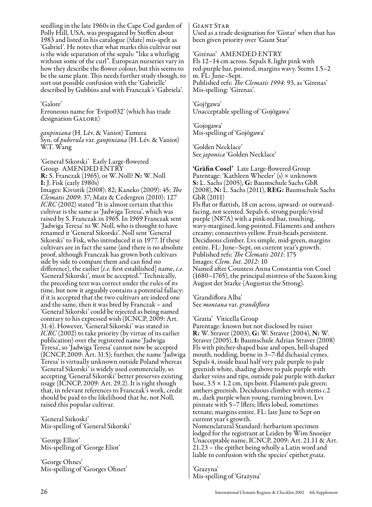seedling in the late 1960s in the Cape Cod garden of Polly Hill, USA, was propagated by Steffen about 1983 and listed in his catalogue (?date) mis-spelt as 'Gabriel'. He notes that what marks this cultivar out is the wide separation of the sepals: "like a whirligig without some of the curl". European nurseries vary in how they describe the flower colour, but this seems to be the same plant. This needs further study though, to sort out possible confusion with the 'Gabrielle' described by Gubbins and with Franczak's 'Gabriela'.

#### 'Galore'

Erroneous name for 'Evipo032' (which has trade designation GALORE)

*ganpiniana* (H. Lév. & Vaniot) Tamura Syn. of *puberula* var. *ganpiniana* (H. Lév. & Vaniot) W.T. Wang

'Generał Sikorski' Early Large-flowered Group AMENDED ENTRY R: S. Franczak (1965), or W. Noll? N: W. Noll I: J. Fisk (early 1980s) Images: Kivistik (2008): 82; Kaneko (2009): 45; *The Clematis 2009*: 37; Matz & Cedergren (2010): 127 *ICRC* (2002) stated "It is almost certain that this cultivar is the same as 'Jadwiga Teresa', which was raised by S. Franczak in 1965. In 1969 Franczak sent 'Jadwiga Teresa' to W. Noll, who is thought to have renamed it 'Generał Sikorski'. Noll sent 'Generał Sikorski' to Fisk, who introduced it in 1977. If these cultivars are in fact the same (and there is no absolute proof, although Franczak has grown both cultivars side by side to compare them and can find no difference), the earlier [*i.e.* first established] name, *i.e.* 'Generał Sikorski', must be accepted." Technically, the preceding text was correct under the rules of its time, but now it arguably contains a potential fallacy: if it is accepted that the two cultivars are indeed one and the same, then it was bred by Franczak – and 'Generał Sikorski' could be rejected as being named contrary to his expressed wish (ICNCP, 2009: Art. 31.4). However, 'Generał Sikorski' was stated in *ICRC* (2002) to take priority (by virtue of its earlier publication) over the registered name 'Jadwiga Teresa', so 'Jadwiga Teresa' cannot now be accepted (ICNCP, 2009: Art. 31.5); further, the name 'Jadwiga Teresa' is virtually unknown outside Poland whereas 'Generał Sikorski' is widely used commercially, so accepting 'Generał Sikorski' better preserves existing usage (ICNCP, 2009: Art. 29.2). It is right though that, in relevant references to Franczak's work, credit should be paid to the likelihood that he, not Noll, raised this popular cultivar.

'General Sirkoski' Mis-spelling of 'Generał Sikorski'

'George Elliot' Mis-spelling of 'George Eliot'

'George Ohnes' Mis-spelling of 'Georges Ohnet' Giant Star Used as a trade designation for 'Gistar' when that has been given priority over 'Giant Star'

'Girėnas' AMENDED ENTRY Fls 12–14 cm across. Sepals 8, light pink with red-purple bar, pointed, margins wavy. Stems 1.5–2 m. FL: June–Sept. Published refs: *The Clematis 1994*: 93, as 'Girenas' Mis-spelling: 'Girenas'.

'Goj?gawa' Unacceptable spelling of 'Gojōgawa'

'Gojogawa' Mis-spelling of 'Gojōgawa'

'Golden Necklace' See *japonica* 'Golden Necklace'

'Gräfin Cosel' Late Large-flowered Group Parentage: 'Kathleen Wheeler' (s) × unknown S: L. Sachs (2005), G: Baumschule Sachs GbR (2008), N: L. Sachs (2011), REG: Baumschule Sachs GbR (2011)

Fls flat or flattish, 18 cm across, upward- or outwardfacing, not scented. Sepals 6, strong purple/vivid purple (N87A) with a pink-red bar, touching, wavy-margined, long-pointed. Filaments and anthers creamy; connectives yellow. Fruit-heads persistent. Deciduous climber. Lvs simple, mid-green, margins entire. FL: June–Sept, on current year's growth. Published refs: *The Clematis 2011*: 175 Images: *Clem. Int. 2012*: 10 Named after Countess Anna Constantia von Cosel (1680–1765), the principal mistress of the Saxon king August der Starke (Augustus the Strong).

'Grandiflora Alba' See *montana* var. *grandiflora*

#### 'Gratia' Viticella Group

Parentage: known but not disclosed by raiser R: W. Straver (2003), G: W. Straver (2004), N: W. Straver (2005), I: Baumschule Adrian Straver (2008) Fls with pitcher-shaped base and open, bell-shaped mouth, nodding, borne in 3–7-fld dichasial cymes. Sepals 4, inside basal half very pale purple to pale greenish white, shading above to pale purple with darker veins and tips, outside pale purple with darker base,  $3.5 \times 1.2$  cm, tips bent. Filaments pale green; anthers greenish. Deciduous climber with stems *c*.2 m., dark purple when young, turning brown. Lvs pinnate with 5–7 lflets; lflets lobed, sometimes ternate; margins entire. FL: late June to Sept on current year's growth.

Nomenclatural Standard: herbarium specimen lodged for the registrant at Leiden by Wim Snoeijer Unacceptable name, ICNCP, 2009: Art. 21.11 & Art. 21.23 – the epithet being wholly a Latin word and liable to confusion with the species' epithet *grata*.

'Grazyna' Mis-spelling of 'Grażyna'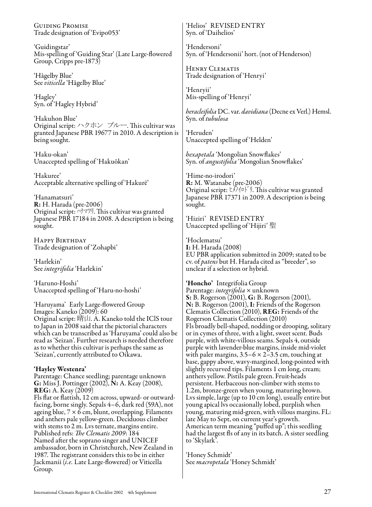Guiding Promise Trade designation of 'Evipo053'

'Guidingstar' Mis-spelling of 'Guiding Star' (Late Large-flowered Group, Cripps pre-1873)

'Hågelby Blue' See *viticella* 'Hågelby Blue'

'Hagley' Syn. of 'Hagley Hybrid'

'Hakuhon Blue' Original script: ハクホン ブルー. This cultivar was granted Japanese PBR 19677 in 2010. A description is being sought.

'Haku-okan' Unaccepted spelling of 'Hakuōkan'

'Hakuree' Acceptable alternative spelling of 'Hakurē'

'Hanamatsuri' R: H. Harada (pre-2006) Original script: ハナマツリ. This cultivar was granted Japanese PBR 17184 in 2008. A description is being sought.

Happy Birthday Trade designation of 'Zohapbi'

'Harlekin' See *integrifolia* 'Harlekin'

'Haruno-Hoshi' Unaccepted spelling of 'Haru-no-hoshi'

'Haruyama' Early Large-flowered Group Images: Kaneko (2009): 60 Original script: 晴山. A. Kaneko told the IClS tour to Japan in 2008 said that the pictorial characters which can be transcribed as 'Haruyama' could also be read as 'Seizan'. Further research is needed therefore as to whether this cultivar is perhaps the same as 'Seizan', currently attributed to Oikawa.

#### 'Hayley Westenra'

Parentage: Chance seedling; parentage unknown G: Miss J. Pottinger (2002), N: A. Keay (2008), REG: A. Keay (2009)

Fls flat or flattish, 12 cm across, upward- or outwardfacing, borne singly. Sepals 4–6, dark red (59A), not ageing blue,  $7 \times 6$  cm, blunt, overlapping. Filaments and anthers pale yellow-green. Deciduous climber with stems to 2 m. Lvs ternate, margins entire. Published refs: *The Clematis 2009*: 184 Named after the soprano singer and UNICEF ambassador, born in Christchurch, New Zealand in 1987. The registrant considers this to be in either Jackmanii (*i.e.* Late Large-flowered) or Viticella Group.

'Helios' REVISED ENTRY Syn. of 'Daihelios'

'Hendersoni' Syn. of 'Hendersonii' hort. (not of Henderson)

Henry Clematis Trade designation of 'Henryi'

'Henryii' Mis-spelling of 'Henryi'

*heracleifolia* DC. var. *davidiana* (Decne ex Verl.) Hemsl. Syn. of *tubulosa*

'Heruden' Unaccepted spelling of 'Helden'

*hexapetala* 'Mongolian Snowflakes' Syn. of *angustifolia* 'Mongolian Snowflakes'

'Hime-no-irodori' R: M. Watanabe (pre-2006) Original script: ヒメノイロトリ. This cultivar was granted Japanese PBR 17371 in 2009. A description is being sought.

'Hiziri' REVISED ENTRY Unaccepted spelling of 'Hijiri' 聖

'Hoclematsu' I: H. Harada (2008) EU PBR application submitted in 2009; stated to be cv. of *patens* but H. Harada cited as "breeder", so unclear if a selection or hybrid.

'Honcho' Integrifolia Group

Parentage: *integrifolia* × unknown S: B. Rogerson (2001), G: B. Rogerson (2001), N: B. Rogerson (2001), I: Friends of the Rogerson Clematis Collection (2010), REG: Friends of the Rogerson Clematis Collection (2010) Fls broadly bell-shaped, nodding or drooping, solitary or in cymes of three, with a light, sweet scent. Buds purple, with white-villous seams. Sepals 4, outside purple with lavender-blue margins, inside mid-violet with paler margins,  $3.5-6 \times 2-3.5$  cm, touching at base, gappy above, wavy-margined, long-pointed with slightly recurved tips. Filaments 1 cm long, cream; anthers yellow. Pistils pale green. Fruit-heads persistent. Herbaceous non-climber with stems to 1.2m, bronze-green when young, maturing brown. Lvs simple, large (up to 10 cm long), usually entire but young apical lvs occasionally lobed, purplish when young, maturing mid-green, with villous margins. FL: late May to Sept, on current year's growth. American term meaning "puffed up"; this seedling had the largest fls of any in its batch. A sister seedling to 'Skylark'.

'Honey Schmidt' See *macropetala* 'Honey Schmidt'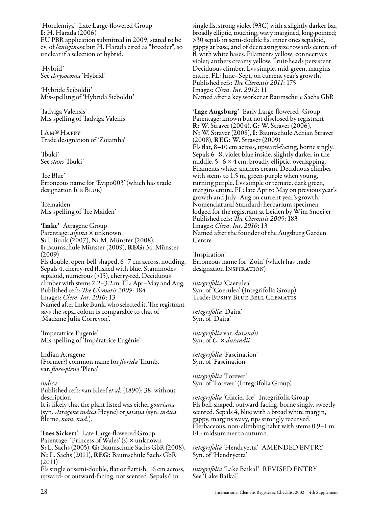'Horclemiya' Late Large-flowered Group I: H. Harada (2006) EU PBR application submitted in 2009; stated to be cv. of *lanuginosa* but H. Harada cited as "breeder", so unclear if a selection or hybrid.

'Hybrid' See *chrysocoma* 'Hybrid'

'Hybride Seiboldii' Mis-spelling of 'Hybrida Sieboldii'

'Iadviga Valensis' Mis-spelling of 'Iadviga Valenis'

I Ам®Нарр<mark>ү</mark><br>Trade designat Trade designation of 'Zoiamha'

'Ibuki' See *stans* 'Ibuki'

'Ice Blue' Erroneous name for 'Evipo003' (which has trade designation ICE BLUE)

'Icemaiden' Mis-spelling of 'Ice Maiden'

'Imke' Atragene Group Parentage: *alpina* × unknown S: I. Bunk (2007), N: M. Münster (2008), I: Baumschule Münster (2009), REG: M. Münster (2009) Fls double, open-bell-shaped, 6–7 cm across, nodding. Sepals 4, cherry-red flushed with blue. Staminodes sepaloid, numerous (>15), cherry-red. Deciduous climber with stems 2.2–3.2 m. FL: Apr–May and Aug. Published refs: *The Clematis 2009*: 184 Images: *Clem. Int. 2010*: 13 Named after Imke Bunk, who selected it. The registrant says the sepal colour is comparable to that of 'Madame Julia Correvon'.

'Imperatrice Eugenie' Mis-spelling of 'Impératrice Eugénie'

Indian Atragene (Former?) common name for *florida* Thunb. var. *flore-pleno* 'Plena'

*indica* Published refs: van Kleef *et al.* (1890): 38, without description It is likely that the plant listed was either *gouriana* (syn. *Atragene indica* Heyne) or *javana* (syn. *indica* Blume, *nom. nud.*).

'Ines Sickert' Late Large-flowered Group Parentage: 'Princess of Wales' (s) × unknown S: L. Sachs (2005), G: Baumschule Sachs GbR (2008), N: L. Sachs (2011), REG: Baumschule Sachs GbR (2011)

Fls single or semi-double, flat or flattish, 16 cm across, upward- or outward-facing, not scented. Sepals 6 in

single fls, strong violet (93C) with a slightly darker bar, broadly elliptic, touching, wavy margined, long-pointed; >30 sepals in semi-double fls, inner ones sepaloid, gappy at base, and of decreasing size towards centre of fl, with white bases. Filaments yellow; connectives violet; anthers creamy yellow. Fruit-heads persistent. Deciduous climber. Lvs simple, mid-green, margins entire. FL: June–Sept, on current year's growth. Published refs: *The Clematis 2011*: 175 Images: *Clem. Int. 2012*: 11 Named after a key worker at Baumschule Sachs GbR

'Inge Augsburg' Early Large-flowered Group Parentage: known but not disclosed by registrant R: W. Straver (2004), G: W. Straver (2006), N: W. Straver (2008), I: Baumschule Adrian Straver (2008), REG: W. Straver (2009) Fls flat, 8–10 cm across, upward-facing, borne singly. Sepals 6–8, violet-blue inside, slightly darker in the middle,  $5-6 \times 4$  cm, broadly elliptic, overlapping. Filaments white; anthers cream. Deciduous climber with stems to 1.5 m, green-purple when young, turning purple. Lvs simple or ternate, dark green, margins entire. FL: late Apr to May on previous year's growth and July–Aug on current year's growth. Nomenclatural Standard: herbarium specimen lodged for the registrant at Leiden by Wim Snoeijer Published refs: *The Clematis 2009*: 183 Images: *Clem. Int. 2010*: 13 Named after the founder of the Augsburg Garden Centre

'Inspiration' Erroneous name for 'Zoin' (which has trade designation INSPIRATION)

*integrifolia* 'Caerulea' Syn. of 'Coerulea' (Integrifolia Group) Trade: Bushy Blue Bell Clematis

*integrifolia* 'Daira' Syn. of 'Daira'

*integrifolia* var. *durandii* Syn. of *C.* × *durandii*

*integrifolia* 'Fascination' Syn. of 'Fascination'

*integrifolia* 'Forever' Syn. of 'Forever' (Integrifolia Group)

*integrifolia* 'Glacier Ice' Integrifolia Group Fls bell-shaped, outward-facing, borne singly, sweetly scented. Sepals 4, blue with a broad white margin, gappy, margins wavy, tips strongly recurved. Herbaceous, non-climbing habit with stems 0.9–1 m. FL: midsummer to autumn.

*integrifolia* 'Hendryetta' AMENDED ENTRY Syn. of 'Hendryetta'

*integrifolia* 'Lake Baikal' REVISED ENTRY See 'Lake Baikal'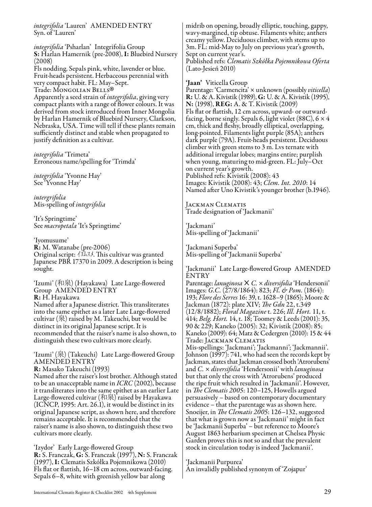*integrifolia* 'Lauren' AMENDED ENTRY Syn. of 'Lauren'

*integrifolia* 'Psharlan' Integrifolia Group S: Harlan Hamernik (pre-2008), I: Bluebird Nursery (2008) Fls nodding. Sepals pink, white, lavender or blue. Fruit-heads persistent. Herbaceous perennial with very compact habit. FL: May–Sept. Trade: MONGOLIAN BELLS®<br>Apparently a seed strain of *int* Apparently a seed strain of *integrifolia* , giving very compact plants with a range of flower colours. It was derived from stock introduced from Inner Mongolia by Harlan Hamernik of Bluebird Nursery, Clarkson, Nebraska, USA. Time will tell if these plants remain sufficiently distinct and stable when propagated to justify definition as a cultivar.

*integrifolia* 'Trimeta' Erroneous name/spelling for 'Trimda'

*integrifolia* 'Yvonne Hay' See 'Yvonne Hay'

*intergrifolia* Mis-spelling of *integrifolia*

'It's Springtime' See *macropetala* 'It's Springtime'

'Iyomusume'

R: M. Watanabe (pre-2006) Original script: イヨムスメ. This cultivar was granted Japanese PBR 17370 in 2009. A description is being sought.

'Izumi' (和泉) (Hayakawa) Late Large-flowered Group AMENDED ENTRY R: H. Hayakawa Named after a Japanese district. This transliterates into the same epithet as a later Late Large-flowered cultivar (泉) raised by M. Takeuchi, but would be distinct in its original Japanese script. It is recommended that the raiser's name is also shown, to

'Izumi' (泉) (Takeuchi) Late Large-flowered Group AMENDED ENTRY

distinguish these two cultivars more clearly.

R: Masako Takeuchi (1993)

Named after the raiser's lost brother. Although stated to be an unacceptable name in *ICRC* (2002), because it transliterates into the same epithet as an earlier Late Large-flowered cultivar (和泉) raised by Hayakawa (ICNCP, 1995: Art. 26.1), it would be distinct in its original Japanese script, as shown here, and therefore remains acceptable. It is recommended that the raiser's name is also shown, to distinguish these two cultivars more clearly.

'Izydor' Early Large-flowered Group R: S. Franczak, G: S. Franczak (1997), N: S. Franczak (1997), I: Clematis Szkółka Pojemnikowa (2010) Fls flat or flattish, 16–18 cm across, outward-facing. Sepals 6–8, white with greenish yellow bar along

midrib on opening, broadly elliptic, touching, gappy, wavy-margined, tip obtuse. Filaments white; anthers creamy yellow. Deciduous climber, with stems up to 3m. FL: mid-May to July on previous year's growth, Sept on current year's. Published refs: *Clematis Szkółka Pojemnikowa Oferta* (Lato-Jesień 2010)

'**Jaan'** Viticella Group<br>Parentage: 'Carmencita' × unknown (possibly *viticella*) R: U. & A. Kivistik (1989), G: U. & A. Kivistik (1995), N: (1998), REG: A. & T. Kivistik (2009) Fls flat or flattish, 12 cm across, upward- or outwardfacing, borne singly. Sepals 6, light violet (88C),  $6 \times 4$ cm, thick and fleshy, broadly elliptical, overlapping, long-pointed. Filaments light purple (85A); anthers dark purple (79A). Fruit-heads persistent. Deciduous climber with green stems to 3 m. Lvs ternate with additional irregular lobes; margins entire; purplish when young, maturing to mid-green. FL: July–Oct on current year's growth. Published refs: Kivistik (2008): 43 Images: Kivistik (2008): 43; *Clem. Int. 2010*: 14 Named after Uno Kivistik's younger brother (b.1946).

Jackman Clematis Trade designation of 'Jackmanii'

'Jackmani' Mis-spelling of 'Jackmanii'

'Jackmani Superba' Mis-spelling of 'Jackmanii Superba'

'Jackmanii' Late Large-flowered Group AMENDED ENTRY Parentage: *lanuginosa*×*C.* × *diversifolia* 'Hendersonii' Images: *G.C.* (27/8/1864): 823; *Fl. & Pom.* (1864): 193; *Flore des Serres* 16: 39, t. 1628–9 (1865); Moore & Jackman (1872): plate XIV; *The Gdn* 22, t.349 (12/8/1882); *Floral Magazine* t. 226; *Ill. Hort.* 11, t. 414; *Belg. Hort.* 14, t. 18; Toomey & Leeds (2001): 35, 90 & 229; Kaneko (2005): 32; Kivistik (2008): 85; Kaneko (2009): 64; Matz & Cedergren (2010): 15 & 44 Trade: Jackman Clematis Mis-spellings: 'Jackmani'; 'Jackmanni'; 'Jackmannii'. Johnson (1997): 741, who had seen the records kept by Jackman, states that Jackman crossed both 'Atrorubens' and *C.* × *diversifolia* 'Hendersonii' with *lanuginosa* but that only the cross with 'Atrorubens' produced the ripe fruit which resulted in 'Jackmanii'. However, in *The Clematis 2005*: 120–125, Howells argued persuasively – based on contemporary documentary evidence – that the parentage was as shown here. Snoeijer, in *The Clematis 2005*: 126–132, suggested that what is grown now as 'Jackmanii' might in fact be 'Jackmanii Superba' – but reference to Moore's August 1863 herbarium specimen at Chelsea Physic Garden proves this is not so and that the prevalent stock in circulation today is indeed 'Jackmanii'.

'Jackmanii Purpurea' An invalidly published synonym of 'Zojapur'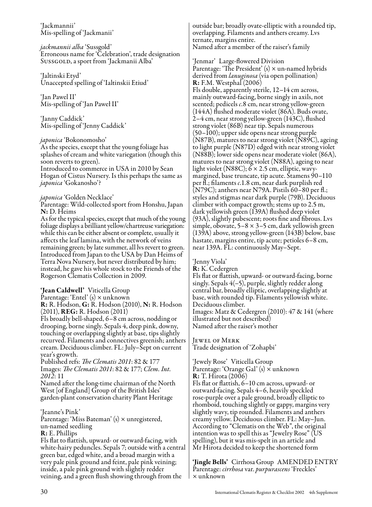'Jackmannii' Mis-spelling of 'Jackmanii'

*jackmannii alba* 'Sussgold' Erroneous name for 'Celebration', trade designation SussGOLD, a sport from 'Jackmanii Alba'

'Jaltinski Etyd' Unaccepted spelling of 'Ialtinskii Etiud'

'Jan Pawel II' Mis-spelling of 'Jan Paweł II'

'Janny Caddick' Mis-spelling of 'Jenny Caddick'

*japonica* 'Bokonomosho' splashes of cream and white variegation (though this soon reverts to green). Introduced to commerce in USA in 2010 by Sean Hogan of Cistus Nursery. Is this perhaps the same as *japonica* 'Gokanosho'?

#### *japonica* 'Golden Necklace'

Parentage: Wild-collected sport from Honshu, Japan N: D. Heims

As for the typical species, except that much of the young foliage displays a brilliant yellow/chartreuse variegation: while this can be either absent or complete, usually it affects the leaf lamina, with the network of veins remaining green; by late summer, all lvs revert to green. Introduced from Japan to the USA by Dan Heims of Terra Nova Nursery, but never distributed by him; instead, he gave his whole stock to the Friends of the Rogerson Clematis Collection in 2009.

#### 'Jean Caldwell' Viticella Group

Parentage: 'Entel'  $(s)$  × unknown R: R. Hodson, G: R. Hodson (2010), N: R. Hodson (2011), REG: R. Hodson (2011) Fls broadly bell-shaped, 6–8 cm across, nodding or drooping, borne singly. Sepals 4, deep pink, downy,

touching or overlapping slightly at base, tips slightly recurved. Filaments and connectives greenish; anthers cream. Deciduous climber. FL: July–Sept on current year's growth.

Published refs: *The Clematis 2011*: 82 & 177 Images: *The Clematis 2011*: 82 & 177; *Clem. Int. 2012*: 11

Named after the long-time chairman of the North West [of England] Group of the British Isles' garden-plant conservation charity Plant Heritage

'Jeanne's Pink' Parentage: 'Miss Bateman'  $(s)$  × unregistered, un-named seedling

R: E. Phillips

Fls flat to flattish, upward- or outward-facing, with white-hairy peduncles. Sepals 7; outside with a central green bar, edged white, and a broad margin with a very pale pink ground and feint, pale pink veining; inside, a pale pink ground with slightly redder veining, and a green flush showing through from the

outside bar; broadly ovate-elliptic with a rounded tip, overlapping. Filaments and anthers creamy. Lvs ternate, margins entire. Named after a member of the raiser's family

'Jenmar' Large-flowered Division Parentage: 'The President' (s) × un-named hybrids derived from *lanuginosa* (via open pollination) R: F.M. Westphal (2006) Fls double, apparently sterile, 12–14 cm across, mainly outward-facing, borne singly in axils, not<br>scented; pedicels c.8 cm, near strong yellow-green (144A) flushed moderate violet (86A). Buds ovate, 2–4 cm, near strong yellow-green (143C), flushed strong violet (86B) near tip. Sepals numerous (50–100); upper side opens near strong purple (N87B), matures to near strong violet (N89C), ageing to light purple (N87D) edged with near strong violet (N88B); lower side opens near moderate violet (86A), matures to near strong violet (N88A), ageing to near light violet (N88C); 6 × 2.5 cm, elliptic, wavymargined, base truncate, tip acute. Stamens 90–110 per fl.; filaments *c*.1.8 cm, near dark purplish red (N79C); anthers near N79A. Pistils 60–80 per fl.; styles and stigmas near dark purple (79B). Deciduous climber with compact growth; stems up to 2.5 m, dark yellowish green (139A) flushed deep violet (93A), slightly pubescent; roots fine and fibrous. Lvs simple, obovate,  $5-8 \times 3-5$  cm, dark yellowish green (139A) above, strong yellow-green (143B) below, base hastate, margins entire, tip acute; petioles 6-8 cm, near 139A. FL: continuously May–Sept.

'Jenny Viola'

R: K. Cedergren Fls flat or flattish, upward- or outward-facing, borne singly. Sepals 4(–5), purple, slightly redder along central bar, broadly elliptic, overlapping slightly at base, with rounded tip. Filaments yellowish white. Deciduous climber. Images: Matz & Cedergren (2010): 47 & 141 (where illustrated but not described) Named after the raiser's mother

Jewel of Merk

Trade designation of 'Zohapbi'

'Jewely Rose' Viticella Group Parentage: 'Orange Gal' (s) x unknown R: T. Hirota (2006) Fls flat or flattish, 6–10 cm across, upward- or outward-facing. Sepals 4–6, heavily speckled rose-purple over a pale ground, broadly elliptic to rhomboid, touching slightly or gappy, margins very slightly wavy, tip rounded. Filaments and anthers creamy yellow. Deciduous climber. FL: May–Jun. According to "Clematis on the Web", the original intention was to spell this as "Jewelry Rose" (US spelling), but it was mis-spelt in an article and Mr Hirota decided to keep the shortened form

'Jingle Bells' Cirrhosa Group AMENDED ENTRY Parentage: *cirrhosa* var. *purpurascens* 'Freckles' × unknown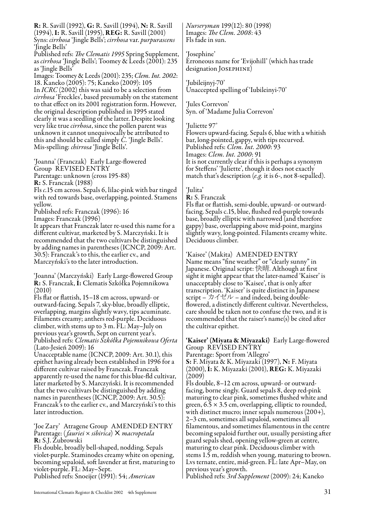R: R. Savill (1992), G: R. Savill (1994), N: R. Savill (1994), I: R. Savill (1995), REG: R. Savill (2001) Syns: *cirrhosa* 'Jingle Bells'; *cirrhosa* var. *purpurascens* 'Jingle Bells'<br>Published refs: *The Clematis 1995* Spring Supplement, as *cirrhosa* 'Jingle Bells'; Toomey & Leeds (2001): 235 as 'Jingle Bells' Images: Toomey & Leeds (2001): 235; *Clem. Int. 2002*: 18. Kaneko (2005): 75; Kaneko (2009): 105 In *ICRC* (2002) this was said to be a selection from *cirrhosa* 'Freckles', based presumably on the statement to that effect on its 2001 registration form. However, the original description published in 1995 stated clearly it was a seedling of the latter. Despite looking very like true *cirrhosa*, since the pollen parent was unknown it cannot unequivocally be attributed to this and should be called simply *C.* 'Jingle Bells'. Mis-spelling: *chirrosa* 'Jingle Bells'. 'Joanna' (Franczak) Early Large-flowered Group REVISED ENTRY Parentage: unknown (cross 195-88) R: S. Franczak (1988) Fls *c.*15 cm across. Sepals 6, lilac-pink with bar tinged with red towards base, overlapping, pointed. Stamens yellow. Published refs: Franczak (1996): 16 Images: Franczak (1996) It appears that Franczak later re-used this name for a different cultivar, marketed by S. Marczyński. It is recommended that the two cultivars be distinguished by adding names in parentheses (ICNCP, 2009: Art. 30.5): Franczak's to this, the earlier cv., and Marczyński's to the later introduction. 'Joanna' (Marczyński) Early Large-flowered Group R: S. Franczak, I: Clematis Szkółka Pojemnikowa (2010) Fls flat or flattish, 15–18 cm across, upward- or outward-facing. Sepals 7, sky-blue, broadly elliptic, overlapping, margins slightly wavy, tips acuminate. Filaments creamy; anthers red-purple. Deciduous climber, with stems up to 3 m. FL: May–July on previous year's growth, Sept on current year's. Published refs: *Clematis Szkółka Pojemnikowa Oferta* (Lato-Jesień 2009): 16 Unacceptable name (ICNCP, 2009: Art. 30.1), this epithet having already been established in 1996 for a

different cultivar raised by Franczak. Franczak apparently re-used the name for this blue-fld cultivar, later marketed by S. Marczyński. It is recommended that the two cultivars be distinguished by adding names in parentheses (ICNCP, 2009: Art. 30.5): Franczak's to the earlier cv., and Marczyński's to this later introduction.

'Joe Zary' Atragene Group AMENDED ENTRY Parentage: (*fauriei* × *sibirica*) × *macropetala* R: S.J. Zubrowski

Fls double, broadly bell-shaped, nodding. Sepals violet-purple. Staminodes creamy white on opening, becoming sepaloid, soft lavender at first, maturing to violet-purple. FL: May–Sept.

Published refs: Snoeijer (1991): 54; *American* 

*Nurseryman* 199(12): 80 (1998) Images: *The Clem. 2008*: 43 Fls fade in sun.

'Josephine' Erroneous name for 'Evijohill' (which has trade designation Josephine)

'Jubileijnyj-70' Unaccepted spelling of 'Iubileinyi-70'

'Jules Correvon' Syn. of 'Madame Julia Correvon'

'Juliette 97'

Flowers upward-facing. Sepals 6, blue with a whitish bar, long-pointed, gappy, with tips recurved. Published refs: *Clem. Int. 2000*: 93 Images: *Clem. Int. 2000*: 91 It is not currently clear if this is perhaps a synonym for Steffens' 'Juliette', though it does not exactly match that's description (*e.g.* it is 6-, not 8-sepalled).

'Julita'

R: S. Franczak

Fls flat or flattish, semi-double, upward- or outwardfacing. Sepals c.15, blue, flushed red-purple towards base, broadly elliptic with narrowed (and therefore gappy) base, overlapping above mid-point, margins slightly wavy, long-pointed. Filaments creamy white. Deciduous climber.

'Kaisee' (Makita) AMENDED ENTRY Name means "fine weather" or "clearly sunny" in Japanese. Original script: 快晴. Although at first sight it might appear that the later-named 'Kaiser' is unacceptably close to 'Kaisee', that is only after transcription. 'Kaiser' is quite distinct in Japanese script –  $\forall x \in \mathcal{V}$  – and indeed, being doubleflowered, a distinctly different cultivar. Nevertheless, care should be taken not to confuse the two, and it is recommended that the raiser's name(s) be cited after the cultivar epithet.

'Kaiser' (Miyata & Miyazaki) Early Large-flowered Group REVISED ENTRY

Parentage: Sport from 'Allegro' S: F. Miyata & K. Miyazaki (1997), N: F. Miyata (2000), I: K. Miyazaki (2001), REG: K. Miyazaki (2009)

Fls double, 8–12 cm across, upward- or outwardfacing, borne singly. Guard sepals 8, deep red-pink maturing to clear pink, sometimes flushed white and green,  $6.5 \times 3.5$  cm, overlapping, elliptic to rounded, with distinct mucro; inner sepals numerous (200+), 2–3 cm, sometimes all sepaloid, sometimes all filamentous, and sometimes filamentous in the centre becoming sepaloid further out, usually persisting after guard sepals shed, opening yellow-green at centre, maturing to clear pink. Deciduous climber with stems 1.5 m, reddish when young, maturing to brown. Lvs ternate, entire, mid-green. FL: late Apr–May, on previous year's growth.

Published refs: *3rd Supplement* (2009): 24; Kaneko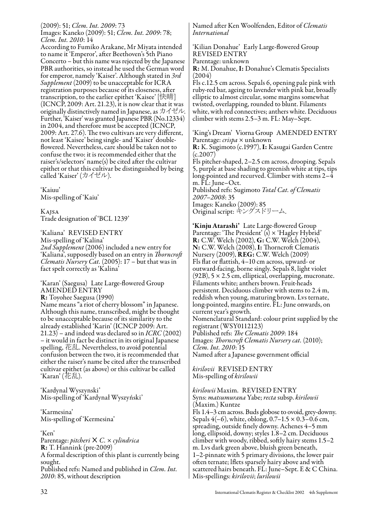(2009): 51; *Clem. Int. 2009*: 73 Images: Kaneko (2009): 51; *Clem. Int. 2009*: 78; *Clem. Int. 2010*: 14

According to Fumiko Arakane, Mr Miyata intended to name it 'Emperor', after Beethoven's 5th Piano Concerto – but this name was rejected by the Japanese PBR authorities, so instead he used the German word for emperor, namely 'Kaiser'. Although stated in *3rd Supplement* (2009) to be unacceptable for ICRA registration purposes because of its closeness, after transcription, to the earlier epithet 'Kaisee' [快晴] (ICNCP, 2009: Art. 21.23), it is now clear that it was originally distinctively named in Japanese, as カイゼル. Further, 'Kaiser' was granted Japanese PBR (No.12334) in 2004, and therefore must be accepted (ICNCP, 2009: Art. 27.6). The two cultivars are very different, not least 'Kaisee' being single- and 'Kaiser' doubleflowered. Nevertheless, care should be taken not to confuse the two: it is recommended either that the raiser's/selectors' name(s) be cited after the cultivar epithet or that this cultivar be distinguished by being called 'Kaiser' (カイゼル).

'Kaiuu' Mis-spelling of 'Kaiu'

Kajsa Trade designation of 'BCL 1239'

'Kaliana' REVISED ENTRY Mis-spelling of 'Kalina' *2nd Supplement* (2006) included a new entry for 'Kaliana', supposedly based on an entry in *Thorncroft Clematis Nursery Cat.* (2005): 17 – but that was in fact spelt correctly as 'Kalina'

'Karan' (Saegusa) Late Large-flowered Group AMENDED ENTRY R: Toyohee Saegusa (1990) Name means "a riot of cherry blossom" in Japanese. Although this name, transcribed, might be thought to be unacceptable because of its similarity to the already established 'Karin' (ICNCP 2009: Art. 21.23) – and indeed was declared so in *ICRC* (2002) – it would in fact be distinct in its original Japanese spelling, 花乱. Nevertheless, to avoid potential confusion between the two, it is recommended that either the raiser's name be cited after the transcribed cultivar epithet (as above) or this cultivar be called 'Karan' (花乱).

'Kardynal Wyszynski' Mis-spelling of 'Kardynał Wyszyński'

'Karmesina' Mis-spelling of 'Kermesina'

'Ken'

Parentage: *pitcheri*× *C.* × *cylindrica* R: T. Hannink (pre-2009) A formal description of this plant is currently being sought. Published refs: Named and published in *Clem. Int. 2010*: 85, without description

Named after Ken Woolfenden, Editor of *Clematis International*

'Kilian Donahue' Early Large-flowered Group REVISED ENTRY Parentage: unknown

R: M. Donahue, I: Donahue's Clematis Specialists (2004)

Fls c.12.5 cm across. Sepals 6, opening pale pink with ruby-red bar, ageing to lavender with pink bar, broadly elliptic to almost circular, some margins somewhat twisted, overlapping, rounded to blunt. Filaments white, with red connectives; anthers white. Deciduous climber with stems 2.5–3 m. FL: May–Sept.

'King's Dream' Viorna Group AMENDED ENTRY Parentage: *crispa* × unknown R: K. Sugimoto (c.1997), I: Kasugai Garden Centre (c.2007) Fls pitcher-shaped, 2–2.5 cm across, drooping. Sepals

5, purple at base shading to greenish white at tips, tips long-pointed and recurved. Climber with stems 2-4 m. FL: June–Oct. Published refs: Sugimoto *Total Cat. of Clematis* 

*2007–2008*: 35 Images: Kaneko (2009): 85 Original script: キングスドリーム.

'Kinju Atarashi' Late Large-flowered Group Parentage: 'The President'  $(s) \times 'H$ agley Hybrid' R: C.W. Welch (2002), G: C.W. Welch (2004), N: C.W. Welch (2008), I: Thorncroft Clematis Nursery (2009), REG: C.W. Welch (2009) Fls flat or flattish, 4–10 cm across, upward- or outward-facing, borne singly. Sepals 8, light violet  $(92B)$ , 5  $\times$  2.5 cm, elliptical, overlapping, mucronate. Filaments white; anthers brown. Fruit-heads persistent. Deciduous climber with stems to 2.4 m, reddish when young, maturing brown. Lvs ternate, long-pointed, margins entire. FL: June onwards, on current year's growth. Nomenclatural Standard: colour print supplied by the registrant (WSY0112123) Published refs: *The Clematis 2009*: 184 Images: *Thorncroft Clematis Nursery cat.* (2010); *Clem. Int. 2010*: 15 Named after a Japanese government official

*kirilovii* REVISED ENTRY Mis-spelling of *kirilowii*

*kirilowii* Maxim. REVISED ENTRY Syns: *matsumurana* Yabe; *recta* subsp. *kirilowii* (Maxim.) Kuntze Fls 1.4–3 cm across. Buds globose to ovoid, grey-downy. Sepals  $4(-6)$ , white, oblong,  $0.7-1.5 \times 0.3-0.6$  cm, spreading, outside finely downy. Achenes 4–5 mm long, ellipsoid, downy; styles 1.8–2 cm. Deciduous climber with woody, ribbed, softly hairy stems 1.5–2 m. Lvs dark green above, bluish green beneath, 1–2-pinnate with 5 primary divisions, the lower pair often ternate; lflets sparsely hairy above and with scattered hairs beneath. FL: June–Sept. E & C China. Mis-spellings: *kirilovii*; *lurilowii*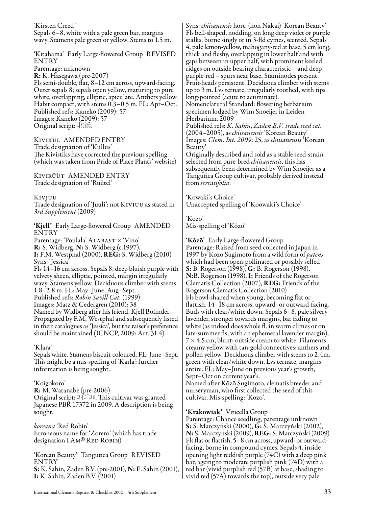'Kirsten Creed' Sepals 6–8, white with a pale green bar, margins wavy. Stamens pale green or yellow. Stems to 1.5 m.

'Kitahama' Early Large-flowered Group REVISED ENTRY Parentage: unknown R: K. Hasegawa (pre-2007) Fls semi-double, flat, 8–12 cm across, upward-facing. Outer sepals 8; sepals open yellow, maturing to pure white, overlapping, elliptic, apiculate. Anthers yellow. Habit compact, with stems 0.3–0.5 m. FL: Apr–Oct. Published refs: Kaneko (2009): 57 Images: Kaneko (2009): 57 Original script: 北浜.

Kivikül AMENDED ENTRY Trade designation of 'Küllus' The Kivistiks have corrected the previous spelling (which was taken from Pride of Place Plants' website)

Kivirüüt AMENDED ENTRY Trade designation of 'Rüütel'

Kivjuu

Trade designation of 'Juuli'; not Kiviuu as stated in *3rd Supplement* (2009)

'Kjell' Early Large-flowered Group AMENDED ENTRY Parentage: 'Poulala' ALABAST × 'Vino' R: S. Widberg, N: S. Widberg (c.1997), I: F.M. Westphal (2000), REG: S. Widberg (2010) Syns: 'Jessica' Fls 14–16 cm across. Sepals 8, deep bluish purple with velvety sheen, elliptic, pointed, margin irregularly wavy. Stamens yellow. Deciduous climber with stems 1.8–2.8 m. FL: May–June, Aug–Sept. Published refs: *Robin Savill Cat.* (1999) Images: Matz & Cedergren (2010): 38 Named by Widberg after his friend, Kjell Bolinder. Propagated by F.M. Westphal and subsequently listed in their catalogues as 'Jessica', but the raiser's preference should be maintained (ICNCP, 2009: Art. 31.4).

#### 'Klara'

Sepals white. Stamens biscuit-coloured. FL: June–Sept. This might be a mis-spelling of 'Karla': further information is being sought.

#### 'Koigokoro'

R: M. Watanabe (pre-2006) Original script:  $\Im \sqrt{\Gamma} \Im \Pi$  This cultivar was granted Japanese PBR 17372 in 2009. A description is being sought.

*koreana* 'Red Robin' Erroneous name for 'Zorero' (which has trade designation I AM® RED ROBIN)

'Korean Beauty' Tangutica Group REVISED ENTRY S: K. Sahin, Zaden B.V. (pre-2001), N: E. Sahin (2001), I: K. Sahin, Zaden B.V. (2001)

Syns: *chiisanensis* hort. (non Nakai) 'Korean Beauty' Fls bell-shaped, nodding, on long deep violet or purple stalks, borne singly or in 3-fld cymes, scented. Sepals 4, pale lemon-yellow, mahogany-red at base, 5 cm long, thick and fleshy, overlapping in lower half and with gaps between in upper half, with prominent keeled ridges on outside bearing characteristic – and deep purple-red – spurs near base. Staminodes present. Fruit-heads persistent. Deciduous climber with stems up to 3 m. Lvs ternate, irregularly toothed, with tips long-pointed (acute to acuminate).

Nomenclatural Standard: flowering herbarium specimen lodged by Wim Snoeijer in Leiden Herbarium, 2009

Published refs: *K. Sahin*, *Zaden B.V. trade seed cat.* (2004–2005), as *chiisanensis* 'Korean Beauty' Images: *Clem. Int. 2009*: 25, as *chiisanensis* 'Korean Beauty'

Originally described and sold as a stable seed-strain selected from pure-bred *chiisanensis*, this has subsequently been determined by Wim Snoeijer as a Tangutica Group cultivar, probably derived instead from *serratifolia*.

'Kowaki's Choice' Unaccepted spelling of 'Koowaki's Choice'

'Kozo' Mis-spelling of 'Kōzō'

'Kōzō' Early Large-flowered Group Parentage: Raised from seed collected in Japan in 1997 by Kozo Sugimoto from a wild form of *patens* which had been open-pollinated or possibly selfed S: B. Rogerson (1998), G: B. Rogerson (1998), N:B. Rogerson (1998), I: Friends of the Rogerson Clematis Collection (2007), REG: Friends of the Rogerson Clematis Collection (2010) Fls bowl-shaped when young, becoming flat or flattish, 14–18 cm across, upward- or outward-facing. Buds with clear/white down. Sepals 6–8, pale silvery lavender, stronger towards margins, bar fading to white (as indeed does whole fl. in warm climes or on late-summer fls, with an ephemeral lavender margin),  $7 \times 4.5$  cm, blunt; outside cream to white. Filaments creamy yellow with tan-gold connectives; anthers and pollen yellow. Deciduous climber with stems to 2.4m, green with clear/white down. Lvs ternate, margins entire. FL: May–June on previous year's growth, Sept–Oct on current year's.

Named after Kōzō Sugimoto, clematis breeder and nurseryman, who first collected the seed of this cultivar. Mis-spelling: 'Kozo'.

'Krakowiak' Viticella Group

Parentage: Chance seedling, parentage unknown S: S. Marczyński (2000), G: S. Marczyński (2002), N: S. Marczyński (2009), REG: S. Marczyński (2009) Fls flat or flattish, 5–8 cm across, upward- or outwardfacing, borne in compound cymes. Sepals 4, inside opening light reddish purple (74C) with a deep pink bar, ageing to moderate purplish pink (74D) with a red bar (vivid purplish red (57B) at base, shading to vivid red (57A) towards the top), outside very pale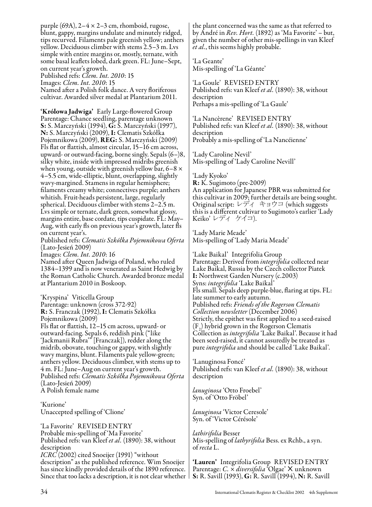purple (69A), 2–4 × 2–3 cm, rhomboid, rugose, blunt, gappy, margins undulate and minutely ridged, tips recurved. Filaments pale greenish yellow; anthers yellow. Deciduous climber with stems 2.5–3 m. Lvs simple with entire margins or, mostly, ternate, with some basal leaflets lobed, dark green. FL: June–Sept, on current year's growth. Published refs: *Clem. Int. 2010*: 15

Images: *Clem. Int. 2010*: 15 Named after a Polish folk dance. A very floriferous cultivar. Awarded silver medal at Plantarium 2011.

'Królowa Jadwiga' Early Large-flowered Group Parentage: Chance seedling, parentage unknown S: S. Marczyński (1994), G: S. Marczyński (1997), N: S. Marczyński (2009), I: Clematis Szkółka Pojemnikowa (2009), REG: S. Marczyński (2009) Fls flat or flattish, almost circular, 15–16 cm across, upward- or outward-facing, borne singly. Sepals (6–)8, silky white, inside with impressed midribs greenish when young, outside with greenish yellow bar,  $6-8 \times$ 4–5.5 cm, wide-elliptic, blunt, overlapping, slightly wavy-margined. Stamens in regular hemisphere; filaments creamy white; connectives purple; anthers whitish. Fruit-heads persistent, large, regularly spherical. Deciduous climber with stems 2–2.5 m. Lvs simple or ternate, dark green, somewhat glossy, margins entire, base cordate, tips cuspidate. FL: May– Aug, with early fls on previous year's growth, later fls on current year's.

Published refs: *Clematis Szkółka Pojemnikowa Oferta* (Lato-Jesień 2009)

Images: *Clem. Int. 2010*: 16

Named after Queen Jadwiga of Poland, who ruled 1384–1399 and is now venerated as Saint Hedwig by the Roman Catholic Church. Awarded bronze medal at Plantarium 2010 in Boskoop.

'Kryspina' Viticella Group Parentage: unknown (cross 372-92) R: S. Franczak (1992), I: Clematis Szkółka Pojemnikowa (2009) Fls flat or flattish, 12–15 cm across, upward- or outward-facing. Sepals 6, reddish pink ("like 'Jackmanii Rubra'" [Franczak]), redder along the midrib, obovate, touching or gappy, with slightly wavy margins, blunt. Filaments pale yellow-green; anthers yellow. Deciduous climber, with stems up to 4 m. FL: June–Aug on current year's growth. Published refs: *Clematis Szkółka Pojemnikowa Oferta* (Lato-Jesień 2009) A Polish female name

'Kurione' Unaccepted spelling of 'Clione'

'La Favorite' REVISED ENTRY Probable mis-spelling of 'Ma Favorite' Published refs: van Kleef *et al.* (1890): 38, without description *ICRC* (2002) cited Snoeijer (1991) "without description" as the published reference. Wim Snoeijer has since kindly provided details of the 1890 reference. Since that too lacks a description, it is not clear whether |

the plant concerned was the same as that referred to by André in *Rev. Hort.* (1892) as 'Ma Favorite' – but, given the number of other mis-spellings in van Kleef *et al.*, this seems highly probable.

'La Geante' Mis-spelling of 'La Géante'

'La Goule' REVISED ENTRY Published refs: van Kleef *et al.* (1890): 38, without description Perhaps a mis-spelling of 'La Gaule'

'La Nancèrene' REVISED ENTRY Published refs: van Kleef *et al.* (1890): 38, without description Probably a mis-spelling of 'La Nancéienne'

'Lady Caroline Nevil' Mis-spelling of 'Lady Caroline Nevill'

'Lady Kyoko' R: K. Sugimoto (pre-2009) An application for Japanese PBR was submitted for this cultivar in 2009; further details are being sought. Original script: レディ キョウコ (which suggests this is a different cultivar to Sugimoto's earlier 'Lady Keiko' レディ ケイコ).

'Lady Marie Meade' Mis-spelling of 'Lady Maria Meade'

'Lake Baikal' Integrifolia Group Parentage: Derived from *integrifolia* collected near Lake Baikal, Russia by the Czech collector Piatek I: Northwest Garden Nursery (c.2003) Syns: *integrifolia* 'Lake Baikal' Fls small. Sepals deep purple-blue, flaring at tips. FL: late summer to early autumn. Published refs: *Friends of the Rogerson Clematis Collection newsletter* (December 2006) Strictly, the epithet was first applied to a seed-raised  $(F_2)$  hybrid grown in the Rogerson Clematis Collection as *integrifolia* 'Lake Baikal'. Because it had been seed-raised, it cannot assuredly be treated as pure *integrifolia* and should be called 'Lake Baikal'.

'Lanuginosa Foncé' Published refs: van Kleef *et al.* (1890): 38, without description

*lanuginosa* 'Otto Froebel' Syn. of 'Otto Fröbel'

*lanuginosa* 'Victor Ceresole' Syn. of 'Victor Cérésole'

*lathirifolia* Besser Mis-spelling of *lathyrifolia* Bess. ex Rchb., a syn. of *recta* L.

'Lauren' Integrifolia Group REVISED ENTRY Parentage: *C.* × *diversifolia* 'Olgae' X unknown S: R. Savill (1993), G: R. Savill (1994), N: R. Savill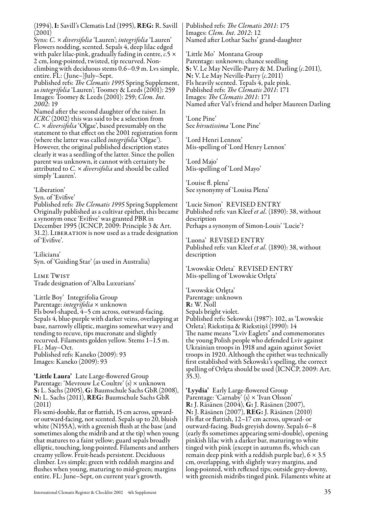(1994), I: Savill's Clematis Ltd (1995), REG: R. Savill (2001)

Syns: *C.* × *diversifolia* 'Lauren'; *integrifolia* 'Lauren' Flowers nodding, scented. Sepals 4, deep lilac edged with paler lilac-pink, gradually fading in centre, *c.*5 × 2 cm, long-pointed, twisted, tip recurved. Nonclimbing with deciduous stems 0.6–0.9 m. Lvs simple,

entire. FL: (June–)July–Sept.<br>Published refs: *The Clematis 1995* Spring Supplement, as *integrifolia* 'Lauren'; Toomey & Leeds (2001): 259 Images: Toomey & Leeds (2001): 259; *Clem. Int. 2002*: 19

Named after the second daughter of the raiser. In *ICRC* (2002) this was said to be a selection from *C.* × *diversifolia* 'Olgae', based presumably on the statement to that effect on the 2001 registration form (where the latter was called *integrifolia* 'Olgae'). However, the original published description states clearly it was a seedling of the latter. Since the pollen parent was unknown, it cannot with certainty be attributed to *C.* × *diversifolia* and should be called simply 'Lauren'.

'Liberation'

Syn. of 'Evifive'

Published refs: *The Clematis 1995* Spring Supplement Originally published as a cultivar epithet, this became a synonym once 'Evifive' was granted PBR in December 1995 (ICNCP, 2009: Principle 3 & Art. 31.2). Liberation is now used as a trade designation of 'Evifive'.

'Liliciana' Syn. of 'Guiding Star' (as used in Australia)

Lime Twist Trade designation of 'Alba Luxurians'

'Little Boy' Integrifolia Group Parentage: *integrifolia* × unknown Fls bowl-shaped, 4–5 cm across, outward-facing. Sepals 4, blue-purple with darker veins, overlapping at base, narrowly elliptic, margins somewhat wavy and tending to recuve, tips mucronate and slightly recurved. Filaments golden yellow. Stems 1–1.5 m. FL: May–Oct. Published refs: Kaneko (2009): 93 Images: Kaneko (2009): 93

'Little Laura' Late Large-flowered Group Parentage: 'Mevrouw Le Coultre' (s) × unknown S: L. Sachs (2005), G: Baumschule Sachs GbR (2008), N: L. Sachs (2011), REG: Baumschule Sachs GbR (2011)

Fls semi-double, flat or flattish, 15 cm across, upwardor outward-facing, not scented. Sepals up to 20, bluish white (N155A), with a greenish flush at the base (and sometimes along the midrib and at the tip) when young that matures to a faint yellow; guard sepals broadly elliptic, touching, long-pointed. Filaments and anthers creamy yellow. Fruit-heads persistent. Deciduous climber. Lvs simple; green with reddish margins and flushes when young, maturing to mid-green; margins entire. FL: June–Sept, on current year's growth.

Published refs: *The Clematis 2011*: 175 Images: *Clem. Int. 2012*: 12 Named after Lothar Sachs' grand-daughter

'Little Mo' Montana Group Parentage: unknown; chance seedling S: V. Le May Neville-Parry & M. Darling (*c.*2011), N: V. Le May Neville-Parry (*c.*2011) Fls heavily scented. Tepals 4, pale pink. Published refs: *The Clematis 2011*: 171 Images: *The Clematis 2011*: 171 Named after Val's friend and helper Maureen Darling

'Lone Pine' See *hirsutissima* 'Lone Pine'

'Lord Henri Lennox' Mis-spelling of 'Lord Henry Lennox'

'Lord Majo' Mis-spelling of 'Lord Mayo'

'Louise fl. plena' See synonymy of 'Louisa Plena'

'Lucie Simon' REVISED ENTRY Published refs: van Kleef *et al.* (1890): 38, without description Perhaps a synonym of Simon-Louis' 'Lucie'?

'Luona' REVISED ENTRY Published refs: van Kleef *et al.* (1890): 38, without description

'Lwowskie Orleta' REVISED ENTRY Mis-spelling of 'Lwowskie Orlęta'

'Lwowskie Orlęta' Parentage: unknown R: W. Noll Sepals bright violet. Published refs: Sekowski (1987): 102, as 'Lwowskie Orleta'; Riekstiņa & Riekstiņš (1990): 14 The name means "Lviv Eaglets" and commemorates the young Polish people who defended Lviv against Ukrainian troops in 1918 and again against Soviet troops in 1920. Although the epithet was technically first established with Sekowski's spelling, the correct spelling of Orlęta should be used (ICNCP, 2009: Art. 35.3).

'Lyydia' Early Large-flowered Group Parentage: 'Carnaby' (s) × 'Ivan Olsson' R: J. Räsänen (2004), G: J. Räsänen (2007), N: J. Räsänen (2007), REG: J. Räsänen (2010) Fls flat or flattish, 12–17 cm across, upward- or outward-facing. Buds greyish downy. Sepals 6–8 (early fls sometimes appearing semi-double), opening pinkish lilac with a darker bar, maturing to white tinged with pink (except in autumn fls, which can remain deep pink with a reddish purple bar),  $6 \times 3.5$ cm, overlapping, with slightly wavy margins, and long-pointed, with reflexed tips; outside grey-downy, with greenish midribs tinged pink. Filaments white at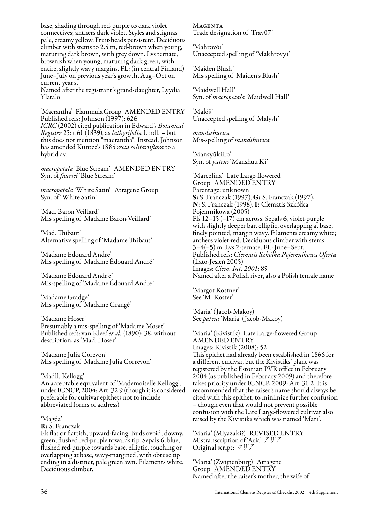base, shading through red-purple to dark violet connectives; anthers dark violet. Styles and stigmas pale, creamy yellow. Fruit-heads persistent. Deciduous climber with stems to 2.5 m, red-brown when young, maturing dark brown, with grey down. Lvs ternate, brownish when young, maturing dark green, with entire, slightly wavy margins. FL: (in central Finland) June–July on previous year's growth, Aug–Oct on current year's.

Named after the registrant's grand-daughter, Lyydia Ylätalo

'Macrantha' Flammula Group AMENDED ENTRY Published refs: Johnson (1997): 626 *ICRC* (2002) cited publication in Edward's *Botanical Register* 25: t.61 (1839), as *lathyrifolia* Lindl. – but this does not mention "macrantha". Instead, Johnson has amended Kuntze's 1885 *recta solitariiflora* to a hybrid cv.

*macropetala* 'Blue Stream' AMENDED ENTRY Syn. of *fauriei* 'Blue Stream'

*macropetala* 'White Satin' Atragene Group Syn. of 'White Satin'

'Mad. Baron Veillard' Mis-spelling of 'Madame Baron-Veillard'

'Mad. Thibaut' Alternative spelling of 'Madame Thibaut'

'Madame Edouard Andre' Mis-spelling of 'Madame Édouard André'

'Madame Edouard Andr'e' Mis-spelling of 'Madame Édouard André'

'Madame Gradge' Mis-spelling of 'Madame Grangé'

'Madame Hoser' Presumably a mis-spelling of 'Madame Moser' Published refs: van Kleef *et al.* (1890): 38, without description, as 'Mad. Hoser'

'Madame Julia Corevon' Mis-spelling of 'Madame Julia Correvon'

'Madll. Kellogg' An acceptable equivalent of 'Mademoiselle Kellogg', under ICNCP, 2004: Art. 32.9 (though it is considered preferable for cultivar epithets not to include abbreviated forms of address)

'Magda'

R: S. Franczak

Fls flat or flattish, upward-facing. Buds ovoid, downy, green, flushed red-purple towards tip. Sepals 6, blue, flushed red-purple towards base, elliptic, touching or overlapping at base, wavy-margined, with obtuse tip ending in a distinct, pale green awn. Filaments white. Deciduous climber.

**MAGENTA** Trade designation of 'Trav07'

'Mahrovõi' Unaccepted spelling of 'Makhrovyi'

'Maiden Blush' Mis-spelling of 'Maiden's Blush'

'Maidwell Hall' Syn. of *macropetala* 'Maidwell Hall'

'Malõš' Unaccepted spelling of 'Malysh'

*mandschurica* Mis-spelling of *mandshurica*

'Mansyūkiiro' Syn. of *patens* 'Manshuu Ki'

'Marcelina' Late Large-flowered Group AMENDED ENTRY Parentage: unknown S: S. Franczak (1997), G: S. Franczak (1997), N: S. Franczak (1998), I: Clematis Szkółka Pojemnikowa (2005) Fls 12–15 (–17) cm across. Sepals 6, violet-purple with slightly deeper bar, elliptic, overlapping at base, finely pointed, margin wavy. Filaments creamy white; anthers violet-red. Deciduous climber with stems 3–4(–5) m. Lvs 2-ternate. FL: June–Sept. Published refs: *Clematis Szkółka Pojemnikowa Oferta* (Lato-Jesień 2005) Images: *Clem. Int. 2001*: 89 Named after a Polish river, also a Polish female name

'Margot Kostner' See 'M. Koster'

'Maria' (Jacob-Makoy) See *patens* 'Maria' (Jacob-Makoy)

'Maria' (Kivistik) Late Large-flowered Group AMENDED ENTRY Images: Kivistik (2008): 52 This epithet had already been established in 1866 for a different cultivar, but the Kivistiks' plant was registered by the Estonian PVR office in February 2004 (as published in February 2009) and therefore takes priority under ICNCP, 2009: Art. 31.2. It is recommended that the raiser's name should always be cited with this epithet, to minimize further confusion – though even that would not prevent possible confusion with the Late Large-flowered cultivar also raised by the Kivistiks which was named 'Mari'.

'Maria' (Miyazaki?) REVISED ENTRY Mistranscription of 'Aria' アリア Original script: マリア

'Maria' (Zwijnenburg) Atragene Group AMENDED ENTRY Named after the raiser's mother, the wife of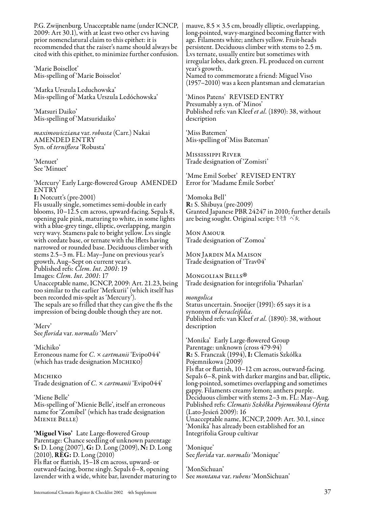P.G. Zwijnenburg. Unacceptable name (under ICNCP, 2009: Art 30.1), with at least two other cvs having prior nomenclatural claim to this epithet: it is recommended that the raiser's name should always be cited with this epithet, to minimize further confusion.

'Marie Boisellot' Mis-spelling of 'Marie Boisselot'

'Matka Urszula Leduchowska' Mis-spelling of 'Matka Urszula Ledóchowska'

'Matsuri Daiko' Mis-spelling of 'Matsuridaiko'

*maximowicziana* var. *robusta* (Carr.) Nakai AMENDED ENTRY Syn. of *terniflora* 'Robusta'

'Menuet' See 'Minuet'

'Mercury' Early Large-flowered Group AMENDED **ENTRY** I: Notcutt's (pre-2001)

Fls usually single, sometimes semi-double in early blooms, 10–12.5 cm across, upward-facing. Sepals 8, opening pale pink, maturing to white, in some lights with a blue-grey tinge, elliptic, overlapping, margin very wavy. Stamens pale to bright yellow. Lvs single with cordate base, or ternate with the lflets having narrowed or rounded base. Deciduous climber with stems 2.5–3 m. FL: May–June on previous year's growth, Aug–Sept on current year's. Published refs: *Clem. Int. 2001*: 19 Images: *Clem. Int. 2001*: 17 Unacceptable name, ICNCP, 2009: Art. 21.23, being too similar to the earlier 'Merkurii' (which itself has been recorded mis-spelt as 'Mercury'). The sepals are so frilled that they can give the fls the impression of being double though they are not.

'Merv' See *florida* var. *normalis* 'Merv'

'Michiko' Erroneous name for *C.* × *cartmanii* 'Evipo044' (which has trade designation  $M$ ICHIKO)

Michiko Trade designation of *C.* × *cartmanii* 'Evipo044'

'Miene Belle' Mis-spelling of 'Mienie Belle', itself an erroneous name for 'Zomibel' (which has trade designation Mienie Belle)

'Miguel Viso' Late Large-flowered Group Parentage: Chance seedling of unknown parentage S: D. Long (2007), G: D. Long (2009), N: D. Long  $(2010)$ ,  $R\check{E}G: D. Long (2010)$ Fls flat or flattish, 15–18 cm across, upward- or outward-facing, borne singly. Sepals 6–8, opening lavender with a wide, white bar, lavender maturing to mauve,  $8.5 \times 3.5$  cm, broadly elliptic, overlapping, long-pointed, wavy-margined becoming flatter with age. Filaments white; anthers yellow. Fruit-heads persistent. Deciduous climber with stems to 2.5 m. Lvs ternate, usually entire but sometimes with irregular lobes, dark green. FL produced on current year's growth. Named to commemorate a friend: Miguel Viso

(1957–2010) was a keen plantsman and clematarian

'Minos Patens' REVISED ENTRY Presumably a syn. of 'Minos' Published refs: van Kleef *et al.* (1890): 38, without description

'Miss Batemen' Mis-spelling of 'Miss Bateman'

Mississippi River Trade designation of 'Zomisri'

'Mme Emil Sorbet' REVISED ENTRY Error for 'Madame Émile Sorbet'

'Momoka Bell' R: S. Shibuya (pre-2009) Granted Japanese PBR 24247 in 2010; further details are being sought. Original script: モモカ ベル.

Mon Amour Trade designation of 'Zomoa'

Mon Jardin Ma Maison Trade designation of 'Trav04'

MONGOLIAN BELLS<sup>®</sup> Trade designation for integrifolia 'Psharlan' ®

*mongolica* Status uncertain. Snoeijer (1991): 65 says it is a synonym of *heracleifolia*. Published refs: van Kleef *et al.* (1890): 38, without description

'Monika' Early Large-flowered Group Parentage: unknown (cross 479-94) R: S. Franczak (1994), I: Clematis Szkółka Pojemnikowa (2009) Fls flat or flattish, 10–12 cm across, outward-facing. Sepals 6–8, pink with darker margins and bar, elliptic, long-pointed, sometimes overlapping and sometimes gappy. Filaments creamy lemon; anthers purple. Deciduous climber with stems 2–3 m. FL: May–Aug. Published refs: *Clematis Szkółka Pojemnikowa Oferta* (Lato-Jesień 2009): 16 Unacceptable name, ICNCP, 2009: Art. 30.1, since 'Monika' has already been established for an Integrifolia Group cultivar

'Monique' See *florida* var. *normalis* 'Monique'

'MonSichuan' See *montana* var. *rubens* 'MonSichuan'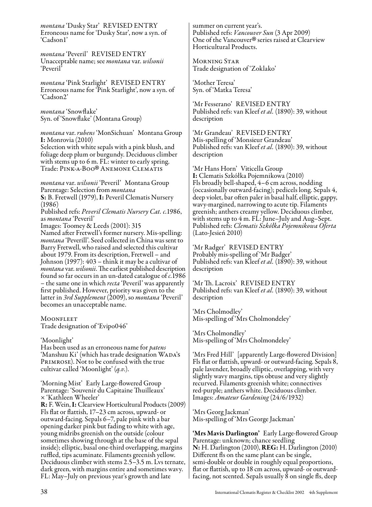*montana* 'Dusky Star' REVISED ENTRY Erroneous name for 'Dusky Star', now a syn. of 'Cadson1'

*montana* 'Peveril' REVISED ENTRY Unacceptable name; see *montana* var. *wilsonii* 'Peveril'

*montana* 'Pink Starlight' REVISED ENTRY Erroneous name for 'Pink Starlight', now a syn. of 'Cadson2'

*montana* 'Snowflake' Syn. of 'Snowflake' (Montana Group)

*montana* var. *rubens* 'MonSichuan' Montana Group I: Monrovia (2010)

Selection with white sepals with a pink blush, and foliage deep plum or burgundy. Deciduous climber with stems up to 6 m. FL: winter to early spring. Trade: PINK-A-BOO<sup>®</sup> ANEMONE CLEMATIS

*montana* var. *wilsonii* 'Peveril' Montana Group Parentage: Selection from *montana* S: B. Fretwell (1979), I: Peveril Clematis Nursery (1986)

Published refs: *Peveril Clematis Nursery Cat. c.*1986, as *montana* 'Peveril'

Images: Toomey & Leeds (2001): 315 Named after Fretwell's former nursery. Mis-spelling: *montana* 'Peverill'. Seed collected in China was sent to Barry Fretwell, who raised and selected this cultivar about 1979. From its description, Fretwell – and Johnson (1997): 403 – think it may be a cultivar of *montana* var. *wilsonii*. The earliest published description found so far occurs in an un-dated catalogue of *c.*1986 – the same one in which *recta* 'Peveril' was apparently first published. However, priority was given to the latter in *3rd Supplement* (2009), so *montana* 'Peveril' becomes an unacceptable name.

**MOONFLEET** Trade designation of 'Evipo046'

#### 'Moonlight'

Has been used as an erroneous name for *patens*<br>'Manshuu Ki' (which has trade designation WADA's Primrose). Not to be confused with the true cultivar called 'Moonlight' (*q.v.*).

'Morning Mist' Early Large-flowered Group Parentage: 'Souvenir du Capitaine Thuilleaux' × 'Kathleen Wheeler' R: F. Wein, I: Clearview Horticultural Products (2009) Fls flat or flattish, 17–23 cm across, upward- or outward-facing. Sepals 6–7, pale pink with a bar opening darker pink but fading to white with age, young midribs greenish on the outside (colour sometimes showing through at the base of the sepal inside); elliptic, basal one-third overlapping, margins ruffled, tips acuminate. Filaments greenish yellow. Deciduous climber with stems 2.5–3.5 m. Lys ternate, dark green, with margins entire and sometimes wavy. FL: May–July on previous year's growth and late

summer on current year's. Published refs: *Vancouver Sun* (3 Apr 2009) One of the Vancouver® series raised at Clearview<br>Horticultural Products. Horticultural Products.

Morning Star Trade designation of 'Zoklako'

'Mother Teresa' Syn. of 'Matka Teresa'

'Mr Fesserano' REVISED ENTRY Published refs: van Kleef *et al.* (1890): 39, without description

'Mr Grandeau' REVISED ENTRY Mis-spelling of 'Monsieur Grandeau' Published refs: van Kleef *et al.* (1890): 39, without description

'Mr Hans Horn' Viticella Group I: Clematis Szkółka Pojemnikowa (2010) Fls broadly bell-shaped, 4–6 cm across, nodding (occasionally outward-facing); pedicels long. Sepals 4, deep violet, bar often paler in basal half, elliptic, gappy, wavy-margined, narrowing to acute tip. Filaments greenish; anthers creamy yellow. Deciduous climber, with stems up to 4 m. FL: June–July and Aug–Sept. Published refs: *Clematis Szkółka Pojemnikowa Oferta* (Lato-Jesień 2010)

'Mr Radger' REVISED ENTRY Probably mis-spelling of 'Mr Badger' Published refs: van Kleef *et al.* (1890): 39, without description

'Mr Th. Lacroix' REVISED ENTRY Published refs: van Kleef *et al.* (1890): 39, without description

'Mrs Cholmodley' Mis-spelling of 'Mrs Cholmondeley'

'Mrs Cholmondley' Mis-spelling of 'Mrs Cholmondeley'

'Mrs Fred Hill' [apparently Large-flowered Division] Fls flat or flattish, upward- or outward-facing. Sepals 8, pale lavender, broadly elliptic, overlapping, with very slightly wavy margins, tips obtuse and very slightly recurved. Filaments greenish white; connectives red-purple; anthers white. Deciduous climber. Images: *Amateur Gardening* (24/6/1932)

'Mrs Georg Jackman' Mis-spelling of 'Mrs George Jackman'

'Mrs Mavis Darlington' Early Large-flowered Group Parentage: unknown; chance seedling N: H. Darlington (2010), REG: H. Darlington (2010) Different fls on the same plant can be single, semi-double or double in roughly equal proportions, flat or flattish, up to 18 cm across, upward- or outwardfacing, not scented. Sepals usually  $\bar{8}$  on single fls, deep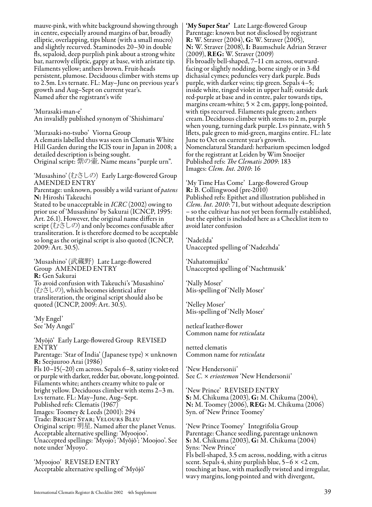mauve-pink, with white background showing through in centre, especially around margins of bar, broadly elliptic, overlapping, tips blunt (with a small mucro) and slightly recurved. Staminodes 20–30 in double fls, sepaloid, deep purplish pink about a strong white bar, narrowly elliptic, gappy at base, with aristate tip. Filaments yellow; anthers brown. Fruit-heads persistent, plumose. Deciduous climber with stems up to 2.5m. Lvs ternate. FL: May–June on previous year's growth and Aug–Sept on current year's. Named after the registrant's wife

'Murasaki-man-e' An invalidly published synonym of 'Shishimaru'

'Murasaki-no-tsubo' Viorna Group A clematis labelled thus was seen in Clematis White Hill Garden during the IClS tour in Japan in 2008; a detailed description is being sought. Original script: 紫の壷. Name means "purple urn".

'Musashino' (むさしの) Early Large-flowered Group AMENDED ENTRY

Parentage: unknown, possibly a wild variant of *patens* N: Hiroshi Takeuchi

Stated to be unacceptable in *ICRC* (2002) owing to prior use of 'Musashino' by Sakurai (ICNCP, 1995: Art. 26.1). However, the original name differs in script (むさしの) and only becomes confusable after transliteration. It is therefore deemed to be acceptable so long as the original script is also quoted (ICNCP, 2009: Art. 30.5).

'Musashino' (武蔵野) Late Large-flowered Group AMENDED ENTRY R: Gen Sakurai To avoid confusion with Takeuchi's 'Musashino' (むさしの), which becomes identical after transliteration, the original script should also be quoted (ICNCP, 2009: Art. 30.5).

'My Engel' See 'My Angel'

'Myōjō' Early Large-flowered Group REVISED ENTRY Parentage: 'Star of India' (Japanese type) × unknown R: Seejuuroo Arai (1986) Fls 10–15(–20) cm across. Sepals 6–8, satiny violet-red or purple with darker, redder bar, obovate, long-pointed. Filaments white; anthers creamy white to pale or bright yellow. Deciduous climber with stems 2–3 m. Lvs ternate. FL: May–June, Aug–Sept. Published refs: Clematis (1967) Images: Toomey & Leeds (2001): 294 Trade: Bright Star; Velours Bleu Original script: 明星. Named after the planet Venus. Acceptable alternative spelling: 'Myoojoo'. Unaccepted spellings: 'Myojo'; 'Myôjô'; 'Moojoo'. See note under 'Myoyo'.

'Myoojoo' REVISED ENTRY Acceptable alternative spelling of 'Myōjō'

'My Super Star' Late Large-flowered Group Parentage: known but not disclosed by registrant R: W. Straver (2004), G: W. Straver (2005), N: W. Straver (2008), I: Baumschule Adrian Straver (2009), REG: W. Straver (2009) Fls broadly bell-shaped, 7–11 cm across, outwardfacing or slightly nodding, borne singly or in 3-fld dichasial cymes; peduncles very dark purple. Buds purple, with darker veins; tip green. Sepals 4–5; inside white, tinged violet in upper half; outside dark red-purple at base and in centre, paler towards tips, margins cream-white;  $5 \times 2$  cm, gappy, long-pointed, with tips recurved. Filaments pale green; anthers cream. Deciduous climber with stems to 2 m, purple when young, turning dark purple. Lvs pinnate, with 5 lflets, pale green to mid-green, margins entire. FL: late June to Oct on current year's growth. Nomenclatural Standard: herbarium specimen lodged for the registrant at Leiden by Wim Snoeijer Published refs: *The Clematis 2009*: 183 Images: *Clem. Int. 2010*: 16

'My Time Has Come' Large-flowered Group R: B. Collingwood (pre-2010) Published refs: Epithet and illustration published in *Clem. Int. 2010*: 71, but without adequate description – so the cultivar has not yet been formally established, but the epithet is included here as a Checklist item to avoid later confusion

'Nadežda' Unaccepted spelling of 'Nadezhda'

'Nahatomujiku' Unaccepted spelling of 'Nachtmusik'

'Nally Moser' Mis-spelling of 'Nelly Moser'

'Nelley Moser' Mis-spelling of 'Nelly Moser'

netleaf leather-flower Common name for *reticulata*

netted clematis Common name for *reticulata*

'New Hendersonii' See *C.* × *eriostemon* 'New Hendersonii'

'New Prince' REVISED ENTRY S: M. Chikuma (2003), G: M. Chikuma (2004), N: M. Toomey (2006), REG: M. Chikuma (2006) Syn. of 'New Prince Toomey'

'New Prince Toomey' Integrifolia Group Parentage: Chance seedling, parentage unknown S: M. Chikuma (2003), G: M. Chikuma (2004) Syns: 'New Prince' Fls bell-shaped, 3.5 cm across, nodding, with a citrus scent. Sepals 4, shiny purplish blue,  $5-6 \times < 2$  cm, touching at base, with markedly twisted and irregular, wavy margins, long-pointed and with divergent,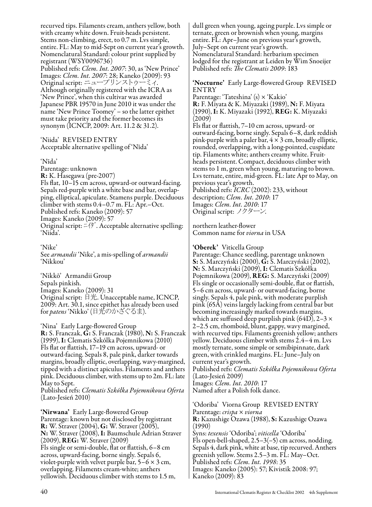recurved tips. Filaments cream, anthers yellow, both with creamy white down. Fruit-heads persistent. Stems non-climbing, erect, to 0.7 m. Lvs simple, entire. FL: May to mid-Sept on current year's growth. Nomenclatural Standard: colour print supplied by registrant (WSY0096736) Published refs: *Clem. Int. 2007*: 30, as 'New Prince' Images: *Clem. Int. 2007*: 28; Kaneko (2009): 93 Although originally registered with the ICRA as 'New Prince', when this cultivar was awarded Japanese PBR 19570 in June 2010 it was under the name 'New Prince Toomey' – so the latter epithet must take priority and the former becomes its synonym (ICNCP, 2009: Art. 11.2 & 31.2).

'Niida' REVISED ENTRY Acceptable alternative spelling of 'Nīda'

#### 'Nīda'

Parentage: unknown R: K. Hasegawa (pre-2007) Fls flat, 10–15 cm across, upward-or outward-facing. Sepals red-purple with a white base and bar, overlapping, elliptical, apiculate. Stamens purple. Deciduous climber with stems 0.4–0.7 m. FL: Apr.–Oct. Published refs: Kaneko (2009): 57 Images: Kaneko (2009): 57 Original script: ニイダ. Acceptable alternative spelling: 'Niida'.

'Nike' See *armandii* 'Nike', a mis-spelling of *armandii* 'Nikkou'

'Nikkō' Armandii Group Sepals pinkish. Images: Kaneko (2009): 31 Original script: 日光. Unacceptable name, ICNCP, 2009: Art. 30.1, since epithet has already been used for *patens* 'Nikko' (日光のかざぐるま).

'Nina' Early Large-flowered Group R: S. Franczak, G: S. Franczak (1980), N: S. Franczak (1999), I: Clematis Szkólka Pojemnikowa (2010) Fls flat or flattish, 17–19 cm across, upward- or outward-facing. Sepals 8, pale pink, darker towards margins, broadly elliptic, overlapping, wavy-margined, tipped with a distinct apiculus. Filaments and anthers pink. Deciduous climber, with stems up to 2m. FL: late May to Sept.

Published refs: *Clematis Szkółka Pojemnikowa Oferta*  (Lato-Jesień 2010)

'Nirwana' Early Large-flowered Group Parentage: known but not disclosed by registrant R: W. Straver (2004), G: W. Straver (2005), N: W. Straver (2008), I: Baumschule Adrian Straver (2009), REG: W. Straver (2009) Fls single or semi-double, flat or flattish, 6–8 cm across, upward-facing, borne singly. Sepals 6, violet-purple with velvet purple bar,  $5-\overline{6} \times 3$  cm, overlapping. Filaments cream-white; anthers yellowish. Deciduous climber with stems to 1.5 m,

dull green when young, ageing purple. Lvs simple or ternate, green or brownish when young, margins entire. FL: Apr–June on previous year's growth, July–Sept on current year's growth. Nomenclatural Standard: herbarium specimen lodged for the registrant at Leiden by Wim Snoeijer Published refs: *The Clematis 2009*: 183

'Nocturne' Early Large-flowered Group REVISED ENTRY

Parentage: 'Tateshina' (s) × 'Kakio' R: F. Miyata & K. Miyazaki (1989), N: F. Miyata (1990), I: K. Miyazaki (1992), REG: K. Miyazaki (2009)

Fls flat or flattish, 7–10 cm across, upward- or outward-facing, borne singly. Sepals 6–8, dark reddish pink-purple with a paler bar,  $4 \times 3$  cm, broadly elliptic, rounded, overlapping, with a long-pointed, cuspidate tip. Filaments white; anthers creamy white. Fruitheads persistent. Compact, deciduous climber with stems to 1 m, green when young, maturing to brown. Lvs ternate, entire, mid-green. FL: late Apr to May, on previous year's growth.

Published refs: *ICRC* (2002): 233, without description; *Clem. Int. 2010*: 17 Images: *Clem. Int. 2010*: 17 Original script: ノクターン.

northern leather-flower Common name for *viorna* in USA

#### 'Oberek' Viticella Group

Parentage: Chance seedling, parentage unknown S: S. Marczyński (2000), G: S. Marczyński (2002), N: S. Marczyński (2009), I: Clematis Szkółka Pojemnikowa (2009), REG: S. Marczyński (2009) Fls single or occasionally semi-double, flat or flattish, 5–6 cm across, upward- or outward-facing, borne singly. Sepals 4, pale pink, with moderate purplish pink (65A) veins largely lacking from central bar but becoming increasingly marked towards margins, which are suffused deep purplish pink (64D), 2–3  $\times$ 2–2.5 cm, rhomboid, blunt, gappy, wavy margined, with recurved tips. Filaments greenish yellow; anthers yellow. Deciduous climber with stems 2.4–4 m. Lvs mostly ternate, some simple or semibipinnate, dark green, with crinkled margins. FL: June–July on current year's growth.

Published refs: *Clematis Szkółka Pojemnikowa Oferta* (Lato-Jesień 2009) Images: *Clem. Int. 2010*: 17

Named after a Polish folk dance.

'Odoriba' Viorna Group REVISED ENTRY Parentage: *crispa* × *viorna* R: Kazushige Ozawa (1988), S: Kazushige Ozawa (1990) Syns: *texensis* 'Odoriba'; *viticella* 'Odoriba' Fls open-bell-shaped,  $2.5-3(-5)$  cm across, nodding. Sepals 4, dark pink, white at base, tip recurved. Anthers greenish yellow. Stems 2.5–3 m. FL: May–Oct. Published refs: *Clem. Int. 1998*: 35 Images: Kaneko (2005): 57; Kivistik 2008: 97; Kaneko (2009): 83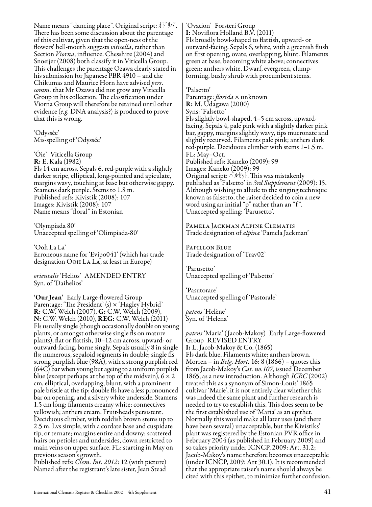Name means "dancing place". Original script: オドリバ. There has been some discussion about the parentage of this cultivar, given that the open-ness of the flowers' bell-mouth suggests *viticella*, rather than Section *Viorna*, influence. Chesshire (2004) and Snoeijer (2008) both classify it in Viticella Group. This challenges the parentage Ozawa clearly stated in his submission for Japanese PBR 4910 – and the<br>Chikumas and Maurice Horn have advised *pers.* comm. that Mr Ozawa did not grow any Viticella Group in his collection. The classification under Viorna Group will therefore be retained until other evidence (*e.g.* DNA analysis?) is produced to prove that this is wrong.

'Odyssèe' Mis-spelling of 'Odyssée'

'Õie' Viticella Group R: E. Kala (1982) Fls 14 cm across. Sepals 6, red-purple with a slightly darker stripe, elliptical, long-pointed and apiculate, margins wavy, touching at base but otherwise gappy. Stamens dark purple. Stems to 1.8 m. Published refs: Kivistik (2008): 107 Images: Kivistik (2008): 107 Name means "floral" in Estonian

'Olympiada 80' Unaccepted spelling of 'Olimpiada-80'

'Ooh La La' Erroneous name for 'Evipo041' (which has trade designation Ooh La La, at least in Europe)

*orientalis* 'Helios' AMENDED ENTRY Syn. of 'Daihelios'

'Our Jean' Early Large-flowered Group Parentage: 'The President' (s) × 'Hagley Hybrid' R: C.W. Welch (2007), G: C.W. Welch (2009), N: C.W. Welch (2010), REG: C.W. Welch (2011) Fls usually single (though occasionally double on young plants, or amongst otherwise single fls on mature plants), flat or flattish, 10–12 cm across, upward- or outward-facing, borne singly. Sepals usually 8 in single fls; numerous, sepaloid segments in double; single fls strong purplish blue (98A), with a strong purplish red (64C) bar when young but ageing to a uniform purplish blue (except perhaps at the top of the midvein),  $6 \times 2$ cm, elliptical, overlapping, blunt, with a prominent pale bristle at the tip; double fls have a less pronounced bar on opening, and a silvery white underside. Stamens 1.5 cm long; filaments creamy white; connectives yellowish; anthers cream. Fruit-heads persistent. Deciduous climber, with reddish brown stems up to 2.5 m. Lvs simple, with a cordate base and cuspidate tip, or ternate; margins entire and downy; scattered hairs on petioles and undersides, down restricted to main veins on upper surface. FL: starting in May on previous season's growth.

Published refs: *Clem. Int. 2012*: 12 (with picture) Named after the registrant's late sister, Jean Stead 'Ovation' Forsteri Group I: Noviflora Holland B.V. (2011) Fls broadly bowl-shaped to flattish, upward- or outward-facing. Sepals 6, white, with a greenish flush on first opening, ovate, overlapping, blunt. Filaments green at base, becoming white above; connectives green; anthers white. Dwarf, evergreen, clumpforming, bushy shrub with procumbent stems.

'Palsetto' Parentage: *florida* × unknown R: M. Udagawa (2000) Syns: 'Falsetto' Fls slightly bowl-shaped, 4–5 cm across, upwardfacing. Sepals 4, pale pink with a slightly darker pink bar, gappy, margins slightly wavy, tips mucronate and slightly recurved. Filaments pale pink; anthers dark red-purple. Deciduous climber with stems 1–1.5 m. FL: May–Oct. Published refs: Kaneko (2009): 99 Images: Kaneko (2009): 99 Original script: パルセット. This was mistakenly published as <sup>7</sup>Falsetto' in 3rd Supplement (2009): 15. Although wishing to allude to the singing technique known as falsetto, the raiser decided to coin a new word using an initial "p" rather than an "f". Unaccepted spelling: 'Parusetto'.

Pamela Jackman Alpine Clematis Trade designation of *alpina* 'Pamela Jackman'

Papillon Blue Trade designation of 'Trav02'

'Parusetto' Unaccepted spelling of 'Palsetto'

'Pasutorare' Unaccepted spelling of 'Pastorale'

*patens* 'Helène' Syn. of 'Helena'

*patens* 'Maria' (Jacob-Makoy) Early Large-flowered Group REVISED ENTRY I: L. Jacob-Makoy & Co. (1865) Fls dark blue. Filaments white; anthers brown. Morren – in *Belg. Hort.* 16: 8 (1866) – quotes this from Jacob-Makoy's *Cat. no.107*, issued December 1865, as a new introduction. Although *ICRC* (2002) treated this as a synonym of Simon-Louis' 1865 cultivar 'Marie', it is not entirely clear whether this was indeed the same plant and further research is needed to try to establish this. This does seem to be the first established use of 'Maria' as an epithet. Normally this would make all later uses (and there have been several) unacceptable, but the Kivistiks' plant was registered by the Estonian PVR office in February 2004 (as published in February 2009) and so takes priority under ICNCP, 2009: Art. 31.2; Jacob-Makoy's name therefore becomes unacceptable (under ICNCP, 2009: Art 30.1). It is recommended that the appropriate raiser's name should always be cited with this epithet, to minimize further confusion.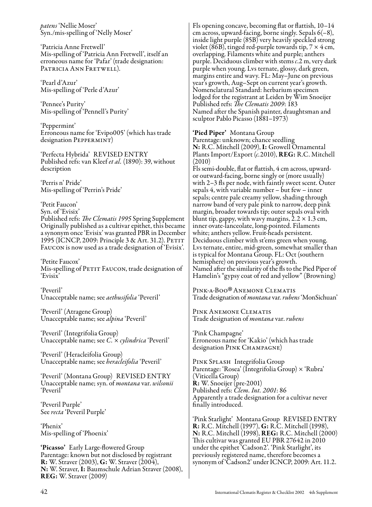*patens* 'Nellie Moser' Syn./mis-spelling of 'Nelly Moser'

'Patricia Anne Fretwell' Mis-spelling of 'Patricia Ann Fretwell', itself an erroneous name for 'Pafar' (trade designation: Patricia Ann Fretwell).

'Pearl d'Azur' Mis-spelling of 'Perle d'Azur'

'Pennee's Purity' Mis-spelling of 'Pennell's Purity'

'Peppermint' Erroneous name for 'Evipo005' (which has trade designation PEPPERMINT)

'Perfecta Hybrida' REVISED ENTRY Published refs: van Kleef *et al.* (1890): 39, without description

'Perris n' Pride' Mis-spelling of 'Perrin's Pride'

'Petit Faucon'

Syn. of 'Evisix' Published refs: *The Clematis 1995* Spring Supplement Originally published as a cultivar epithet, this became

a synonym once 'Evisix' was granted PBR in December 1995 (ICNCP, 2009: Principle 3 & Art. 31.2). PETIT Faucon is now used as a trade designation of 'Evisix'.

'Petite Faucox' Mis-spelling of PETIT FAUCON, trade designation of 'Evisix'

'Peveril' Unacceptable name; see *aethusifolia* 'Peveril'

'Peveril' (Atragene Group) Unacceptable name; see *alpina* 'Peveril'

'Peveril' (Integrifolia Group) Unacceptable name; see *C.* × *cylindrica* 'Peveril'

'Peveril' (Heracleifolia Group) Unacceptable name; see *heracleifolia* 'Peveril'

'Peveril' (Montana Group) REVISED ENTRY Unacceptable name; syn. of *montana* var. *wilsonii*  'Peveril'

'Peveril Purple' See *recta* 'Peveril Purple'

'Phenix' Mis-spelling of 'Phoenix'

'Picasso' Early Large-flowered Group Parentage: known but not disclosed by registrant R: W. Straver (2003), G: W. Straver (2004), N: W. Straver, I: Baumschule Adrian Straver (2008), REG: W. Straver (2009)

Fls opening concave, becoming flat or flattish, 10–14 cm across, upward-facing, borne singly. Sepals 6(–8), inside light purple (85B) very heavily speckled strong violet (86B), tinged red-purple towards tip,  $7 \times 4$  cm, overlapping. Filaments white and purple; anthers purple. Deciduous climber with stems *c*.2 m, very dark purple when young. Lvs ternate, glossy, dark green, margins entire and wavy. FL: May–June on previous year's growth, Aug–Sept on current year's growth. Nomenclatural Standard: herbarium specimen lodged for the registrant at Leiden by Wim Snoeijer Published refs: *The Clematis 2009*: 183 Named after the Spanish painter, draughtsman and sculptor Pablo Picasso (1881–1973)

'Pied Piper' Montana Group

Parentage: unknown; chance seedling N: R.C. Mitchell (2009), I: Growell Ornamental Plants Import/Export (*c.*2010), REG: R.C. Mitchell (2010)

Fls semi-double, flat or flattish, 4 cm across, upwardor outward-facing, borne singly or (more usually) with 2–3 fls per node, with faintly sweet scent. Outer sepals 4, with variable number – but few – inner sepals; centre pale creamy yellow, shading through narrow band of very pale pink to narrow, deep pink margin, broader towards tip; outer sepals oval with blunt tip, gappy, with wavy margins,  $2.2 \times 1.3$  cm, inner ovate-lanceolate, long-pointed. Filaments white; anthers yellow. Fruit-heads persistent. Deciduous climber with st'ems green when young. Lvs ternate, entire, mid-green, somewhat smaller than is typical for Montana Group. FL: Oct (southern hemisphere) on previous year's growth. Named after the similarity of the fls to the Pied Piper of Hamelin's "gypsy coat of red and yellow" (Browning)

PINK-A-BOO® ANEMONE CLEMATIS<br>Trade designation of *montana* var. *rubens`* MonSichuan' PINK-A-BOO<sup>®</sup> ANEMONE CLEMATIS

Pink Anemone Clematis Trade designation of *montana* var. *rubens*

'Pink Champagne' Erroneous name for 'Kakio' (which has trade designation PINK CHAMPAGNE)

Pink Splash Integrifolia Group Parentage: 'Rosea' (Integrifolia Group) × 'Rubra' (Viticella Group) **R:** W. Snoeijer (pre-2001) Published refs: *Clem. Int. 2001*: 86 Apparently a trade designation for a cultivar never finally introduced.

'Pink Starlight' Montana Group REVISED ENTRY R: R.C. Mitchell (1997), G: R.C. Mitchell (1998), N: R.C. Mitchell (1998), REG: R.C. Mitchell (2000) This cultivar was granted EU PBR 27642 in 2010 under the epithet 'Cadson2'. 'Pink Starlight', its previously registered name, therefore becomes a synonym of 'Cadson2' under ICNCP, 2009: Art. 11.2.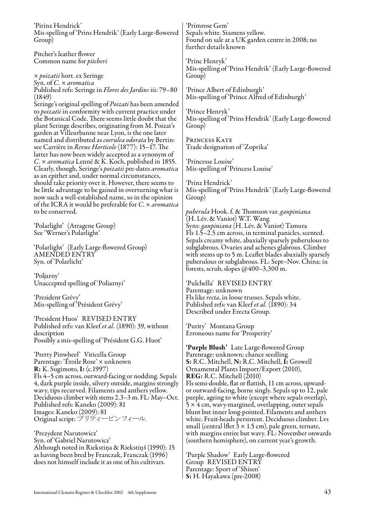| 'Pirinz Hendrick'<br>Mis-spelling of 'Prins Hendrik' (Early Large-flowered                                          | 'Primrose Gem'<br>Sepals white. Stamens yellow.                                       |
|---------------------------------------------------------------------------------------------------------------------|---------------------------------------------------------------------------------------|
|                                                                                                                     | Found on sale at a UK garden centre in 2008; no                                       |
| Group)                                                                                                              | further details known                                                                 |
| Pitcher's leather flower                                                                                            |                                                                                       |
| Common name for <i>pitcheri</i>                                                                                     | 'Princ Henryk'                                                                        |
|                                                                                                                     | Mis-spelling of 'Prins Hendrik' (Early Large-flowered                                 |
| x <i>poizatii</i> hort. ex Seringe                                                                                  | Group)                                                                                |
| Syn. of C. × aromatica                                                                                              |                                                                                       |
| Published refs: Seringe in Flores des Jardins iii: 79-80                                                            | 'Prince Albert of Edinburgh'                                                          |
| (1849)                                                                                                              | Mis-spelling of 'Prince Alfred of Edinburgh'                                          |
| Seringe's original spelling of <i>Poizati</i> has been amended                                                      |                                                                                       |
| to <i>poizatii</i> in conformity with current practice under                                                        | 'Prince Henryk'                                                                       |
| the Botanical Code. There seems little doubt that the                                                               | Mis-spelling of 'Prins Hendrik' (Early Large-flowered                                 |
| plant Seringe describes, originating from M. Poizat's                                                               | Group)                                                                                |
| garden at Villeurbanne near Lyon, is the one later                                                                  |                                                                                       |
| named and distributed as <i>coerulea odorata</i> by Bertin:                                                         | PRINCESS KATE                                                                         |
| see Carrière in Revue Horticole (1877): 15-17. The                                                                  | Trade designation of 'Zoprika'                                                        |
| latter has now been widely accepted as a synonym of                                                                 |                                                                                       |
| C. x aromatica Lenné & K. Koch, published in 1855.                                                                  | 'Princesse Louise'                                                                    |
| Clearly, though, Seringe's poizatii pre-dates aromatica                                                             | Mis-spelling of 'Princess Louise'                                                     |
| as an epithet and, under normal circumstances,                                                                      |                                                                                       |
| should take priority over it. However, there seems to                                                               | 'Prinz Hendrick'                                                                      |
| be little advantage to be gained in overturning what is                                                             | Mis-spelling of 'Prins Hendrik' (Early Large-flowered                                 |
| now such a well-established name, so in the opinion<br>of the ICRA it would be preferable for C. x <i>aromatica</i> | Group)                                                                                |
| to be conserved.                                                                                                    | <i>puberula</i> Hook. f. & Thomson var. <i>ganpiniana</i>                             |
|                                                                                                                     | (H. Lév. & Vaniot) W.T. Wang                                                          |
| 'Polarlight' (Atragene Group)                                                                                       | Syns: ganpiniana (H. Lév. & Vaniot) Tamura                                            |
| See 'Werner's Polarlight'                                                                                           | Fls 1.5–2.5 cm across, in terminal panicles, scented.                                 |
|                                                                                                                     | Sepals creamy white, abaxially sparsely puberulous to                                 |
| 'Polarlight' (Early Large-flowered Group)                                                                           | subglabrous. Ovaries and achenes glabrous. Climber                                    |
| AMENDED ENTRY                                                                                                       | with stems up to 5 m. Leaflet blades abaxially sparsely                               |
| Syn. of 'Polarlicht'                                                                                                | puberulous or subglabrous. FL: Sept–Nov. China; in                                    |
|                                                                                                                     | forests, scrub, slopes $@400-3,300$ m.                                                |
| `Poljarny´                                                                                                          |                                                                                       |
| Unaccepted spelling of 'Poliarnyi'                                                                                  | 'Pulchella' REVISED ENTRY                                                             |
|                                                                                                                     | Parentage: unknown                                                                    |
| 'President Grévy'                                                                                                   | Fls like <i>recta</i> , in loose trusses. Sepals white.                               |
| Mis-spelling of 'Président Grévy'                                                                                   | Published refs: van Kleef et al. (1890): 34                                           |
|                                                                                                                     | Described under Erecta Group.                                                         |
| 'President Huos' REVISED ENTRY                                                                                      |                                                                                       |
| Published refs: van Kleef et al. (1890): 39, without                                                                | 'Purity' Montana Group                                                                |
| description                                                                                                         | Erroneous name for 'Prosperity'                                                       |
| Possibly a mis-spelling of 'Président G.G. Huot'                                                                    |                                                                                       |
|                                                                                                                     | 'Purple Blush' Late Large-flowered Group                                              |
| 'Pretty Pinwheel' Viticella Group<br>Parentage: 'Etoile Rose' × unknown                                             | Parentage: unknown; chance seedling<br>S: R.C. Mitchell, N: R.C. Mitchell, I: Growell |
| <b>R</b> : K. Sugimoto, <b>I</b> : (c.1997)                                                                         | Ornamental Plants Import/Export (2010),                                               |
| Fls 4–5 cm across, outward-facing or nodding. Sepals                                                                | <b>REG:</b> R.C. Mitchell (2010)                                                      |
| 4, dark purple inside, silvery outside, margins strongly                                                            | Fls semi-double, flat or flattish, 11 cm across, upward-                              |
| wavy, tips recurved. Filaments and anthers yellow.                                                                  | or outward-facing, borne singly. Sepals up to 12, pale                                |
| Deciduous climber with stems 2.3–3 m. FL: May–Oct.                                                                  | purple, ageing to white (except where sepals overlap),                                |
| Published refs: Kaneko (2009): 81                                                                                   | $5 \times 4$ cm, wavy-margined, overlapping, outer sepals                             |
| Images: Kaneko (2009): 81                                                                                           | blunt but inner long-pointed. Filaments and anthers                                   |
| Original script: プリティーピンフィール.                                                                                       | white. Fruit-heads persistent. Deciduous climber. Lvs                                 |
|                                                                                                                     | small (central liflet $3 \times 1.5$ cm), pale green, ternate,                        |
| 'Prezydent Narutowicz'                                                                                              | with margins entire but wavy. FL: November onwards                                    |
| Syn. of 'Gabriel Narutowicz'                                                                                        | (southern hemisphere), on current year's growth.                                      |
| Although noted in Riekstiņa & Riekstiņš (1990): 15                                                                  |                                                                                       |
| as having been bred by Franczak, Franczak (1996)                                                                    | 'Purple Shadow' Early Large-flowered                                                  |
| does not himself include it as one of his cultivars.                                                                | Group REVISED ENTRY                                                                   |
|                                                                                                                     | Parentage: Sport of 'Shisen'                                                          |
|                                                                                                                     | S: H. Hayakawa (pre-2008)                                                             |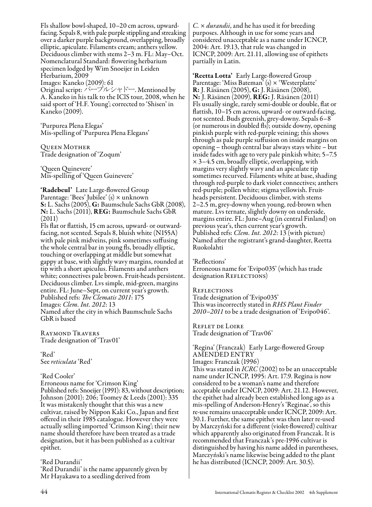Fls shallow bowl-shaped, 10–20 cm across, upwardfacing. Sepals 8, with pale purple stippling and streaking over a darker purple background, overlapping, broadly elliptic, apiculate. Filaments cream; anthers yellow. Deciduous climber with stems 2–3 m. FL: May–Oct. Nomenclatural Standard: flowering herbarium specimen lodged by Wim Snoeijer in Leiden Herbarium, 2009 Images: Kaneko (2009): 61 Original script: パープルシャドー. Mentioned by A. Kaneko in his talk to the IClS tour, 2008, when he said sport of 'H.F. Young'; corrected to 'Shisen' in Kaneko (2009).

'Purpurea Plena Elegas' Mis-spelling of 'Purpurea Plena Elegans'

Queen Mother Trade designation of 'Zoqum'

'Queen Quinevere' Mis-spelling of 'Queen Guinevere'

'Radebeul' Late Large-flowered Group Parentage: 'Bees' Jubilee' (s) × unknown S: L. Sachs (2005), G: Baumschule Sachs GbR (2008), N: L. Sachs (2011), REG: Baumschule Sachs GbR (2011)

Fls flat or flattish, 15 cm across, upward- or outwardfacing, not scented. Sepals 8, bluish white (N155A) with pale pink midveins, pink sometimes suffusing the whole central bar in young fls, broadly elliptic, touching or overlapping at middle but somewhat gappy at base, with slightly wavy margins, rounded at tip with a short apiculus. Filaments and anthers white; connectives pale brown. Fruit-heads persistent. Deciduous climber. Lvs simple, mid-green, margins entire. FL: June–Sept, on current year's growth. Published refs: *The Clematis 2011*: 175 Images: *Clem. Int. 2012*: 13 Named after the city in which Baumschule Sachs GbR is based

Raymond Travers Trade designation of 'Trav01'

'Red' See *reticulata* 'Red'

'Red Cooler'

Erroneous name for 'Crimson King' Published refs: Snoeijer (1991): 83, without description; Johnson (2001): 206; Toomey & Leeds (2001): 335 It was mistakenly thought that this was a new cultivar, raised by Nippon Kaki Co., Japan and first offered in their 1985 catalogue. However they were actually selling imported 'Crimson King'; their new name should therefore have been treated as a trade designation, but it has been published as a cultivar epithet.

'Red Durandii' 'Red Durandii' is the name apparently given by Mr Hayakawa to a seedling derived from

*C.* × *durandii*, and he has used it for breeding purposes. Although in use for some years and considered unacceptable as a name under ICNCP, 2004: Art. 19.13, that rule was changed in ICNCP, 2009: Art. 21.11, allowing use of epithets partially in Latin.

'Reetta Lotta' Early Large-flowered Group Parentage: 'Miss Bateman' (s) × 'Westerplatte' R: J. Räsänen (2005), G: J. Räsänen (2008), N: J. Räsänen (2009), REG: J. Räsänen (2011) Fls usually single, rarely semi-double or double, flat or flattish, 10–15 cm across, upward- or outward-facing, not scented. Buds greenish, grey-downy. Sepals 6–8 (or numerous in doubled fls); outside downy, opening pinkish purple with red-purple veining; this shows through as pale purple suffusion on inside margins on opening – though central bar always stays white – but inside fades with age to very pale pinkish white; 5–7.5 × 3–4.5 cm, broadly elliptic, overlapping, with margins very slightly wavy and an apiculate tip sometimes recurved. Filaments white at base, shading through red-purple to dark violet connectives; anthers red-purple; pollen white; stigma yellowish. Fruitheads persistent. Deciduous climber, with stems 2–2.5 m, grey-downy when young, red-brown when mature. Lvs ternate, slightly downy on underside, margins entire. FL: June–Aug (in central Finland) on previous year's, then current year's growth. Published refs: *Clem. Int. 2012*: 13 (with picture) Named after the registrant's grand-daughter, Reetta Ruokolahti

'Reflections' Erroneous name for 'Evipo035' (which has trade designation REFLECTIONS)

**REFLECTIONS** 

Trade designation of 'Evipo035' This was incorrectly stated in *RHS Plant Finder 2010–2011* to be a trade designation of 'Evipo046'.

Reflet de Loire Trade designation of 'Trav06'

'Regina' (Franczak) Early Large-flowered Group AMENDED ENTRY Images: Franczak (1996) This was stated in *ICRC* (2002) to be an unacceptable name under ICNCP, 1995: Art. 17.9. Regina is now considered to be a woman's name and therefore acceptable under ICNCP, 2009: Art. 21.12. However, the epithet had already been established long ago as a mis-spelling of Anderson-Henry's 'Reginae', so this re-use remains unacceptable under ICNCP, 2009: Art. 30.1. Further, the same epithet was then later re-used by Marczyński for a different (violet-flowered) cultivar which apparently also originated from Franczak. It is recommended that Franczak's pre-1996 cultivar is distinguished by having his name added in parentheses, Marczyński's name likewise being added to the plant he has distributed (ICNCP, 2009: Art. 30.5).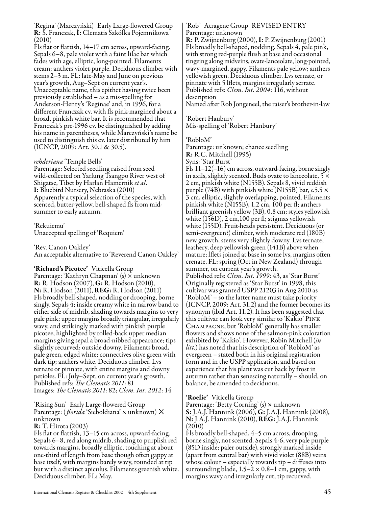'Regina' (Marczyński) Early Large-flowered Group R: S. Franczak, I: Clematis Szkółka Pojemnikowa (2010)

Fls flat or flattish, 14–17 cm across, upward-facing. Sepals 6–8, pale violet with a faint lilac bar which fades with age, elliptic, long-pointed. Filaments cream; anthers violet-purple. Deciduous climber with stems 2–3 m. FL: late-May and June on previous year's growth, Aug–Sept on current year's. Unacceptable name, this epithet having twice been previously established – as a mis-spelling for Anderson-Henry's 'Reginae' and, in 1996, for a different Franczak cv. with fls pink-margined about a broad, pinkish white bar. It is recommended that Franczak's pre-1996 cv. be distinguished by adding his name in parentheses, while Marczyński's name be used to distinguish this cv. later distributed by him (ICNCP, 2009: Art. 30.1 & 30.5).

#### *rehderiana* 'Temple Bells'

Parentage: Selected seedling raised from seed wild-collected on Yarlung Tsangpo River west of Shigatse, Tibet by Harlan Hamernik *et al.* I: Bluebird Nursery, Nebraska (2010) Apparently a typical selection of the species, with scented, butter-yellow, bell-shaped fls from midsummer to early autumn.

'Rekuiemu' Unaccepted spelling of 'Requiem'

'Rev. Canon Oakley' An acceptable alternative to 'Reverend Canon Oakley'

'Richard's Picotee' Viticella Group Parentage: 'Kathryn Chapman' (s) × unknown R: R. Hodson (2007), G: R. Hodson (2010), N: R. Hodson (2011), REG: R. Hodson (2011) Fls broadly bell-shaped, nodding or drooping, borne singly. Sepals 4; inside creamy white in narrow band to either side of midrib, shading towards margins to very pale pink; upper margins broadly triangular, irregularly wavy, and strikingly marked with pinkish purple picotee, highlighted by rolled-back upper median margins giving sepal a broad-nibbed appearance; tips slightly recurved; outside downy. Filaments broad, pale green, edged white; connectives olive green with dark tip; anthers white. Deciduous climber. Lvs ternate or pinnate, with entire margins and downy petioles. FL: July–Sept, on current year's growth. Published refs: *The Clematis 2011*: 81 Images: *The Clematis 2011*: 82; *Clem. Int. 2012*: 14

'Rising Sun' Early Large-flowered Group Parentage: (*florida* 'Sieboldiana' × unknown) × unknown

#### R: T. Hirota (2003)

Fls flat or flattish, 13–15 cm across, upward-facing. Sepals 6–8, red along midrib, shading to purplish red towards margins, broadly elliptic, touching at about one-third of length from base though often gappy at base itself, with margins barely wavy, rounded at tip but with a distinct apiculus. Filaments greenish white. Deciduous climber. FL: May.

#### 'Rob' Atragene Group REVISED ENTRY Parentage: unknown

R: P. Zwijnenburg (2000), I: P. Zwijnenburg (2001) Fls broadly bell-shaped, nodding. Sepals 4, pale pink, with strong red-purple flush at base and occasional tingeing along midveins, ovate-lanceolate, long-pointed, wavy-margined, gappy. Filaments pale yellow; anthers yellowish green. Deciduous climber. Lvs ternate, or pinnate with 5 lflets, margins irregularly serrate. Published refs: *Clem. Int. 2004*: 116, without description

Named after Rob Jongeneel, the raiser's brother-in-law

'Robert Haubury' Mis-spelling of 'Robert Hanbury'

#### 'RobloM'

Parentage: unknown; chance seedling R: R.C. Mitchell (1995)

Syns: 'Star Burst'

Fls 11–12(–16) cm across, outward-facing, borne singly in axils, slightly scented. Buds ovate to lanceolate,  $5 \times$ 2 cm, pinkish white (N155B). Sepals 8, vivid reddish purple (74B) with pinkish white (N155B) bar, *c.*5.5 × 3 cm, elliptic, slightly overlapping, pointed. Filaments pinkish white (N155B), 1.2 cm, 100 per fl; anthers brilliant greenish yellow (3B), 0.8 cm; styles yellowish white (156D), 2 cm,100 per fl; stigmas yellowish white (155D). Fruit-heads persistent. Deciduous (or semi-evergreen?) climber, with moderate red (180B) new growth, stems very slightly downy. Lvs ternate, leathery, deep yellowish green (141B) above when mature; lflets joined at base in some lvs, margins often crenate. FL: spring (Oct in New Zealand) through summer, on current year's growth. Published refs: *Clem. Int. 1999*: 43, as 'Star Burst' Originally registered as 'Star Burst' in 1998, this cultivar was granted USPP 21203 in Aug 2010 as 'RobloM' – so the latter name must take priority (ICNCP, 2009: Art. 31.2) and the former becomes its synonym (ibid Art. 11.2). It has been suggested that this cultivar can look very similar to 'Kakio' Pink Champagne, but 'RobloM' generally has smaller flowers and shows none of the salmon-pink coloration exhibited by 'Kakio'. However, Robin Mitchell (*in litt.*) has noted that his description of 'RobloM' as evergreen – stated both in his original registration form and in the USPP application, and based on experience that his plant was cut back by frost in autumn rather than senescing naturally – should, on balance, be amended to deciduous.

'**Roelie'** Viticella Group<br>Parentage: 'Betty Corning' (s) × unknown S: J.A.J. Hannink (2006), G: J.A.J. Hannink (2008), N: J.A.J. Hannink (2010), REG: J.A.J. Hannink (2010)

Fls broadly bell-shaped, 4–5 cm across, drooping, borne singly, not scented. Sepals 4-6, very pale purple (85D inside; paler outside), strongly marked inside (apart from central bar) with vivid violet (88B) veins whose colour – especially towards tip – diffuses into surrounding blade,  $1.5-\dot{2} \times 0.8-1$  cm, gappy, with margins wavy and irregularly cut, tip recurved.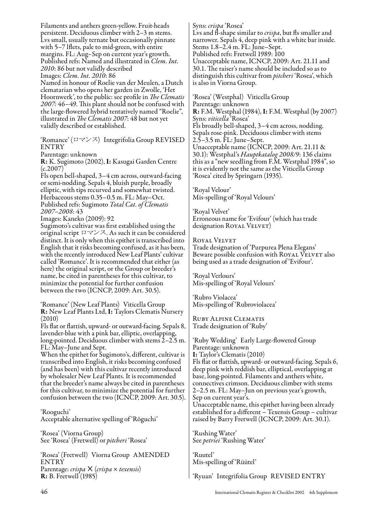Filaments and anthers green-yellow. Fruit-heads persistent. Deciduous climber with 2–3 m stems. Lvs small, usually ternate but occasionally pinnate with 5–7 lflets, pale to mid-green, with entire margins. FL: Aug–Sep on current year's growth. Published refs: Named and illustrated in *Clem. Int. 2010*: 86 but not validly described Images: *Clem. Int. 2010*: 86 Named in honour of Roelie van der Meulen, a Dutch clematarian who opens her garden in Zwolle, 'Het Hoornwerk', to the public: see profile in *The Clematis 2007*: 46–49. This plant should not be confused with the large-flowered hybrid tentatively named "Roelie", illustrated in *The Clematis 2007*: 48 but not yet validly described or established.

'Romance' (ロマンス) Integrifolia Group REVISED ENTRY

Parentage: unknown

R: K. Sugimoto (2002), I: Kasugai Garden Centre (c.2007)

Fls open bell-shaped, 3–4 cm across, outward-facing or semi-nodding. Sepals 4, bluish purple, broadly elliptic, with tips recurved and somewhat twisted. Herbaceous stems 0.35–0.5 m. FL: May–Oct. Published refs: Sugimoto *Total Cat. of Clematis 2007–2008*: 43

Images: Kaneko (2009): 92

Sugimoto's cultivar was first established using the original script ロマンス. As such it can be considered distinct. It is only when this epithet is transcribed into English that it risks becoming confused, as it has been, with the recently introduced New Leaf Plants' cultivar called 'Romance'. It is recommended that either (as here) the original script, or the Group or breeder's name, be cited in parentheses for this cultivar, to minimize the potential for further confusion between the two (ICNCP, 2009: Art. 30.5).

'Romance' (New Leaf Plants) Viticella Group R: New Leaf Plants Ltd, I: Taylors Clematis Nursery (2010)

Fls flat or flattish, upward- or outward-facing. Sepals 8, lavender-blue with a pink bar, elliptic, overlapping, long-pointed. Deciduous climber with stems 2–2.5 m. FL: May–June and Sept.

When the epithet for Sugimoto's, different, cultivar is transcribed into English, it risks becoming confused (and has been) with this cultivar recently introduced by wholesaler New Leaf Plants. It is recommended that the breeder's name always be cited in parentheses for this cultivar, to minimize the potential for further confusion between the two (ICNCP, 2009: Art. 30.5).

'Rooguchi' Acceptable alternative spelling of 'Rōguchi'

'Rosea' (Viorna Group) See 'Rosea' (Fretwell) or *pitcheri* 'Rosea'

'Rosea' (Fretwell) Viorna Group AMENDED **ENTRY** Parentage: *crispa*× (*crispa* × *texensis*) R: B. Fretwell (1985)

Syns: *crispa* 'Rosea'

Lvs and fl-shape similar to *crispa*, but fls smaller and narrower. Sepals 4, deep pink with a white bar inside. Stems 1.8–2.4 m. FL: June–Sept. Published refs: Fretwell 1989: 100 Unacceptable name, ICNCP, 2009: Art. 21.11 and 30.1. The raiser's name should be included so as to distinguish this cultivar from *pitcheri* 'Rosea', which is also in Viorna Group.

'Rosea' (Westphal) Viticella Group Parentage: unknown R: F.M. Westphal (1984), I: F.M. Westphal (by 2007) Syns: *viticella* 'Rosea' Fls broadly bell-shaped, 3–4 cm across, nodding. Sepals rose-pink. Deciduous climber with stems 2.5–3.5 m. FL: June–Sept. Unacceptable name (ICNCP, 2009: Art. 21.11 & 30.1): Westphal's *Hauptkatalog 2008/9*: 136 claims this as a "new seedling from F.M. Westphal 1984", so it is evidently not the same as the Viticella Group 'Rosea' cited by Springarn (1935).

'Royal Velour' Mis-spelling of 'Royal Velours'

'Royal Velvet' Erroneous name for 'Evifour' (which has trade designation ROYAL VELVET)

Royal Velvet

Trade designation of 'Purpurea Plena Elegans' Beware possible confusion with Royal Velvet also being used as a trade designation of 'Evifour'.

'Royal Verlours' Mis-spelling of 'Royal Velours'

'Rubro Violacea' Mis-spelling of 'Rubroviolacea'

Ruby Alpine Clematis Trade designation of 'Ruby'

'Ruby Wedding' Early Large-flowered Group Parentage: unknown I: Taylor's Clematis (2010) Fls flat or flattish, upward- or outward-facing. Sepals 6, deep pink with reddish bar, elliptical, overlapping at base, long-pointed. Filaments and anthers white, connectives crimson. Deciduous climber with stems 2–2.5 m. FL: May–Jun on previous year's growth, Sep on current year's. Unacceptable name, this epithet having been already established for a different – Texensis Group – cultivar raised by Barry Fretwell (ICNCP, 2009: Art. 30.1).

'Rushing Water' See *petriei* 'Rushing Water'

'Ruutel' Mis-spelling of 'Rüütel'

'Ryuan' Integrifolia Group REVISED ENTRY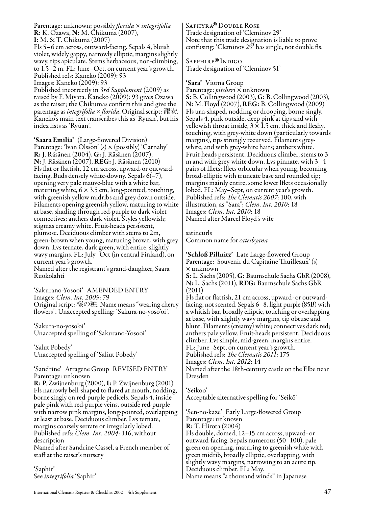Parentage: unknown; possibly *florida* × *integrifolia* R: K. Ozawa, N: M. Chikuma (2007), I: M. & T. Chikuma (2007) Fls 5–6 cm across, outward-facing. Sepals 4, bluish

violet, widely gappy, narrowly elliptic, margins slightly wavy, tips apiculate. Stems herbaceous, non-climbing, to 1.5–2 m. FL: June–Oct, on current year's growth. Published refs: Kaneko (2009): 93 Images: Kaneko (2009): 93

Published incorrectly in *3rd Supplement* (2009) as raised by F. Miyata. Kaneko (2009): 93 gives Ozawa as the raiser; the Chikumas confirm this and give the parentage as *integrifolia* × *florida*. Original script: 籠安. Kaneko's main text transcribes this as 'Ryuan', but his index lists as 'Ryūan'.

**'Saara Emilia'** (Large-flowered Division)<br>Parentage: 'Ivan Olsson' (s)  $\times$  (possibly) 'Carnaby' R: J. Räsänen (2004), G: J. Räsänen (2007), N: J. Räsänen (2007), REG: J. Räsänen (2010) Fls flat or flattish, 12 cm across, upward-or outwardfacing. Buds densely white-downy. Sepals 6(–7), opening very pale mauve-blue with a white bar, maturing white,  $6 \times 3.5$  cm, long-pointed, touching, with greenish yellow midribs and grey down outside. Filaments opening greenish yellow, maturing to white at base, shading through red-purple to dark violet connectives; anthers dark violet. Styles yellowish; stigmas creamy white. Fruit-heads persistent, plumose. Deciduous climber with stems to 2m, green-brown when young, maturing brown, with grey down. Lvs ternate, dark green, with entire, slightly wavy margins. FL: July–Oct (in central Finland), on current year's growth.

Named after the registrant's grand-daughter, Saara Ruokolahti

'Sakurano-Yosooi' AMENDED ENTRY Images: *Clem. Int. 2009*: 79 Original script: 桜の粧. Name means "wearing cherry flowers". Unaccepted spelling: 'Sakura-no-yoso'oi'.

'Sakura-no-yoso'oi' Unaccepted spelling of 'Sakurano-Yosooi'

'Salut Pobedy' Unaccepted spelling of 'Saliut Pobedy'

'Sandrine' Atragene Group REVISED ENTRY Parentage: unknown R: P. Zwijnenburg (2000), I: P. Zwijnenburg (2001) Fls narrowly bell-shaped to flared at mouth, nodding, borne singly on red-purple pedicels. Sepals 4, inside pale pink with red-purple veins, outside red-purple with narrow pink margins, long-pointed, overlapping at least at base. Deciduous climber. Lvs ternate, margins coarsely serrate or irregularly lobed. Published refs: *Clem. Int. 2004*: 116, without description

Named after Sandrine Cassel, a French member of staff at the raiser's nursery

'Saphir' See *integrifolia* 'Saphir' SAPHYRA® DOUBLE ROSE<br>Trade designation of 'Clem Trade designation of 'Cleminov 29' Note that this trade designation is liable to prove confusing: 'Cleminov 29' has single, not double fls.

Sapphire®Indigo<br>Trade designation of Trade designation of 'Cleminov 51'

#### 'Sara' Viorna Group

Parentage: *pitcheri* × unknown S: B. Collingwood (2003), G: B. Collingwood (2003), N: M. Floyd (2007), REG: B. Collingwood (2009) Fls urn-shaped, nodding or drooping, borne singly. Sepals 4, pink outside, deep pink at tips and with yellowish throat inside,  $3 \times 1.5$  cm, thick and fleshy, touching, with grey-white down (particularly towards margins), tips strongly recurved. Filaments greywhite, and with grey-white hairs; anthers white. Fruit-heads persistent. Deciduous climber, stems to 3 m and with grey-white down. Lvs pinnate, with 3–4 pairs of lflets; lflets orbicular when young, becoming broad-elliptic with truncate base and rounded tip; margins mainly entire, some lower lflets occasionally lobed. FL: May–Sept, on current year's growth. Published refs: *The Clematis 2007*: 100, with illustration, as "Sara"; *Clem. Int. 2010*: 18 Images: *Clem. Int. 2010*: 18 Named after Marcel Floyd's wife

satincurls

Common name for *catesbyana*

'Schloß Pillnitz' Late Large-flowered Group Parentage: 'Souvenir du Capitaine Thuilleaux' (s) × unknown S: L. Sachs (2005), G: Baumschule Sachs GbR (2008),

N: L. Sachs (2011), REG: Baumschule Sachs GbR (2011)

Fls flat or flattish, 21 cm across, upward- or outwardfacing, not scented. Sepals 6–8, light purple (85B) with a whitish bar, broadly elliptic, touching or overlapping at base, with slightly wavy margins, tip obtuse and blunt. Filaments (creamy) white; connectives dark red; anthers pale yellow. Fruit-heads persistent. Deciduous climber. Lvs simple, mid-green, margins entire. FL: June–Sept, on current year's growth.

Published refs: *The Clematis 2011*: 175

Images: *Clem. Int. 2012*: 14

Named after the 18th-century castle on the Elbe near Dresden

'Seikoo' Acceptable alternative spelling for 'Seikō'

'Sen-no-kaze' Early Large-flowered Group Parentage: unknown R: T. Hirota (2004) Fls double, domed, 12–15 cm across, upward- or outward-facing. Sepals numerous (50–100), pale green on opening, maturing to greenish white with green midrib, broadly elliptic, overlapping, with slightly wavy margins, narrowing to an acute tip. Deciduous climber. FL: May. Name means "a thousand winds" in Japanese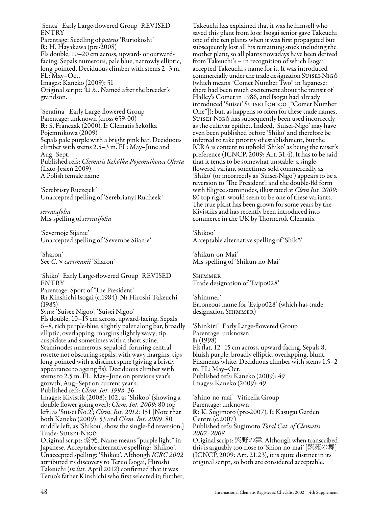'Senta' Early Large-flowered Group REVISED ENTRY Parentage: Seedling of *patens* 'Ruriokoshi' R: H. Hayakawa (pre-2008) Fls double, 10–20 cm across, upward- or outwardfacing. Sepals numerous, pale blue, narrowly elliptic, long-pointed. Deciduous climber with stems 2–3 m. FL: May–Oct. Images: Kaneko (2009): 51 Original script: 仙太. Named after the breeder's grandson.

'Serafina' Early Large-flowered Group Parentage: unknown (cross 659-00) R: S. Franczak (2000), I: Clematis Szkółka Pojemnikowa (2009) Sepals pale purple with a bright pink bar. Deciduous climber with stems 2.5–3 m. FL: May–June and Aug–Sept. Published refs: *Clematis Szkółka Pojemnikowa Oferta* (Lato-Jesień 2009) A Polish female name

'Serebristy Ruczejek' Unaccepted spelling of 'Serebrianyi Rucheek'

*serratafolia* Mis-spelling of *serratifolia*

'Severnoje Sijanie' Unaccepted spelling of 'Severnoe Siianie'

'Sharon' See *C*. × *cartmanii* 'Sharon'

'Shikō' Early Large-flowered Group REVISED ENTRY Parentage: Sport of 'The President' R: Kinshichi Isogai (c.1984), N: Hiroshi Takeuchi (1985) Syns: 'Suisee Nigoo', 'Suisei Nigoo' Fls double, 10–15 cm across, upward-facing. Sepals 6–8, rich purple-blue, slightly paler along bar, broadly elliptic, overlapping, margins slightly wavy; tip cuspidate and sometimes with a short spine. Staminodes numerous, sepaloid, forming central rosette not obscuring sepals, with wavy margins, tips long-pointed with a distinct spine (giving a bristly appearance to ageing fls). Deciduous climber with stems to 2.5 m. FL: May–June on previous year's growth, Aug–Sept on current year's. Published refs: *Clem. Int. 1998*: 36 Images: Kivistik (2008): 102, as 'Shikoo' (showing a double flower going over); *Clem. Int. 2009*: 80 top left, as 'Suisei No.2'; *Clem. Int. 2012*: 151 [Note that both Kaneko (2009): 53 and *Clem. Int. 2009*: 80 middle left, as 'Shikou', show the single-fld reversion.] Trade: Suisei-Nigō Original script: 紫光. Name means "purple light" in Japanese. Acceptable alternative spelling: 'Shikoo'. Unaccepted spelling: 'Shikou'. Although *ICRC 2002* attributed its discovery to Teruo Isogai, Hiroshi Takeuchi (*in litt.* April 2012) confirmed that it was Teruo's father Kinshichi who first selected it; further,

Takeuchi has explained that it was he himself who saved this plant from loss: Isogai senior gave Takeuchi one of the ten plants when it was first propagated but subsequently lost all his remaining stock including the mother plant, so all plants nowadays have been derived from Takeuchi's – in recognition of which Isogai accepted Takeuchi's name for it. It was introduced commercially under the trade designation Suisei-Nigō (which means "Comet Number Two" in Japanese: there had been much excitement about the transit of Halley's Comet in 1986, and Isogai had already introduced 'Suisei' Suisei Ichigō ["Comet Number One"]); but, as happens so often for these trade names, Suisei-Nigō has subsequently been used incorrectly as the cultivar epithet. Indeed, 'Suisei-Nigō' may have even been published before 'Shikō' and therefore be inferred to take priority of establishment, but the ICRA is content to uphold 'Shikō' as being the raiser's preference (ICNCP, 2009: Art. 31.4). It has to be said that it tends to be somewhat unstable: a singleflowered variant sometimes sold commercially as 'Shikō' (or incorrectly as 'Suisei-Nigō') appears to be a reversion to 'The President'; and the double-fld form with filigree staminodes, illustrated at *Clem Int. 2009*: 80 top right, would seem to be one of these variants. The true plant has been grown for some years by the Kivistiks and has recently been introduced into commerce in the UK by Thorncroft Clematis.

'Shikoo' Acceptable alternative spelling of 'Shikō'

'Shikun-on-Mai' Mis-spelling of 'Shikun-no-Mai'

Shimmer Trade designation of 'Evipo028'

'Shimmer' Erroneous name for 'Evipo028' (which has trade designation SHIMMER)

'Shinkiri' Early Large-flowered Group Parentage: unknown I: (1998) Fls flat, 12–15 cm across, upward-facing. Sepals 8, bluish purple, broadly elliptic, overlapping, blunt. Filaments white. Deciduous climber with stems 1.5–2 m. FL: May–Oct. Published refs: Kaneko (2009): 49 Images: Kaneko (2009): 49

'Shino-no-mai' Viticella Group Parentage: unknown R: K. Sugimoto (pre-2007), I: Kasugai Garden Centre (c.2007) Published refs: Sugimoto *Total Cat. of Clematis 2007–2008* Original script: 紫野の舞. Although when transcribed this is arguably too close to 'Shion-no-mai' [紫苑の舞] (ICNCP, 2009: Art. 21.23), it is quite distinct in its original script, so both are considered acceptable.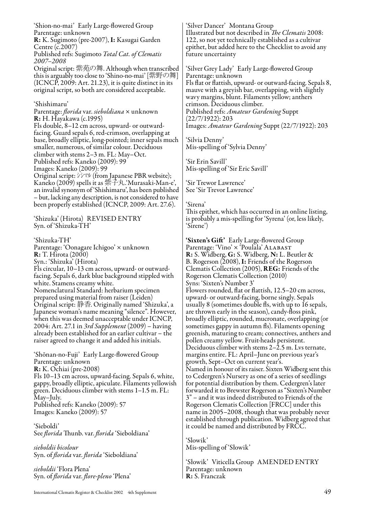'Shion-no-mai' Early Large-flowered Group Parentage: unknown R: K. Sugimoto (pre-2007), I: Kasugai Garden Centre (c.2007) Published refs: Sugimoto *Total Cat. of Clematis 2007–2008* Original script: 紫苑の舞. Although when transcribed this is arguably too close to 'Shino-no-mai' [紫野の舞] (ICNCP, 2009: Art. 21.23), it is quite distinct in its

original script, so both are considered acceptable.

'Shishimaru'

Parentage: *florida* var. *sieboldiana* × unknown R: H. Hayakawa (c.1995) Fls double, 8–12 cm across, upward- or outwardfacing. Guard sepals 6, red-crimson, overlapping at base, broadly elliptic, long-pointed; inner sepals much smaller, numerous, of similar colour. Deciduous climber with stems 2–3 m. FL: May–Oct. Published refs: Kaneko (2009): 99 Images: Kaneko (2009): 99 Original script: シシマル (from Japanese PBR website); Kaneko (2009) spells it as 紫子丸.'Murasaki-Man-e', an invalid synonym of 'Shishimaru', has been published – but, lacking any description, is not considered to have been properly established (ICNCP, 2009: Art. 27.6).

'Shizuka' (Hirota) REVISED ENTRY Syn. of 'Shizuka-TH'

'Shizuka-TH' Parentage: 'Oonagare Ichigoo' × unknown R: T. Hirota (2000) Syn.: 'Shizuka' (Hirota) Fls circular, 10–13 cm across, upward- or outwardfacing. Sepals 6, dark blue background stippled with white. Stamens creamy white. Nomenclatural Standard: herbarium specimen prepared using material from raiser (Leiden) Original script: 静香. Originally named 'Shizuka', a Japanese woman's name meaning "silence". However, when this was deemed unacceptable under ICNCP, 2004: Art. 27.1 in *3rd Supplement* (2009) – having already been established for an earlier cultivar – the raiser agreed to change it and added his initials.

'Shōnan-no-Fuji' Early Large-flowered Group Parentage: unknown R: K. Ochiai (pre-2008) Fls 10–13 cm across, upward-facing. Sepals 6, white, gappy, broadly elliptic, apiculate. Filaments yellowish green. Deciduous climber with stems 1–1.5 m. FL: May–July. Published refs: Kaneko (2009): 57 Images: Kaneko (2009): 57

'Sieboldi' See *florida* Thunb. var. *florida* 'Sieboldiana'

*sieboldii bicolour* Syn. of *florida* var. *florida* 'Sieboldiana'

*sieboldii* 'Flora Plena' Syn. of *florida* var. *flore-pleno* 'Plena'

'Silver Dancer' Montana Group Illustrated but not described in *The Clematis* 2008: 122, so not yet technically established as a cultivar epithet, but added here to the Checklist to avoid any future uncertainty

'Silver Grey Lady' Early Large-flowered Group Parentage: unknown Fls flat or flattish, upward- or outward-facing. Sepals 8, mauve with a greyish bar, overlapping, with slightly wavy margins, blunt. Filaments yellow; anthers crimson. Deciduous climber. Published refs: *Amateur Gardening* Suppt (22/7/1922): 203 Images: *Amateur Gardening* Suppt (22/7/1922): 203

'Silvia Denny' Mis-spelling of 'Sylvia Denny'

'Sir Erin Savill' Mis-spelling of 'Sir Eric Savill'

'Sir Trewor Lawrence' See 'Sir Trevor Lawrence'

#### 'Sirena'

This epithet, which has occurred in an online listing, is probably a mis-spelling for 'Syrena' (or, less likely, 'Sirene')

'Sixten's Gift' Early Large-flowered Group Parentage: 'Vino' x 'Poulala' ALABAST R: S. Widberg, G: S. Widberg, N: L. Beutler & B. Rogerson (2008), I: Friends of the Rogerson Clematis Collection (2005), REG: Friends of the Rogerson Clematis Collection (2010) Syns: 'Sixten's Number 3' Flowers rounded, flat or flattish, 12.5–20 cm across, upward- or outward-facing, borne singly. Sepals usually 8 (sometimes double fls, with up to 16 sepals, are thrown early in the season), candy-floss pink, broadly elliptic, rounded, mucronate, overlapping (or sometimes gappy in autumn fls). Filaments opening greenish, maturing to cream; connectives, anthers and pollen creamy yellow. Fruit-heads persistent. Deciduous climber with stems 2–2.5 m. Lvs ternate, margins entire. FL: April–June on previous year's growth, Sept–Oct on current year's. Named in honour of its raiser. Sixten Widberg sent this to Cedergren's Nursery as one of a series of seedlings for potential distribution by them. Cedergren's later forwarded it to Brewster Rogerson as "Sixten's Number 3" – and it was indeed distributed to Friends of the Rogerson Clematis Collection [FRCC] under this name in 2005–2008, though that was probably never established through publication. Widberg agreed that it could be named and distributed by FRCC.

'Slowik' Mis-spelling of 'Słowik'

'Słowik' Viticella Group AMENDED ENTRY Parentage: unknown R: S. Franczak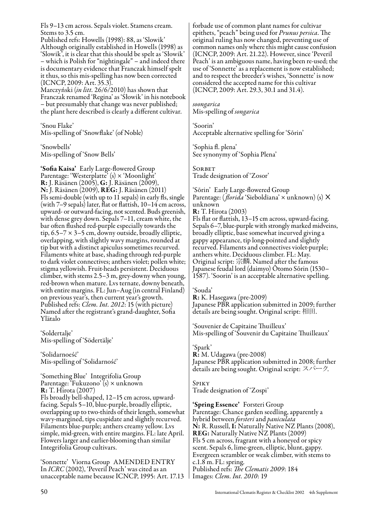Fls 9–13 cm across. Sepals violet. Stamens cream. Stems to 3.5 cm.

Published refs: Howells (1998): 88, as 'Slowik' Although originally established in Howells (1998) as 'Slowik', it is clear that this should be spelt as 'Słowik' – which is Polish for "nightingale" – and indeed there is documentary evidence that Franczak himself spelt it thus, so this mis-spelling has now been corrected (ICNCP, 2009: Art. 35.3).

Marczyński (*in litt.* 26/6/2010) has shown that Franczak renamed 'Regina' as 'Słowik' in his notebook – but presumably that change was never published; the plant here described is clearly a different cultivar.

'Snou Flake' Mis-spelling of 'Snowflake' (of Noble)

'Snowbells' Mis-spelling of 'Snow Bells'

'Sofia Kaisa' Early Large-flowered Group Parentage: 'Westerplatte' (s) × 'Moonlight' R: J. Räsänen (2005), G: J. Räsänen (2009), N: J. Räsänen (2009), REG: J. Räsänen (2011) Fls semi-double (with up to 11 sepals) in early fls, single (with 7–9 sepals) later, flat or flattish, 10–14 cm across, upward- or outward-facing, not scented. Buds greenish, with dense grey down. Sepals 7–11, cream white, the bar often flushed red-purple especially towards the tip,  $6.5-7 \times 3-5$  cm, downy outside, broadly elliptic, overlapping, with slightly wavy margins, rounded at tip but with a distinct apiculus sometimes recurved. Filaments white at base, shading through red-purple to dark violet connectives; anthers violet; pollen white; stigma yellowish. Fruit-heads persistent. Deciduous climber, with stems 2.5–3 m, grey-downy when young, red-brown when mature. Lvs ternate, downy beneath, with entire margins. FL: Jun–Aug (in central Finland) on previous year's, then current year's growth. Published refs: *Clem. Int. 2012*: 15 (with picture) Named after the registrant's grand-daughter, Sofia Ylätalo

'Soldertalje' Mis-spelling of 'Södertälje'

'Solidarnoeść' Mis-spelling of 'Solidarność'

'Something Blue' Integrifolia Group Parentage: 'Fukuzono' (s) × unknown R: T. Hirota (2007) Fls broadly bell-shaped, 12–15 cm across, upwardfacing. Sepals 5–10, blue-purple, broadly elliptic, overlapping up to two-thirds of their length, somewhat wavy-margined, tips cuspidate and slightly recurved. Filaments blue-purple; anthers creamy yellow. Lvs simple, mid-green, with entire margins. FL: late April. Flowers larger and earlier-blooming than similar Integrifolia Group cultivars.

'Sonnette' Viorna Group AMENDED ENTRY In *ICRC* (2002), 'Peveril Peach' was cited as an unacceptable name because ICNCP, 1995: Art. 17.13 forbade use of common plant names for cultivar epithets, "peach" being used for *Prunus persica*. The original ruling has now changed, preventing use of common names only where this might cause confusion (ICNCP, 2009: Art. 21.22). However, since 'Peveril Peach' is an ambiguous name, having been re-used; the use of 'Sonnette' as a replacement is now established; and to respect the breeder's wishes, 'Sonnette' is now considered the accepted name for this cultivar (ICNCP, 2009: Art. 29.3, 30.1 and 31.4).

*soongarica* Mis-spelling of *songarica*

'Soorin' Acceptable alternative spelling for 'Sōrin'

'Sophia fl. plena' See synonymy of 'Sophia Plena'

**SORBET** Trade designation of 'Zosor'

'Sōrin' Early Large-flowered Group<br>Parentage: (*florida* 'Sieboldiana' × unknown) (s) **×** unknown R: T. Hirota (2003) Fls flat or flattish, 13–15 cm across, upward-facing. Sepals 6–7, blue-purple with strongly marked midveins,

broadly elliptic, base somewhat incurved giving a gappy appearance, tip long-pointed and slightly recurved. Filaments and connectives violet-purple; anthers white. Deciduous climber. FL: May. Original script: 宗麟. Named after the famous Japanese feudal lord (daimyo) Ōtomo Sōrin (1530– 1587). 'Soorin' is an acceptable alternative spelling.

#### 'Souda'

R: K. Hasegawa (pre-2009) Japanese PBR application submitted in 2009; further details are being sought. Original script: 相田.

'Souvenier de Capitaine Thuilleux' Mis-spelling of 'Souvenir du Capitaine Thuilleaux'

#### 'Spark'

R: M. Udagawa (pre-2008) Japanese PBR application submitted in 2008; further details are being sought. Original script: スパーク.

Spiky Trade designation of 'Zospi'

#### 'Spring Essence' Forsteri Group

Parentage: Chance garden seedling, apparently a hybrid between *forsteri* and *paniculata* N: R. Russell, I: Naturally Native NZ Plants (2008), REG: Naturally Native NZ Plants (2009) Fls 5 cm across, fragrant with a honeyed or spicy scent. Sepals 6, lime-green, elliptic, blunt, gappy. Evergreen scrambler or weak climber, with stems to c.1.8 m. FL: spring. Published refs: *The Clematis 2009*: 184 Images: *Clem. Int. 2010*: 19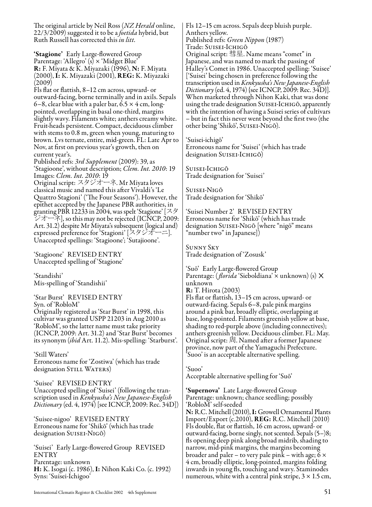The original article by Neil Ross (*NZ Herald* online, 22/3/2009) suggested it to be a *foetida* hybrid, but Ruth Russell has corrected this *in litt.*

'Stagione' Early Large-flowered Group Parentage: 'Allegro' (s) × 'Midget Blue' **R:** F. Miyata & K. Miyazaki (1996), **N:** F. Miyata (2000), I: K. Miyazaki (2001), REG: K. Miyazaki (2009)

Fls flat or flattish, 8–12 cm across, upward- or outward-facing, borne terminally and in axils. Sepals 6–8, clear blue with a paler bar,  $6.5 \times 4$  cm, longpointed, overlapping in basal one-third, margins slightly wavy. Filaments white; anthers creamy white. Fruit-heads persistent. Compact, deciduous climber with stems to 0.8 m, green when young, maturing to brown. Lvs ternate, entire, mid-green. FL: Late Apr to Nov, at first on previous year's growth, then on current year's.

Published refs: *3rd Supplement* (2009): 39, as 'Stagioone', without description; *Clem. Int. 2010*: 19 Images: *Clem. Int. 2010*: 19

Original script: スタジオーネ. Mr Miyata loves classical music and named this after Vivaldi's 'Le Quattro Stagioni' ('The Four Seasons'). However, the epithet accepted by the Japanese PBR authorities, in granting PBR 12233 in 2004, was spelt 'Stagione' [スタ ジオーネ], so this may not be rejected (ICNCP, 2009: Art. 31.2) despite Mr Miyata's subsequent (logical and) expressed preference for 'Stagioni' [スタジオーニ]. Unaccepted spellings: 'Stagioone'; 'Sutajioone'.

'Stagioone' REVISED ENTRY Unaccepted spelling of 'Stagione'

'Standishi' Mis-spelling of 'Standishii'

'Star Burst' REVISED ENTRY Syn. of 'RobloM' Originally registered as 'Star Burst' in 1998, this cultivar was granted USPP 21203 in Aug 2010 as 'RobloM', so the latter name must take priority (ICNCP, 2009: Art. 31.2) and 'Star Burst' becomes its synonym (*ibid* Art. 11.2). Mis-spelling: 'Starburst'.

'Still Waters' Erroneous name for 'Zostiwa' (which has trade designation STILL WATERS)

'Suisee' REVISED ENTRY Unaccepted spelling of 'Suisei' (following the transcription used in *Kenkyusha's New Japanese-English Dictionary* (ed. 4, 1974) [see ICNCP, 2009: Rec. 34D])

'Suisee-nigoo' REVISED ENTRY Erroneous name for 'Shikō' (which has trade designation Suisei-Nigō)

'Suisei' Early Large-flowered Group REVISED ENTRY Parentage: unknown H: K. Isogai (c. 1986), I: Nihon Kaki Co. (c. 1992) Syns: 'Suisei-Ichigoo'

Fls 12–15 cm across. Sepals deep bluish purple. Anthers yellow. Published refs: *Green Nippon* (1987) Trade: Suisei-Ichigō Original script: 彗星. Name means "comet" in Japanese, and was named to mark the passing of Halley's Comet in 1986. Unaccepted spelling: 'Suisee' ['Suisei' being chosen in preference following the transcription used in *Kenkyusha's New Japanese-English Dictionary* (ed. 4, 1974) {see ICNCP, 2009: Rec. 34D}]. When marketed through Nihon Kaki, that was done using the trade designation Suisei-Ichigō, apparently with the intention of having a Suisei series of cultivars – but in fact this never went beyond the first two (the other being 'Shikō', Suisei-Nigō).

'Suisei-ichigō' Erroneous name for 'Suisei' (which has trade designation SUISEI-ICHIGŌ)

Suisei-Ichigō Trade designation for 'Suisei'

Suisei-Nigō Trade designation for 'Shikō'

'Suisei Number 2' REVISED ENTRY Erroneous name for 'Shikō' (which has trade designation Suisei-Nigō [where "nigō" means "number two" in Japanese])

Sunny Sky Trade designation of 'Zosusk'

'Suō' Early Large-flowered Group<br>Parentage: (*florida* 'Sieboldiana' × unknown) (s) **×** unknown R: T. Hirota (2003) Fls flat or flattish, 13–15 cm across, upward- or outward-facing. Sepals 6–8, pale pink margins around a pink bar, broadly elliptic, overlapping at base, long-pointed. Filaments greenish yellow at base, shading to red-purple above (including connectives); anthers greenish yellow. Deciduous climber. FL: May. Original script: 周. Named after a former Japanese province, now part of the Yamaguchi Prefecture.

'Suoo'

Acceptable alternative spelling for 'Suō'

'Suoo' is an acceptable alternative spelling.

'Supernova' Late Large-flowered Group Parentage: unknown; chance seedling; possibly 'RobloM' self-seeded

N: R.C. Mitchell (2010), I: Growell Ornamental Plants Import/Export (c.2010), REG: R.C. Mitchell (2010) Fls double, flat or flattish, 16 cm across, upward- or outward-facing, borne singly, not scented. Sepals (5–)8; fls opening deep pink along broad midrib, shading to narrow, mid-pink margins, the margins becoming broader and paler – to very pale pink – with age;  $6 \times$ 4 cm, broadly elliptic, long-pointed, margins folding inwards in young fls, touching and wavy. Staminodes numerous, white with a central pink stripe,  $3 \times 1.5$  cm,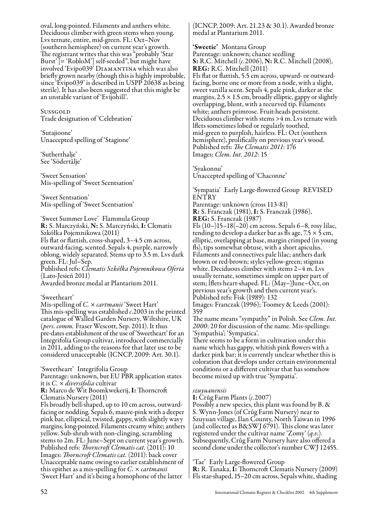oval, long-pointed. Filaments and anthers white. Deciduous climber with green stems when young. Lvs ternate, entire, mid-green. FL: Oct–Nov (southern hemisphere) on current year's growth. The registrant writes that this was "probably 'Star Burst' [= 'RobloM'] self-seeded", but might have involved 'Evipo039' Diamantina which was also briefly grown nearby (though this is highly improbable, since 'Evipo039' is described in USPP 20638 as being sterile). It has also been suggested that this might be an unstable variant of 'Evijohill'.

**Sussgold** Trade designation of 'Celebration'

'Sutajioone' Unaccepted spelling of 'Stagione'

'Sutherthalje' See 'Södertälje'

'Sweet Sensation' Mis-spelling of 'Sweet Scentsation'

'Sweet Sentsation' Mis-spelling of 'Sweet Scentsation'

'Sweet Summer Love' Flammula Group R: S. Marczyński, N: S. Marczyński, I: Clematis Szkółka Pojemnikowa (2011) Fls flat or flattish, cross-shaped, 3–4.5 cm across, outward-facing, scented. Sepals 4, purple, narrowly oblong, widely separated. Stems up to 3.5 m. Lvs dark green. FL: Jul–Sep. Published refs: *Clematis Szkółka Pojemnikowa Oferta* (Lato-Jesień 2011) Awarded bronze medal at Plantarium 2011.

'Sweetheart'

Mis-spelling of *C.* × *cartmanii* 'Sweet Hart' This mis-spelling was established *c*.2003 in the printed catalogue of Walled Garden Nursery, Wiltshire, UK (*pers. comm.* Fraser Wescott, Sep. 2011). It thus pre-dates establishment of the use of 'Sweetheart' for an Integrifolia Group cultivar, introduced commercially in 2011, adding to the reasons for that later use to be considered unacceptable (ICNCP, 2009: Art. 30.1).

'Sweetheart' Integrifolia Group Parentage: unknown, but EU PBR application states it is *C.* × *diversifolia* cultivar R: Marco de Wit Boomkwekerij, I: Thorncroft Clematis Nursery (2011) Fls broadly bell-shaped, up to 10 cm across, outwardfacing or nodding. Sepals 6, mauve-pink with a deeper pink bar, elliptical, twisted, gappy, with slightly wavy margins, long-pointed. Filaments creamy white; anthers yellow. Sub-shrub with non-clinging, scrambling stems to 2m. FL: June–Sept on current year's growth. Published refs: *Thorncroft Clematis cat.* (2011): 10 Images: *Thorncroft Clematis cat.* (2011): back cover Unacceptable name owing to earlier establishment of this epithet as a mis-spelling for *C.* × *cartmanii* 'Sweet Hart' and it's being a homophone of the latter

(ICNCP, 2009: Art. 21.23 & 30.1). Awarded bronze medal at Plantarium 2011.

'Sweetie' Montana Group Parentage: unknown; chance seedling S: R.C. Mitchell (*c.*2006), N: R.C. Mitchell (2008), REG: R.C. Mitchell (2011) Fls flat or flattish, 5.5 cm across, upward- or outwardfacing, borne one or more from a node, with a slight, sweet vanilla scent. Sepals 4, pale pink, darker at the margins,  $2.5 \times 1.5$  cm, broadly elliptic, gappy or slightly overlapping, blunt, with a recurved tip. Filaments white; anthers primrose. Fruit-heads persistent. Deciduous climber with stems >4 m. Lvs ternate with lflets sometimes lobed or regularly toothed, mid-green to purplish, hairless. FL: Oct (southern hemisphere), prolifically on previous year's wood. Published refs: *The Clematis 2011*: 176 Images: *Clem. Int. 2012*: 15

'Syakonnu' Unaccepted spelling of 'Chaconne'

'Sympatia' Early Large-flowered Group REVISED ENTRY Parentage: unknown (cross 113-81) R: S. Franczak (1981), I: S. Franczak (1986), REG: S. Franczak (1987) Fls (10–)15–18(–20) cm across. Sepals 6–8, rosy lilac, tending to develop a darker bar as fls age, 7.5  $\times$  5 cm, elliptic, overlapping at base, margin crimped (in young fls), tips somewhat obtuse, with a short apiculus. Filaments and connectives pale lilac; anthers dark brown or red-brown; styles yellow-green; stigmas white. Deciduous climber with stems 2–4 m. Lvs usually ternate, sometimes simple on upper part of stem; lflets heart-shaped. FL: (May–)June–Oct, on previous year's growth and then current year's. Published refs: Fisk (1989): 132 Images: Franczak (1996); Toomey & Leeds (2001): 359

The name means "sympathy" in Polish. See *Clem. Int. 2000*: 20 for discussion of the name. Mis-spellings: 'Sympathia'; 'Sympatica'.

There seems to be a form in cultivation under this name which has gappy, whitish pink flowers with a darker pink bar; it is currently unclear whether this is coloration that develops under certain environmental conditions or a different cultivar that has somehow become mixed up with true 'Sympatia'.

#### *szuyuanensis*

I: Crûg Farm Plants (*c.*2007)

Possibly a new species, this plant was found by B. & S. Wynn-Jones (of Crûg Farm Nursery) near to Szuyuan village, Ilan County, North Taiwan in 1996 (and collected as B&SWJ 6791). This clone was later registered under the cultivar name 'Zomy' (*q.v.*). Subsequently, Crûg Farm Nursery have also offered a second clone under the collector's number CWJ 12455.

'Tae' Early Large-flowered Group

R: R. Tanaka, I: Thorncroft Clematis Nursery (2009) Fls star-shaped, 15–20 cm across. Sepals white, shading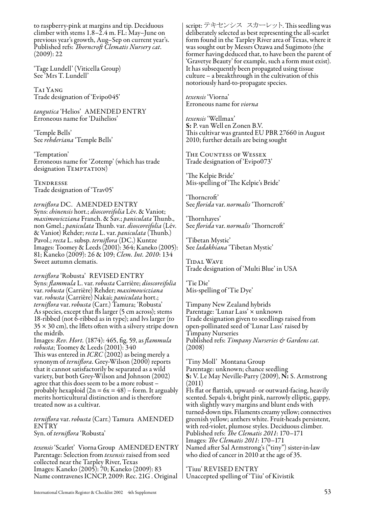to raspberry-pink at margins and tip. Deciduous climber with stems 1.8–2.4 m. FL: May–June on previous year's growth, Aug–Sep on current year's. Published refs: *Thorncroft Clematis Nursery cat*. (2009): 22

'Tage Lundell' (Viticella Group) See 'Mrs T. Lundell'

Tai Yang Trade designation of 'Evipo045'

*tangutica* 'Helios' AMENDED ENTRY Erroneous name for 'Daihelios'

'Temple Bells' See *rehderiana* 'Temple Bells'

'Temptation' Erroneous name for 'Zotemp' (which has trade designation TEMPTATION)

Tendresse Trade designation of 'Trav05'

*terniflora* DC. AMENDED ENTRY Syns: *chinensis* hort.; *dioscoreifolia* Lév. & Vaniot; *maximowicziana* Franch. & Sav.; *paniculata* Thunb., non Gmel.; *paniculata* Thunb. var. *dioscoreifolia* (Lév. & Vaniot) Rehder; *recta* L. var. *paniculata* (Thunb.) Pavol.; *recta* L. subsp. *terniflora* (DC.) Kuntze Images: Toomey & Leeds (2001): 364; Kaneko (2005): 81; Kaneko (2009): 26 & 109; *Clem. Int. 2010*: 134 Sweet autumn clematis.

*terniflora* 'Robusta' REVISED ENTRY Syns: *flammula* L. var. *robusta* Carrière; *dioscoreifolia* var. *robusta* (Carrière) Rehder; *maximowicziana* var. *robusta* (Carrière) Nakai; *paniculata* hort.; *terniflora* var. *robusta* (Carr.) Tamura; 'Robusta' As species, except that fls larger (5 cm across); stems 18-ribbed (not 6-ribbed as in type); and lvs larger (to  $35 \times 30$  cm), the lflets often with a silvery stripe down the midrib.

Images: *Rev. Hort.* (1874): 465, fig. 59, as *flammula robusta*; Toomey & Leeds (2001): 340 This was entered in *ICRC* (2002) as being merely a synonym of *terniflora*. Grey-Wilson (2000) reports that it cannot satisfactorily be separated as a wild variety, but both Grey-Wilson and Johnson (2002) agree that this does seem to be a more robust – probably hexaploid  $(2n = 6x = 48)$  – form. It arguably merits horticultural distinction and is therefore treated now as a cultivar.

*terniflora* var. *robusta* (Carr.) Tamura AMENDED ENTRY Syn. of *terniflora* 'Robusta'

*texensis* 'Scarlet' Viorna Group AMENDED ENTRY Parentage: Selection from *texensis* raised from seed collected near the Tarpley River, Texas Images: Kaneko (2005): 70; Kaneko (2009): 83 Name contravenes ICNCP, 2009: Rec. 21G . Original script: テキセンシス スカーレット. This seedling was deliberately selected as best representing the all-scarlet form found in the Tarpley River area of Texas, where it was sought out by Messrs Ozawa and Sugimoto (the former having deduced that, to have been the parent of 'Gravetye Beauty' for example, such a form must exist). It has subsequently been propagated using tissue culture – a breakthrough in the cultivation of this notoriously hard-to-propagate species.

*texensis* 'Viorna' Erroneous name for *viorna*

*texensis* 'Wellmax' S: P. van Well en Zonen B.V. This cultivar was granted EU PBR 27660 in August 2010; further details are being sought

The Countess of Wessex Trade designation of 'Evipo073'

'The Kelpie Bride' Mis-spelling of 'The Kelpie's Bride'

'Thorncroft' See *florida* var. *normalis* 'Thorncroft'

'Thornhayes' See *florida* var. *normalis* 'Thorncroft'

'Tibetan Mystic' See *ladakhiana* 'Tibetan Mystic'

Tidal Wave Trade designation of 'Multi Blue' in USA

'Tie Die' Mis-spelling of 'Tie Dye'

Timpany New Zealand hybrids Parentage: 'Lunar Lass' × unknown Trade designation given to seedlings raised from open-pollinated seed of 'Lunar Lass' raised by Timpany Nurseries Published refs: *Timpany Nurseries & Gardens cat.* (2008)

'Tiny Moll' Montana Group Parentage: unknown; chance seedling S: V. Le May Neville-Parry (2009), N: S. Armstrong (2011)

Fls flat or flattish, upward- or outward-facing, heavily scented. Sepals 4, bright pink, narrowly elliptic, gappy, with slightly wavy margins and blunt ends with turned-down tips. Filaments creamy yellow; connectives greenish yellow; anthers white. Fruit-heads persistent, with red-violet, plumose styles. Deciduous climber. Published refs: *The Clematis 2011*: 170–171 Images: *The Clematis 2011*: 170–171 Named after Sal Armstrong's ("tiny") sister-in-law who died of cancer in 2010 at the age of 35.

'Tiuu' REVISED ENTRY Unaccepted spelling of 'Tiiu' of Kivistik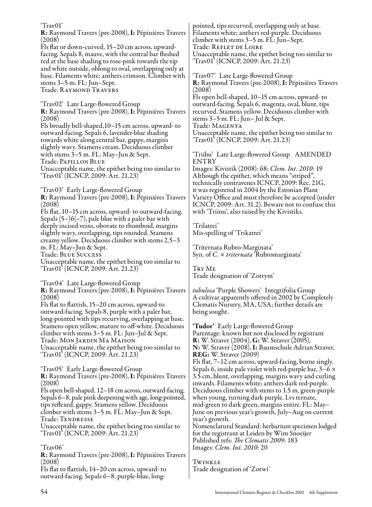'Trav01' R: Raymond Travers (pre-2008), I: Pépinières Travers (2008) Fls flat or down-curved, 15–20 cm across, upwardfacing. Sepals 8, mauve, with the central bar flushed red at the base shading to rose-pink towards the tip and white outside, oblong to oval, overlapping only at base. Filaments white; anthers crimson. Climber with stems 3–5 m. FL: Jun–Sept. Trade: RAYMOND TRAVERS 'Trav02' Late Large-flowered Group R: Raymond Travers (pre-2008), I: Pépinières Travers (2008) Fls broadly bell-shaped,10–15 cm across, upward- to outward-facing. Sepals 6, lavender-blue shading towards white along central bar, gappy, margins slightly wavy. Stamens cream. Deciduous climber with stems 3–5 m. FL: May–Jun & Sept. Trade: Papillon Blue Unacceptable name, the epithet being too similar to 'Trav01' (ICNCP, 2009: Art. 21.23) 'Trav03' Early Large-flowered Group R: Raymond Travers (pre-2008), I: Pépinières Travers (2008) Fls flat, 10–15 cm across, upward- to outward-facing. Sepals  $(5–)6(-7)$ , pale blue with a paler bar with deeply incised veins, obovate to rhomboid, margins slightly wavy, overlapping, tips rounded. Stamens creamy yellow. Deciduous climber with stems 2.5–3 m. FL: May–Jun & Sept. Trade: Blue Success Unacceptable name, the epithet being too similar to 'Trav01' (ICNCP, 2009: Art. 21.23) 'Trav04' Late Large-flowered Group R: Raymond Travers (pre-2008), I: Pépinières Travers (2008) Fls flat to flattish, 15–20 cm across, upward-to outward-facing. Sepals 8, purple with a paler bar, long-pointed with tips recurving, overlapping at base. Stamens open yellow, mature to off-white. Deciduous climber with stems 3–5 m. FL: Jun–Jul & Sept. Trade: Mon Jardin Ma Maison Unacceptable name, the epithet being too similar to 'Trav01' (ICNCP, 2009: Art. 21.23) 'Trav05' Early Large-flowered Group R: Raymond Travers (pre-2008), I: Pépinières Travers (2008) Fls open bell-shaped, 12–18 cm across, outward-facing. Sepals 6–8, pale pink deepening with age, long-pointed, tips reflexed, gappy. Stamens yellow. Deciduous climber with stems 3–5 m. FL: May–Jun & Sept. Trade: Tendresse Unacceptable name, the epithet being too similar to 'Trav01' (ICNCP, 2009: Art. 21.23) 'Trav06' R: Raymond Travers (pre-2008), I: Pépinières Travers (2008) Fls flat to flattish, 14–20 cm across, upward- to outward-facing. Sepals 6–8, purple-blue, longpointed, tips recurved, overlapping only at base. Filaments white; anthers red-purple. Deciduous climber with stems 3–5 m. FL: Jun–Sept. Trade: Reflet de Loire Unacceptable name, the epithet being too similar to 'Trav01' (ICNCP, 2009: Art. 21.23) 'Trav07' Late Large-flowered Group R: Raymond Travers (pre-2008), I: Pépinières Travers (2008) Fls open bell-shaped, 10–15 cm across, upward- to outward-facing. Sepals 6, magenta, oval, blunt, tips recurved. Stamens yellow. Deciduous climber with stems 3–5 m. FL: Jun– Jul & Sept. Trade: MAGENTA Unacceptable name, the epithet being too similar to 'Trav01' (ICNCP, 2009: Art. 21.23) 'Triibu' Late Large-flowered Group AMENDED ENTRY Images: Kivistik (2008): 68; *Clem. Int. 2010*: 19 Although the epithet, which means "striped", technically contravenes ICNCP, 2009: Rec. 21G, it was registered in 2004 by the Estonian Plant Variety Office and must therefore be accepted (under ICNCP, 2009: Art. 31.2). Beware not to confuse this with 'Triinu', also raised by the Kivistiks. 'Trilatrei' Mis-spelling of 'Trikatrei' 'Triternata Rubro-Marginata' Syn. of *C.* × *triternata* 'Rubromarginata' Try Me Trade designation of 'Zotrym' *tubulosa* 'Purple Showers' Integrifolia Group A cultivar apparently offered in 2002 by Completely Clematis Nursery, MA, USA; further details are being sought. 'Tudor' Early Large-flowered Group Parentage: known but not disclosed by registrant R: W. Straver (2004), G: W. Straver (2005), N: W. Straver (2008), I: Baumschule Adrian Straver, REG: W. Straver (2009) Fls flat, 7–12 cm across, upward-facing, borne singly. Sepals 6, inside pale violet with red-purple bar,  $3-6 \times$ 3.5 cm, blunt, overlapping, margins wavy and curling inwards. Filaments white; anthers dark red-purple. Deciduous climber with stems to 1.5 m, green-purple when young, turning dark purple. Lvs ternate, mid-green to dark green, margins entire. FL: May– June on previous year's growth, July–Aug on current year's growth. Nomenclatural Standard: herbarium specimen lodged for the registrant at Leiden by Wim Snoeijer Published refs: *The Clematis 2009*: 183 Images: *Clem. Int. 2010*: 20 Twinkle Trade designation of 'Zotwi'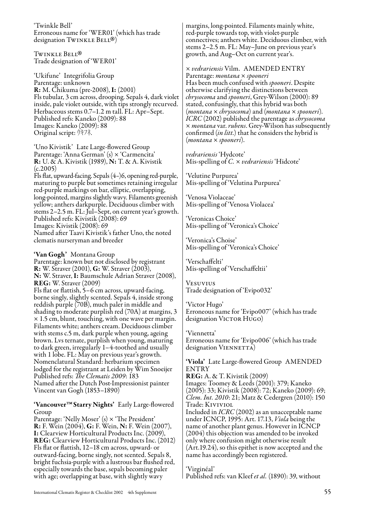'Twinkle Bell' Erroneous name for 'WER01' (which has trade designation TWINKLE BELL®)<br>T

TWINKLE BELL<sup>®</sup> Twinkle Bell®<br>Trade designation of 'WER01'

'Ukifune' Integrifolia Group Parentage: unknown R: M. Chikuma (pre-2008), I: (2001) Fls tubular, 3 cm across, drooping. Sepals 4, dark violet inside, pale violet outside, with tips strongly recurved. Herbaceous stems 0.7–1.2 m tall. FL: Apr–Sept. Published refs: Kaneko (2009): 88 Images: Kaneko (2009): 88 Original script: ウキフネ.

'Uno Kivistik' Late Large-flowered Group Parentage: 'Anna German' (s) × 'Carmencita' R: U. & A. Kivistik (1989), N: T. & A. Kivistik  $(c.2005)$ 

Fls flat, upward-facing. Sepals (4–)6, opening red-purple, maturing to purple but sometimes retaining irregular red-purple markings on bar, elliptic, overlapping, long-pointed, margins slightly wavy. Filaments greenish yellow; anthers darkpurple. Deciduous climber with stems 2–2.5 m. FL: Jul–Sept, on current year's growth. Published refs: Kivistik (2008): 69 Images: Kivistik (2008): 69

Named after Taavi Kivistik's father Uno, the noted clematis nurseryman and breeder

'Van Gogh' Montana Group

Parentage: known but not disclosed by registrant R: W. Straver (2001), G: W. Straver (2003), N: W. Straver, I: Baumschule Adrian Straver (2008), REG: W. Straver (2009)

Fls flat or flattish, 5–6 cm across, upward-facing, borne singly, slightly scented. Sepals 4, inside strong reddish purple (70B), much paler in middle and shading to moderate purplish red (70A) at margins, 3  $\times$  1.5 cm, blunt, touching, with one wave per margin. Filaments white; anthers cream. Deciduous climber with stems c.5 m, dark purple when young, ageing brown. Lvs ternate, purplish when young, maturing to dark green, irregularly 1–4-toothed and usually with 1 lobe. FL: May on previous year's growth. Nomenclatural Standard: herbarium specimen lodged for the registrant at Leiden by Wim Snoeijer Published refs: *The Clematis 2009*: 183 Named after the Dutch Post-Impressionist painter Vincent van Gogh (1853–1890)

'Vancouver ™ Starry Nights' Early Large-flowered Group

Parentage: 'Nelly Moser' (s)  $\times$  'The President' R: F. Wein (2004), G: F. Wein, N: F. Wein (2007), I: Clearview Horticultural Products Inc. (2009), REG: Clearview Horticultural Products Inc. (2012) Fls flat or flattish, 12–18 cm across, upward- or outward-facing, borne singly, not scented. Sepals 8, bright fuchsia-purple with a lustrous bar flushed red, especially towards the base, sepals becoming paler with age; overlapping at base, with slightly wavy

margins, long-pointed. Filaments mainly white, red-purple towards top, with violet-purple connectives; anthers white. Deciduous climber, with stems 2–2.5 m. FL: May–June on previous year's growth, and Aug–Oct on current year's.

× *vedrariensis* Vilm. AMENDED ENTRY Parentage: *montana* × *spooneri* Has been much confused with *spooneri*. Despite otherwise clarifying the distinctions between *chrysocoma* and *spooneri*, Grey-Wilson (2000): 89 stated, confusingly, that this hybrid was both (*montana* × *chrysocoma*) and (*montana* × *spooneri*). *ICRC* (2002) published the parentage as *chrysocoma* <sup>×</sup>*montana* var. *rubens*. Grey-Wilson has subsequently confirmed (*in litt.*) that he considers the hybrid is (*montana* × *spooneri*).

*vedrariensis* 'Hydcote' Mis-spelling of *C.* × *vedrariensis* 'Hidcote'

'Velutine Purpurea' Mis-spelling of 'Velutina Purpurea'

'Venosa Violaceae' Mis-spelling of 'Venosa Violacea'

'Veronicas Choice' Mis-spelling of 'Veronica's Choice'

'Veronica's Choise' Mis-spelling of 'Veronica's Choice'

'Verschaffelti' Mis-spelling of 'Verschaffeltii'

Vesuvius Trade designation of 'Evipo032'

'Victor Hugo' Erroneous name for 'Evipo007' (which has trade designation VICTOR HUGO)

'Viennetta' Erroneous name for 'Evipo006' (which has trade designation VIENNETTA)

'Viola' Late Large-flowered Group AMENDED ENTRY

REG: A. & T. Kivistik (2009) Images: Toomey & Leeds (2001): 379; Kaneko (2005): 33; Kivistik (2008): 72; Kaneko (2009): 69; *Clem. Int. 2010*: 21; Matz & Cedergren (2010): 150 Trade: Kiviviol

Included in *ICRC* (2002) as an unacceptable name under ICNCP, 1995: Art. 17.13, *Viola* being the name of another plant genus. However in ICNCP (2004) this objection was amended to be invoked only where confusion might otherwise result (Art.19.24), so this epithet is now accepted and the name has accordingly been registered.

'Virginéal' Published refs: van Kleef *et al.* (1890): 39, without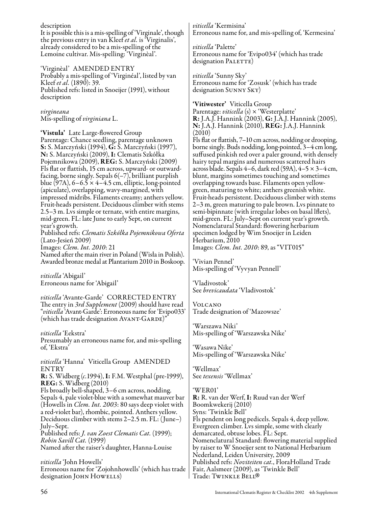description

It is possible this is a mis-spelling of 'Virginale', though the previous entry in van Kleef *et al.* is 'Virginalis', already considered to be a mis-spelling of the Lemoine cultivar. Mis-spelling: 'Virginèal'.

'Virginèal' AMENDED ENTRY Probably a mis-spelling of 'Virginéal', listed by van Kleef *et al.* (1890): 39. Published refs: listed in Snoeijer (1991), without description

*virgineana* Mis-spelling of *virginiana* L.

'Vistula' Late Large-flowered Group Parentage: Chance seedling, parentage unknown S: S. Marczyński (1994), G: S. Marczyński (1997), N: S. Marczyński (2009), I: Clematis Szkółka Pojemnikowa (2009), REG: S. Marczyński (2009) Fls flat or flattish, 15 cm across, upward- or outwardfacing, borne singly. Sepals 6(–7), brilliant purplish blue (97A),  $6-6.5 \times 4-4.5$  cm, elliptic, long-pointed (apiculate), overlapping, wavy-margined, with impressed midribs. Filaments creamy; anthers yellow. Fruit-heads persistent. Deciduous climber with stems 2.5–3 m. Lvs simple or ternate, with entire margins, mid-green. FL: late June to early Sept, on current year's growth.

Published refs: *Clematis Szkółka Pojemnikowa Oferta* (Lato-Jesień 2009) Images: *Clem. Int. 2010*: 21

Named after the main river in Poland (Wisła in Polish). Awarded bronze medal at Plantarium 2010 in Boskoop.

*viticella* 'Abigail' Erroneous name for 'Abigail'

*viticella* 'Avante-Garde' CORRECTED ENTRY The entry in *3rd Supplement* (2009) should have read "*viticella* 'Avant-Garde': Erroneous name for 'Evipo033' (which has trade designation AVANT-GARDE)"

*viticella* 'Eekstra' Presumably an erroneous name for, and mis-spelling of, 'Ekstra'

*viticella* 'Hanna' Viticella Group AMENDED ENTRY R: S. Widberg (*c.*1994), I: F.M. Westphal (pre-1999),

REG: S. Widberg (2010) Fls broadly bell-shaped, 3–6 cm across, nodding. Sepals 4, pale violet-blue with a somewhat mauver bar (Howells in *Clem. Int. 2003*: 80 says deep violet with a red-violet bar), rhombic, pointed. Anthers yellow. Deciduous climber with stems 2–2.5 m. FL: (June–) July–Sept.

Published refs: *J. van Zoest Clematis Cat.* (1999); *Robin Savill Cat.* (1999) Named after the raiser's daughter, Hanna-Louise

*viticella* 'John Howells' Erroneous name for 'Zojohnhowells' (which has trade designation JOHN HOWELLS)

*viticella* 'Kermisina' Erroneous name for, and mis-spelling of, 'Kermesina'

*viticella* 'Palette' Erroneous name for 'Evipo034' (which has trade designation PALETTE)

*viticella* 'Sunny Sky' Erroneous name for 'Zosusk' (which has trade designation Sunny Sky)

'Vitiwester' Viticella Group

Parentage: *viticella* (s) × 'Westerplatte' R: J.A.J. Hannink (2003), G: J.A.J. Hannink (2005), N: J.A.J. Hannink (2010), REG: J.A.J. Hannink (2010)

Fls flat or flattish, 7–10 cm across, nodding or drooping, borne singly. Buds nodding, long-pointed, 3–4 cm long, suffused pinkish red over a paler ground, with densely hairy tepal margins and numerous scattered hairs across blade. Sepals 4–6, dark red (59A), 4–5 × 3–4 cm, blunt, margins sometimes touching and sometimes overlapping towards base. Filaments open yellowgreen, maturing to white; anthers greenish white. Fruit-heads persistent. Deciduous climber with stems 2–3 m, green maturing to pale brown. Lvs pinnate to semi-bipinnate (with irregular lobes on basal lflets), mid-green. FL: July–Sept on current year's growth. Nomenclatural Standard: flowering herbarium specimen lodged by Wim Snoeijer in Leiden Herbarium, 2010 Images: *Clem. Int. 2010*: 89, as "VIT015"

'Vivian Pennel' Mis-spelling of 'Vyvyan Pennell'

'Vladivostok' See *brevicaudata* 'Vladivostok'

Volcano Trade designation of 'Mazowsze'

'Warszawa Niki' Mis-spelling of 'Warszawska Nike'

'Wasawa Nike' Mis-spelling of 'Warszawska Nike'

'Wellmax' See *texensis* 'Wellmax'

'WER01' R: R. van der Werf, I: Ruud van der Werf Boomkwekerij (2010) Syns: 'Twinkle Bell' Fls pendent on long pedicels. Sepals 4, deep yellow. Evergreen climber. Lvs simple, some with clearly demarcated, obtuse lobes. FL: Sept. Nomenclatural Standard: flowering material supplied by raiser to W Snoeijer sent to National Herbarium Nederland, Leiden University, 2009 Published refs: *Noviteiten cat.*, FloraHolland Trade Fair, Aalsmeer (2009), as 'Twinkle Bell' Trade: TWINKLE BELL®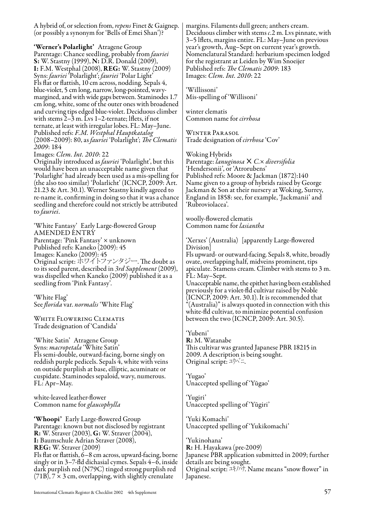A hybrid of, or selection from, *repens* Finet & Gaignep. (or possibly a synonym for 'Bells of Emei Shan')?

'Werner's Polarlight' Atragene Group Parentage: Chance seedling, probably from *fauriei* S: W. Stastny (1999), N: D.R. Donald (2009), I: F.M. Westphal (2008), REG: W. Stastny (2009) Syns: *fauriei* 'Polarlight'; *fauriei* 'Polar Light' Fls flat or flattish, 10 cm across, nodding. Sepals 4, blue-violet, 5 cm long, narrow, long-pointed, wavymargined, and with wide gaps between. Staminodes 1.7 cm long, white, some of the outer ones with broadened and curving tips edged blue-violet. Deciduous climber with stems 2–3 m. Lvs 1–2-ternate; lflets, if not ternate, at least with irregular lobes. FL: May–June. Published refs: *F.M. Westphal Hauptkatalog* (2008–2009): 80, as *fauriei* 'Polarlight'; *The Clematis 2009*: 184

Images: *Clem. Int. 2010*: 22

Originally introduced as *fauriei* 'Polarlight', but this would have been an unacceptable name given that 'Polarlight' had already been used as a mis-spelling for (the also too similar) 'Polarlicht' (ICNCP, 2009: Art. 21.23 & Art. 30.1). Werner Stastny kindly agreed to re-name it, confirming in doing so that it was a chance seedling and therefore could not strictly be attributed to *fauriei*.

'White Fantasy' Early Large-flowered Group AMENDED ENTRY Parentage: 'Pink Fantasy' × unknown Published refs: Kaneko (2009): 45 Images: Kaneko (2009): 45 Original script: ホワイトファンタジー. The doubt as to its seed parent, described in *3rd Supplement* (2009), was dispelled when Kaneko (2009) published it as a seedling from 'Pink Fantasy'.

'White Flag' See *florida* var. *normalis* 'White Flag'

WHITE FLOWERING CLEMATIS Trade designation of 'Candida'

'White Satin' Atragene Group Syns: *macropetala* 'White Satin' Fls semi-double, outward-facing, borne singly on reddish purple pedicels. Sepals 4, white with veins on outside purplish at base, elliptic, acuminate or cuspidate. Staminodes sepaloid, wavy, numerous. FL: Apr–May.

white-leaved leather-flower Common name for *glaucophylla*

'Whoopi' Early Large-flowered Group Parentage: known but not disclosed by registrant R: W. Straver (2003), G: W. Straver (2004), I: Baumschule Adrian Straver (2008), REG: W. Straver (2009) Fls flat or flattish, 6–8 cm across, upward-facing, borne singly or in 3–7-fld dichasial cymes. Sepals  $4-\tilde{6}$ , inside dark purplish red (N79C) tinged strong purplish red  $(71B)$ ,  $7 \times 3$  cm, overlapping, with slightly crenulate

margins. Filaments dull green; anthers cream. Deciduous climber with stems *c*.2 m. Lvs pinnate, with 3–5 lflets, margins entire. FL: May–June on previous year's growth, Aug–Sept on current year's growth. Nomenclatural Standard: herbarium specimen lodged for the registrant at Leiden by Wim Snoeijer Published refs: *The Clematis 2009*: 183 Images: *Clem. Int. 2010*: 22

'Willissoni' Mis-spelling of 'Willisoni'

winter clematis Common name for *cirrhosa*

Winter Parasol Trade designation of *cirrhosa* 'Cov'

Woking Hybrids Parentage: *lanuginosa*× *C.*× *diversifolia* 'Hendersonii', or 'Atrorubens' Published refs: Moore & Jackman (1872):140 Name given to a group of hybrids raised by George Jackman & Son at their nursery at Woking, Surrey, England in 1858: see, for example, 'Jackmanii' and 'Rubroviolacea'.

woolly-flowered clematis Common name for *lasiantha*

'Xerxes' (Australia) [apparently Large-flowered Division]

Fls upward- or outward-facing. Sepals 8, white, broadly ovate, overlapping half, midveins prominent, tips apiculate. Stamens cream. Climber with stems to 3 m. FL: May–Sept.

Unacceptable name, the epithet having been established previously for a violet-fld cultivar raised by Noble (ICNCP, 2009: Art. 30.1). It is recommended that "(Australia)" is always quoted in connection with this white-fld cultivar, to minimize potential confusion between the two (ICNCP, 2009: Art. 30.5).

'Yubeni' R: M. Watanabe This cultivar was granted Japanese PBR 18215 in 2009. A description is being sought. Original script: ユウベニ.

'Yugao' Unaccepted spelling of 'Yūgao'

'Yugiri' Unaccepted spelling of 'Yūgiri'

'Yuki Komachi' Unaccepted spelling of 'Yukikomachi'

'Yukinohana' R: H. Hayakawa (pre-2009) Japanese PBR application submitted in 2009; further details are being sought. Original script: ユキノハナ. Name means "snow flower" in Japanese.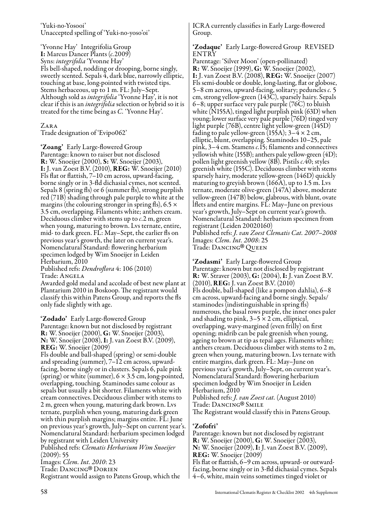'Yuki-no-Yosooi' Unaccepted spelling of 'Yuki-no-yoso'oi'

'Yvonne Hay' Integrifolia Group I: Marcus Dancer Plants (*c.*2009) Syns: *integrifolia* 'Yvonne Hay' Fls bell-shaped, nodding or drooping, borne singly, sweetly scented. Sepals  $\overline{4}$ , dark blue, narrowly elliptic, touching at base, long-pointed with twisted tips. Stems herbaceous, up to 1 m. FL: July–Sept. Although sold as *integrifolia* 'Yvonne Hay', it is not clear if this is an *integrifolia* selection or hybrid so it is treated for the time being as *C.* 'Yvonne Hay'.

Zara

Trade designation of 'Evipo062'

'Zoang' Early Large-flowered Group Parentage: known to raiser but not disclosed R: W. Snoeijer (2000), S: W. Snoeijer (2003), I: J. van Zoest B.V. (2010), REG: W. Snoeijer (2010) Fls flat or flattish, 7–10 cm across, upward-facing, borne singly or in 3-fld dichasial cymes, not scented. Sepals 8 (spring fls) or 6 (summer fls), strong purplish red (71B) shading through pale purple to white at the margins (the colouring stronger in spring fls), 6.5  $\times$ 3.5 cm, overlapping. Filaments white; anthers cream. Deciduous climber with stems up to *c*.2 m, green when young, maturing to brown. Lvs ternate, entire, mid- to dark green. FL: May–Sept, the earlier fls on previous year's growth, the later on current year's. Nomenclatural Standard: flowering herbarium specimen lodged by Wim Snoeijer in Leiden Herbarium, 2010

Published refs: *Dendroflora* 4: 106 (2010) Trade: Angela

Awarded gold medal and accolade of best new plant at Plantarium 2010 in Boskoop. The registrant would classify this within Patens Group, and reports the fls only fade slightly with age.

'Zodado' Early Large-flowered Group Parentage: known but not disclosed by registrant R: W. Snoeijer (2000), G: W. Snoeijer (2003), N: W. Snoeijer (2008), I: J. van Zoest B.V. (2009), REG: W. Snoeijer (2009)

Fls double and ball-shaped (spring) or semi-double and spreading (summer), 7–12 cm across, upwardfacing, borne singly or in clusters. Sepals 6, pale pink (spring) or white (summer),  $6 \times 3.5$  cm, long-pointed, overlapping, touching. Staminodes same colour as sepals but usually a bit shorter. Filaments white with cream connectives. Deciduous climber with stems to 2 m, green when young, maturing dark brown. Lvs ternate, purplish when young, maturing dark green with thin purplish margins; margins entire. FL: June on previous year's growth, July–Sept on current year's. Nomenclatural Standard: herbarium specimen lodged by registrant with Leiden University

Published refs: *Clematis Herbarium Wim Snoeijer*  $(2009): 55$ 

Images: *Clem. Int. 2010*: 23 Trade: Dancing ® Registrant would assign to Patens Group, which the Trade: DANCING® DORIEN

ICRA currently classifies in Early Large-flowered Group.

#### 'Zodaque' Early Large-flowered Group REVISED **ENTRY**

Parentage: 'Silver Moon' (open-pollinated) R: W. Snoeijer (1999), G: W. Snoeijer (2002), I: J. van Zoest B.V. (2008), REG: W. Snoeijer (2007) Fls semi-double or double, long-lasting, flat or globose, 5–8 cm across, upward-facing, solitary; peduncles *c.* 5 cm, strong yellow-green (143C), sparsely hairy. Sepals 6–8; upper surface very pale purple (76C) to bluish white (N155A), tinged light purplish pink (63D) when young; lower surface very pale purple (76D) tinged very light purple (76B), centre light yellow-green (145D) fading to pale yellow-green (155A);  $3-\frac{4}{3} \times 2$  cm, elliptic, blunt, overlapping. Staminodes 10–25, pale pink, 3–4 cm. Stamens *c.*15; filaments and connectives yellowish white (155B); anthers pale yellow-green (4D); pollen light greenish yellow (8B). Pistils *c.*40; styles greenish white (155C). Deciduous climber with stems sparsely hairy, moderate yellow-green (146D) quickly maturing to greyish brown (166A), up to 1.5 m. Lvs ternate, moderate olive-green (147A) above, moderate yellow-green (147B) below, glabrous, with blunt, ovate lflets and entire margins. FL: May–June on previous year's growth, July–Sept on current year's growth. Nomenclatural Standard: herbarium specimen from registrant (Leiden 20020160) Published refs: *J. van Zoest Clematis Cat. 2007–2008* Images: *Clem. Int. 2008*: 25 Trade: Dancing ® Queen

'Zodasmi' Early Large-flowered Group Parentage: known but not disclosed by registrant R: W. Straver (2003), G: (2004), I: J. van Zoest B.V. (2010), REG: J. van Zoest B.V. (2010) Fls double, ball-shaped (like a pompon dahlia), 6–8 cm across, upward-facing and borne singly. Sepals/ staminodes (indistinguishable in spring fls) numerous, the basal rows purple, the inner ones paler and shading to pink,  $3-5 \times 2$  cm, elliptical, overlapping, wavy-margined (even frilly) on first opening; midrib can be pale greenish when young, ageing to brown at tip as tepal ages. Filaments white; anthers cream. Deciduous climber with stems to 2 m, green when young, maturing brown. Lvs ternate with entire margins, dark green. FL: May–June on previous year's growth, July–Sept, on current year's. Nomenclatural Standard: flowering herbarium specimen lodged by Wim Snoeijer in Leiden Herbarium, 2010 Published refs: *J. van Zoest cat.* (August 2010) Trade: Dancing® Smile<br>The Registrant would class The Registrant would classify this in Patens Group.

#### 'Zofofri'

Parentage: known but not disclosed by registrant R: W. Snoeijer (2000), G: W. Snoeijer (2003), N: W. Snoeijer (2009), I: J. van Zoest B.V. (2009), REG: W. Snoeijer (2009) Fls flat or flattish, 6–9 cm across, upward- or outwardfacing, borne singly or in 3-fld dichasial cymes. Sepals 4–6, white, main veins sometimes tinged violet or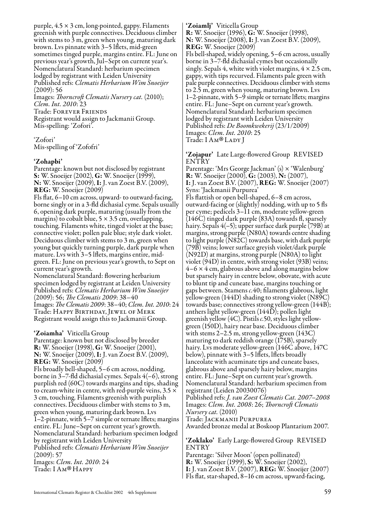purple,  $4.5 \times 3$  cm, long-pointed, gappy. Filaments greenish with purple connectives. Deciduous climber with stems to  $\bar{3}$  m, green when young, maturing dark brown. Lvs pinnate with 3–5 lflets, mid-green sometimes tinged purple, margins entire. FL: June on previous year's growth, Jul–Sept on current year's. Nomenclatural Standard: herbarium specimen lodged by registrant with Leiden University Published refs: *Clematis Herbarium Wim Snoeijer* (2009): 56

Images: *Thorncroft Clematis Nursery cat.* (2010); *Clem. Int. 2010*: 23 Trade: Forever Friends

Registrant would assign to Jackmanii Group. Mis-spelling: 'Zofori'.

'Zofori' Mis-spelling of 'Zofofri'

#### 'Zohapbi'

Parentage: known but not disclosed by registrant S: W. Snoeijer (2002), G: W. Snoeijer (1999), N: W. Snoeijer (2009), I: J. van Zoest B.V. (2009), REG: W. Snoeijer (2009)

Fls flat, 6–10 cm across, upward- to outward-facing, borne singly or in a 3-fld dichasial cyme. Sepals usually 6, opening dark purple, maturing (usually from the margins) to cobalt blue,  $5 \times 3.5$  cm, overlapping, touching. Filaments white, tinged violet at the base; connective violet; pollen pale blue; style dark violet. Deciduous climber with stems to 3 m, green when young but quickly turning purple, dark purple when mature. Lvs with 3–5 lflets, margins entire, midgreen. FL: June on previous year's growth, to Sept on current year's growth.

Nomenclatural Standard: flowering herbarium specimen lodged by registrant at Leiden University Published refs: *Clematis Herbarium Wim Snoeijer* (2009): 56; *The Clematis 2009*: 38–40 Images: *The Clematis 2009*: 38–40; *Clem. Int. 2010*: 24 Trade: Happy Birthday, Jewel of Merk Registrant would assign this to Jackmanii Group.

#### 'Zoiamha' Viticella Group

Parentage: known but not disclosed by breeder R: W. Snoeijer (1998), G: W. Snoeijer (2001), N: W. Snoeijer (2009), I: J. van Zoest B.V. (2009), REG: W. Snoeijer (2009) Fls broadly bell-shaped, 5–6 cm across, nodding, borne in 3–7-fld dichasial cymes. Sepals 4(–6), strong purplish red (60C) towards margins and tips, shading to cream-white in centre, with red-purple veins, 3.5 × 3 cm, touching. Filaments greenish with purplish connectives. Deciduous climber with stems to 3 m, green when young, maturing dark brown. Lvs 1–2-pinnate, with 5–7 simple or ternate lflets; margins entire. FL: June–Sept on current year's growth. Nomenclatural Standard: herbarium specimen lodged by registrant with Leiden University Published refs: *Clematis Herbarium Wim Snoeijer* (2009): 57 Images: *Clem. Int. 2010*: 24 Trade: I Am ® Happy

'Zoiamlj' Viticella Group R: W. Snoeijer (1996), G: W. Snoeijer (1998), N: W. Snoeijer (2008), I: J. van Zoest B.V. (2009), REG: W. Snoeijer (2009) Fls bell-shaped, widely opening, 5–6 cm across, usually borne in 3–7-fld dichasial cymes but occasionally singly. Sepals 4, white with violet margins,  $4 \times 2.5$  cm, gappy, with tips recurved. Filaments pale green with pale purple connectives. Deciduous climber with stems to 2.5 m, green when young, maturing brown. Lvs 1–2-pinnate, with 5–9 simple or ternate lflets; margins entire. FL: June–Sept on current year's growth. Nomenclatural Standard: herbarium specimen lodged by registrant with Leiden University Published refs: *De Boomkwekerij* (23/1/2009) Images: *Clem. Int. 2010*: 25 Trade: I AM® LADY J

#### 'Zojapur' Late Large-flowered Group REVISED ENTRY

Parentage: 'Mrs George Jackman' (s) × 'Walenburg' R: W. Snoeijer (2000), G: (2003), N: (2007), I: J. van Zoest B.V. (2007), REG: W. Snoeijer (2007) Syns: 'Jackmanii Purpurea' Fls flattish or open bell-shaped, 6–8 cm across, outward-facing or (slightly) nodding, with up to 5 fls per cyme; pedicels 3–11 cm, moderate yellow-green (146C) tinged dark purple (83A) towards fl, sparsely hairy. Sepals 4(–5); upper surface dark purple (79B) at margins, strong purple (N80A) towards centre shading to light purple (N82C) towards base, with dark purple (79B) veins; lower surface greyish violet/dark purple (N92D) at margins, strong purple (N80A) to light violet (94D) in centre, with strong violet (93B) veins;  $4-6 \times 4$  cm, glabrous above and along margins below but sparsely hairy in centre below, obovate, with acute to blunt tip and cuneate base, margins touching or gaps between. Stamens *c.*40; filaments glabrous, light yellow-green (144D) shading to strong violet (N89C) towards base; connectives strong yellow-green (144B); anthers light yellow-green (144D); pollen light greenish yellow (4C). Pistils *c.*50, styles light yellowgreen (150D), hairy near base. Deciduous climber with stems 2–2.5 m, strong yellow-green (143C) maturing to dark reddish orange (175B), sparsely hairy. Lvs moderate yellow-green (146C above, 147C below), pinnate with 3–5 lflets, lflets broadly lanceolate with acuminate tips and cuneate bases, glabrous above and sparsely hairy below, margins entire. FL: June–Sept on current year's growth. Nomenclatural Standard: herbarium specimen from registrant (Leiden 20030076) Published refs: *J. van Zoest Clematis Cat. 2007–2008*

Images: *Clem. Int. 2008*: 26; *Thorncroft Clematis Nursery cat.* (2010) Trade: Jackmanii Purpurea

Awarded bronze medal at Boskoop Plantarium 2007.

'Zoklako' Early Large-flowered Group REVISED ENTRY

Parentage: 'Silver Moon' (open pollinated) R: W. Snoeijer (1999), S: W. Snoeijer (2002), I: J. van Zoest B.V. (2007), REG: W. Snoeijer (2007) Fls flat, star-shaped, 8–16 cm across, upward-facing,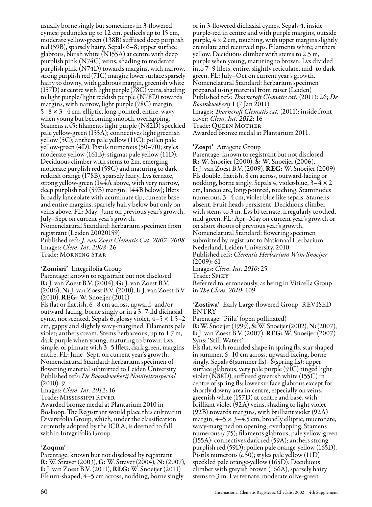usually borne singly but sometimes in 3-flowered cymes; peduncles up to 12 cm, pedicels up to 15 cm, moderate yellow-green (138B) suffused deep purplish red (59B), sparsely hairy. Sepals 6–8; upper surface glabrous, bluish white (N155A) at centre with deep purplish pink (N74C) veins, shading to moderate purplish pink (N74D) towards margins, with narrow, strong purplish red (71C) margin; lower surface sparsely hairy to downy, with glabrous margin, greenish white  $(157D)$  at centre with light purple  $(78C)$  veins, shading to light purple/light reddish purple (N78D) towards margins, with narrow, light purple (78C) margin;  $5-8 \times 3-4$  cm, elliptic, long-pointed, entire, wavy when young but becoming smooth, overlapping. Stamens *c.*45; filaments light purple (N82D) speckled pale yellow-green (155A); connectives light greenish yellow (5C); anthers pale yellow (11C); pollen pale yellow-green (4D). Pistils numerous (50–70); styles moderate yellow (161B); stigmas pale yellow (11D). Deciduous climber with stems to 2m, emerging moderate purplish red (59C) and maturing to dark reddish orange (178B), sparsely hairy. Lvs ternate, strong yellow-green (144A above, with very narrow, deep purplish red (59B) margin; 144B below); lflets broadly lanceolate with acuminate tip, cuneate base and entire margins, sparsely hairy below but only on veins above. FL: May–June on previous year's growth, July–Sept on current year's growth. Nomenclatural Standard: herbarium specimen from registrant (Leiden 20020159) Published refs: *J. van Zoest Clematis Cat. 2007–2008* Images: *Clem. Int. 2008*: 26

Trade: Morning Star

'Zomisri' Integrifolia Group

Parentage: known to registrant but not disclosed R: J. van Zoest B.V. (2004), G: J. van Zoest B.V. (2006), N: J. van Zoest B.V. (2010), I: J. van Zoest B.V. (2010), REG: W. Snoeijer (2011) Fls flat or flattish, 6–8 cm across, upward- and/or outward-facing, borne singly or in a 3–7-fld dichasial cyme, not scented. Sepals 6, glossy violet,  $4-5 \times 1.5-2$ cm, gappy and slightly wavy-margined. Filaments pale violet; anthers cream. Stems herbaceous, up to 1.7 m, dark purple when young, maturing to brown. Lvs simple, or pinnate with 3–5 lflets, dark green, margins entire. FL: June–Sept, on current year's growth. Nomenclatural Standard: herbarium specimen of flowering material submitted to Leiden University Published refs: *De Boomkwekerij Noviteitenspecial* (2010): 9

Images: *Clem. Int. 2012*: 16

Trade: Mississippi River

Awarded bronze medal at Plantarium 2010 in Boskoop. The Registrant would place this cultivar in Diversifolia Group, which, under the classification currently adopted by the ICRA, is deemed to fall within Integrifolia Group.

#### 'Zoqum'

Parentage: known but not disclosed by registrant R: W. Straver (2003), G: W. Straver (2004), N: (2007), I: J. van Zoest B.V. (2011), REG: W. Snoeijer (2011) Fls urn-shaped, 4–5 cm across, nodding, borne singly

or in 3-flowered dichasial cymes. Sepals 4, inside purple-red in centre and with purple margins, outside purple,  $4 \times 2$  cm, touching, with upper margins slightly crenulate and recurved tips. Filaments white; anthers yellow. Deciduous climber with stems to 2.5 m, purple when young, maturing to brown. Lvs divided into 7–9 lflets, entire, slightly reticulate, mid- to dark green. FL: July–Oct on current year's growth. Nomenclatural Standard: herbarium specimen prepared using material from raiser (Leiden) Published refs: *Thorncroft Clematis cat.* (2011): 26; *De Boomkwekerij* 1 (7 Jan 2011) Images: *Thorncroft Clematis cat.* (2011): inside front cover; *Clem. Int. 2012*: 16 Awarded bronze medal at Plantarium 2011.

#### 'Zospi' Atragene Group

Parentage: known to registrant but not disclosed R: W. Snoeijer (2000), Š: W. Snoeijer (2006), I: J. van Zoest B.V. (2009), REG: W. Snoeijer (2009) Fls double, flattish, 8 cm across, outward-facing or nodding, borne singly. Sepals 4, violet-blue, 3–4 × 2 cm, lanceolate, long-pointed, touching. Staminodes numerous, 3–4 cm, violet-blue like sepals. Stamens absent. Fruit-heads persistent. Deciduous climber with stems to 3 m. Lvs bi-ternate, irregularly toothed, mid-green. FL: Apr–May on current year's growth or on short shoots of previous year's growth. Nomenclatural Standard: flowering specimen submitted by registrant to Nationaal Herbarium Nederland, Leiden University, 2010 Published refs: *Clematis Herbarium Wim Snoeijer* (2009): 61 Images: *Clem. Int. 2010*: 25 Trade: Spiky Referred to, erroneously, as being in Viticella Group in *The Clem. 2010*: 109

'Zostiwa' Early Large-flowered Group REVISED ENTRY

Parentage: 'Piilu' (open pollinated) R: W. Snoeijer (1999), S: W. Snoeijer (2002), N: (2007), I: J. van Zoest B.V. (2007), REG: W. Snoeijer (2007) Syns: 'Still Waters'

Fls flat, with rounded shape in spring fls, star-shaped in summer, 6–10 cm across, upward-facing, borne singly. Sepals 6(summer fls)– $\delta$ (spring fls); upper surface glabrous, very pale purple (91C) tinged light violet (N88D), suffused greenish white (155C) in centre of spring fls; lower surface glabrous except for shortly downy area in centre, especially on veins, greenish white (157D) at centre and base, with brilliant violet (92A) veins, shading to light violet (92B) towards margins, with brilliant violet (92A) margin;  $4-5 \times 3-4.5$  cm, broadly elliptic, mucronate, wavy-margined on opening, overlapping. Stamens numerous (*c.*75); filaments glabrous, pale yellow-green (155A); connectives dark red (59A); anthers strong purplish red (59D); pollen pale orange-yellow (165D). Pistils numerous (*c.*50); styles pale yellow (11D) speckled pale orange-yellow (165D). Deciduous climber with greyish brown (166A), sparsely hairy stems to 3 m. Lvs ternate, moderate olive-green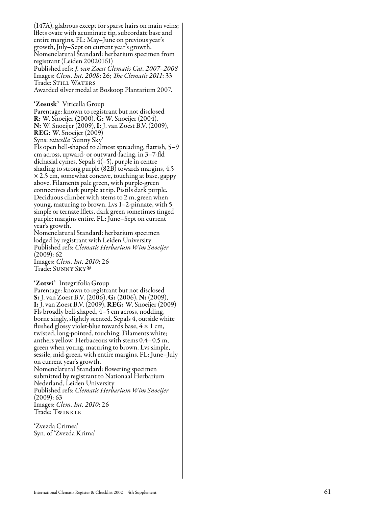(147A), glabrous except for sparse hairs on main veins; lflets ovate with acuminate tip, subcordate base and entire margins. FL: May–June on previous year's growth, July–Sept on current year's growth. Nomenclatural Standard: herbarium specimen from registrant (Leiden 20020161) Published refs: *J. van Zoest Clematis Cat. 2007–2008* Images: *Clem. Int. 2008*: 26; *The Clematis 2011*: 33 Trade: Still Waters Awarded silver medal at Boskoop Plantarium 2007.

'Zosusk' Viticella Group Parentage: known to registrant but not disclosed R: W. Snoeijer (2000), G: W. Snoeijer (2004), N: W. Snoeijer (2009), I: J. van Zoest B.V. (2009), REG: W. Snoeijer (2009)

Syns: *viticella* 'Sunny Sky'

Fls open bell-shaped to almost spreading, flattish, 5–9 cm across, upward- or outward-facing, in 3–7-fld dichasial cymes. Sepals 4(–5), purple in centre shading to strong purple (82B) towards margins, 4.5 × 2.5 cm, somewhat concave, touching at base, gappy above. Filaments pale green, with purple-green connectives dark purple at tip. Pistils dark purple. Deciduous climber with stems to 2 m, green when young, maturing to brown. Lvs 1–2-pinnate, with 5 simple or ternate lflets, dark green sometimes tinged purple; margins entire. FL: June–Sept on current year's growth.

Nomenclatural Standard: herbarium specimen lodged by registrant with Leiden University Published refs: *Clematis Herbarium Wim Snoeijer* (2009): 62

Images: *Clem. Int. 2010*: 26 Trade: Sunny Sky ®

'Zotwi' Integrifolia Group<br>Parentage: known to registrant but not disclosed S: J. van Zoest B.V. (2006), G: (2006), N: (2009), I: J. van Zoest B.V. (2009), REG: W. Snoeijer (2009) Fls broadly bell-shaped, 4–5 cm across, nodding, borne singly, slightly scented. Sepals 4, outside white flushed glossy violet-blue towards base,  $4 \times 1$  cm, twisted, long-pointed, touching. Filaments white; anthers yellow. Herbaceous with stems 0.4–0.5 m, green when young, maturing to brown. Lvs simple, sessile, mid-green, with entire margins. FL: June–July on current year's growth. Nomenclatural Standard: flowering specimen

submitted by registrant to Nationaal Herbarium Nederland, Leiden University Published refs: *Clematis Herbarium Wim Snoeijer*  $(2009): 63$ Images: *Clem. Int. 2010*: 26

Trade: Twinkle

'Zvezda Crimea' Syn. of 'Zvezda Krima'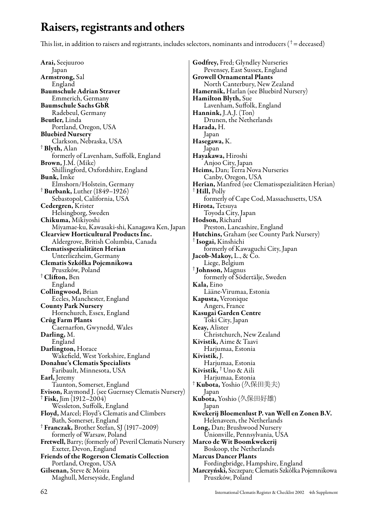### Raisers, registrants and others

This list, in addition to raisers and registrants, includes selectors, nominants and introducers ( $^\dagger$  = deceased)

Arai, Seejuuroo Japan Armstrong, Sal England Baumschule Adrian Straver Emmerich, Germany Baumschule Sachs GbR Radebeul, Germany Beutler, Linda Portland, Oregon, USA Bluebird Nursery Clarkson, Nebraska, USA † Blyth, Alan formerly of Lavenham, Suffolk, England Brown, J.M. (Mike) Shillingford, Oxfordshire, England **Bunk**, Imke<br>Elmshorn/Holstein, Germany  $\dagger$  Burbank, Luther (1849–1926) Sebastopol, California, USA Cedergren, Krister Helsingborg, Sweden Chikuma, Mikiyoshi Miyamae-ku, Kawasaki-shi, Kanagawa Ken, Japan Clearview Horticultural Products Inc. Aldergrove, British Columbia, Canada Clematisspezialitäten Herian Unterliezheim, Germany Clematis Szkółka Pojemnikowa Pruszków, Poland † Clifton, Ben England Collingwood, Brian Eccles, Manchester, England County Park Nursery Hornchurch, Essex, England Crûg Farm Plants Caernarfon, Gwynedd, Wales Darling, M. England Darlington, Horace Wakefield, West Yorkshire, England Donahue's Clematis Specialists Faribault, Minnesota, USA Earl, Jeremy Taunton, Somerset, England Evison, Raymond J. (see Guernsey Clematis Nursery) † Fisk, Jim (1912–2004) Wessleton, Suffolk, England Floyd, Marcel; Floyd's Clematis and Climbers Bath, Somerset, England † Franczak, Brother Stefan, SJ (1917–2009) formerly of Warsaw, Poland Fretwell, Barry; (formerly of) Peveril Clematis Nursery Exeter, Devon, England Friends of the Rogerson Clematis Collection Portland, Oregon, USA Gilsenan, Steve & Moira Maghull, Merseyside, England

Godfrey, Fred; Glyndley Nurseries Pevensey, East Sussex, England Growell Ornamental Plants North Canterbury, New Zealand Hamernik, Harlan (see Bluebird Nursery) Hamilton Blyth, Sue Lavenham, Suffolk, England Hannink, J.A.J. (Ton) Drunen, the Netherlands Harada, H. Japan Hasegawa, K. Japan Hayakawa, Hiroshi Anjoo City, Japan Heims, Dan; Terra Nova Nurseries Canby, Oregon, USA Herian, Manfred (see Clematisspezialitäten Herian) † Hill, Polly formerly of Cape Cod, Massachusetts, USA Hirota, Tetsuya Toyoda City, Japan Hodson, Richard Preston, Lancashire, England Hutchins, Graham (see County Park Nursery) † Isogai, Kinshichi formerly of Kawaguchi City, Japan Jacob-Makoy, L., & Čo. Liege, Belgium † Johnson, Magnus formerly of Södertälje, Sweden Kala, Eino Lääne-Virumaa, Estonia Kapusta, Veronique Angers, France Kasugai Garden Centre Toki City, Japan Keay, Alister Christchurch, New Zealand Kivistik, Aime & Taavi Harjumaa, Estonia Kivistik, J. Harjumaa, Estonia Kivistik, † Uno & Aili † **Kubota,** Yoshio (久保田美夫) Japan Kubota, Yoshio (久保田好雄) Japan Kwekerij Bloemenlust P. van Well en Zonen B.V. Helenaveen, the Netherlands Long, Dan; Brushwood Nursery Unionville, Pennsylvania, USA Marco de Wit Boomkwekerij Boskoop, the Netherlands Marcus Dancer Plants Fordingbridge, Hampshire, England Marczyński, Szczepan; Clematis Szkółka Pojemnikowa Pruszków, Poland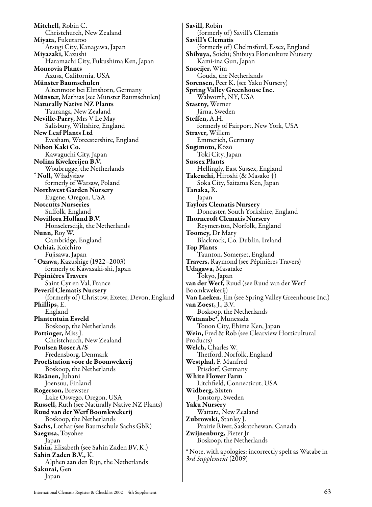Mitchell, Robin C. Christchurch, New Zealand Miyata, Fukutaroo Atsugi City, Kanagawa, Japan Miyazaki, Kazushi Haramachi City, Fukushima Ken, Japan Monrovia Plants Azusa, California, USA Münster Baumschulen Altenmoor bei Elmshorn, Germany Münster, Mathias (see Münster Baumschulen) Naturally Native NZ Plants Tauranga, New Zealand Neville-Parry, Mrs V Le May Salisbury, Wiltshire, England New Leaf Plants Ltd Evesham, Worcestershire, England Nihon Kaki Co. Kawaguchi City, Japan Nolina Kwekerijen B.V. Woubrugge, the Netherlands † Noll, Władysław formerly of Warsaw, Poland Northwest Garden Nursery Eugene, Oregon, USA Notcutts Nurseries Suffolk, England Noviflora Holland B.V. Honselersdijk, the Netherlands Nunn, Roy W. Cambridge, England Ochiai, Koichiro Fujisawa, Japan † Ozawa, Kazushige (1922–2003) formerly of Kawasaki-shi, Japan Pépinières Travers Saint Cyr en Val, France Peveril Clematis Nursery (formerly of) Christow, Exeter, Devon, England Phillips, E. England Plantentuin Esveld Boskoop, the Netherlands Pottinger, Miss J. Christchurch, New Zealand Poulsen Roser A/S Fredensborg, Denmark Proefstation voor de Boomwekerij Boskoop, the Netherlands Räsänen, Juhani Joensuu, Finland Rogerson, Brewster Lake Oswego, Oregon, USA Russell, Ruth (see Naturally Native NZ Plants) Ruud van der Werf Boomkwekerij Boskoop, the Netherlands Sachs, Lothar (see Baumschule Sachs GbR) Saegusa, Toyohee Japan Sahin, Elisabeth (see Sahin Zaden BV, K.) Sahin Zaden B.V., K. Alphen aan den Rijn, the Netherlands Sakurai, Gen Japan

Savill, Robin (formerly of) Savill's Clematis Savill's Clematis (formerly of) Chelmsford, Essex, England Shibuya, Soichi; Shibuya Floriculture Nursery Kami-ina Gun, Japan Snoeijer, Wim Gouda, the Netherlands Sorensen, Peer K. (see Yaku Nursery) Spring Valley Greenhouse Inc. Walworth, NY, USA Stastny, Werner Järna, Sweden Steffen, A.H. formerly of Fairport, New York, USA Straver, Willem Emmerich, Germany Sugimoto, Kōzō Toki City, Japan Sussex Plants Hellingly, East Sussex, England Takeuchi, Hiroshi (& Masako †) Soka City, Saitama Ken, Japan Tanaka, R. Japan Taylors Clematis Nursery Doncaster, South Yorkshire, England Thorncroft Clematis Nursery Reymerston, Norfolk, England Toomey, Dr Mary Blackrock, Co. Dublin, Ireland Top Plants Taunton, Somerset, England Travers, Raymond (see Pépinières Travers) Udagawa, Masatake Tokyo, Japan van der Werf, Ruud (see Ruud van der Werf Boomkwekerij) Van Laeken, Jim (see Spring Valley Greenhouse Inc.) van Zoest, J., B.V. Boskoop, the Netherlands Watanabe\*, Munesada Touon City, Ehime Ken, Japan Wein, Fred & Rob (see Clearview Horticultural Products) Welch, Charles W. Thetford, Norfolk, England Westphal, F. Manfred Prisdorf, Germany White Flower Farm Litchfield, Connecticut, USA Widberg, Sixten Jonstorp, Sweden Yaku Nursery Waitara, New Zealand Zubrowski, Stanley J. Prairie River, Saskatchewan, Canada Zwijnenburg, Pieter Jr Boskoop, the Netherlands

\* Note, with apologies: incorrectly spelt as Watabe in *3rd Supplement* (2009)